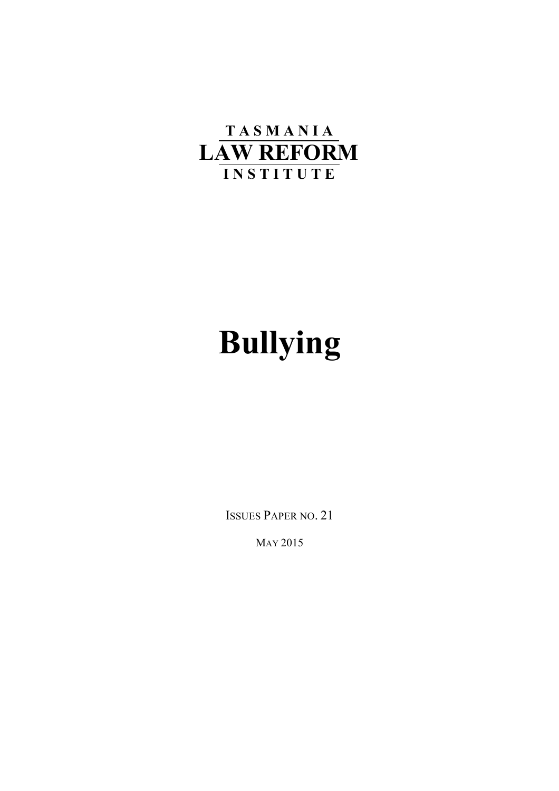### **T A S M A N I A LAW REFORM I N S T I T U T E**

# **Bullying**

ISSUES PAPER NO. 21

MAY 2015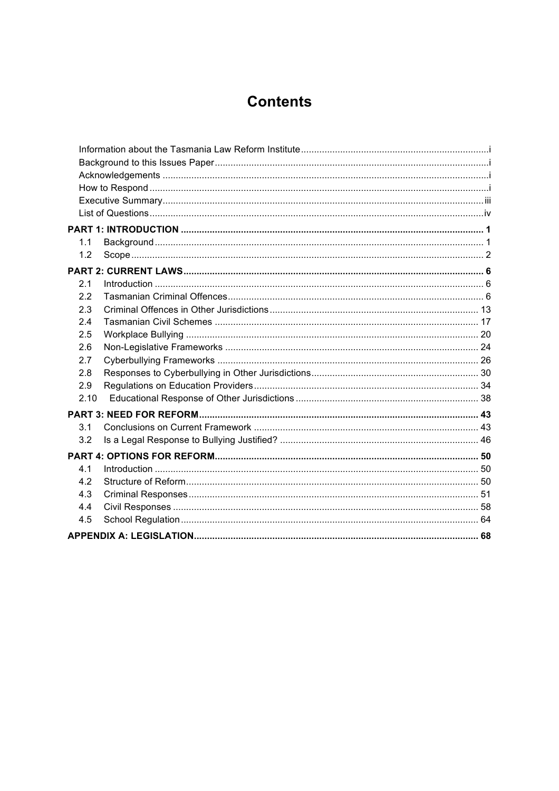### **Contents**

| 1.1  |  |  |  |
|------|--|--|--|
| 1.2  |  |  |  |
|      |  |  |  |
| 2.1  |  |  |  |
| 2.2  |  |  |  |
| 2.3  |  |  |  |
| 2.4  |  |  |  |
| 2.5  |  |  |  |
| 2.6  |  |  |  |
| 2.7  |  |  |  |
| 2.8  |  |  |  |
| 2.9  |  |  |  |
| 2.10 |  |  |  |
|      |  |  |  |
| 3.1  |  |  |  |
| 3.2  |  |  |  |
|      |  |  |  |
| 4.1  |  |  |  |
| 4.2  |  |  |  |
| 4.3  |  |  |  |
| 4.4  |  |  |  |
| 4.5  |  |  |  |
|      |  |  |  |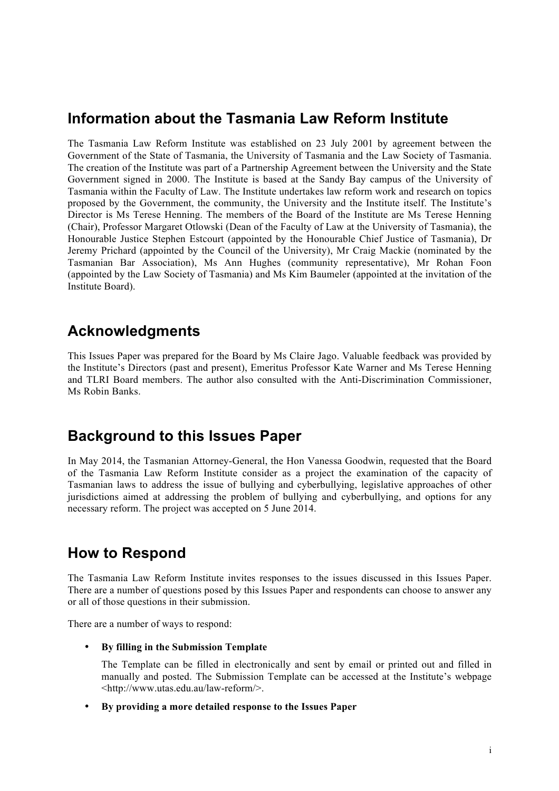### **Information about the Tasmania Law Reform Institute**

The Tasmania Law Reform Institute was established on 23 July 2001 by agreement between the Government of the State of Tasmania, the University of Tasmania and the Law Society of Tasmania. The creation of the Institute was part of a Partnership Agreement between the University and the State Government signed in 2000. The Institute is based at the Sandy Bay campus of the University of Tasmania within the Faculty of Law. The Institute undertakes law reform work and research on topics proposed by the Government, the community, the University and the Institute itself. The Institute's Director is Ms Terese Henning. The members of the Board of the Institute are Ms Terese Henning (Chair), Professor Margaret Otlowski (Dean of the Faculty of Law at the University of Tasmania), the Honourable Justice Stephen Estcourt (appointed by the Honourable Chief Justice of Tasmania), Dr Jeremy Prichard (appointed by the Council of the University), Mr Craig Mackie (nominated by the Tasmanian Bar Association), Ms Ann Hughes (community representative), Mr Rohan Foon (appointed by the Law Society of Tasmania) and Ms Kim Baumeler (appointed at the invitation of the Institute Board).

### **Acknowledgments**

This Issues Paper was prepared for the Board by Ms Claire Jago. Valuable feedback was provided by the Institute's Directors (past and present), Emeritus Professor Kate Warner and Ms Terese Henning and TLRI Board members. The author also consulted with the Anti-Discrimination Commissioner, Ms Robin Banks.

### **Background to this Issues Paper**

In May 2014, the Tasmanian Attorney-General, the Hon Vanessa Goodwin, requested that the Board of the Tasmania Law Reform Institute consider as a project the examination of the capacity of Tasmanian laws to address the issue of bullying and cyberbullying, legislative approaches of other jurisdictions aimed at addressing the problem of bullying and cyberbullying, and options for any necessary reform. The project was accepted on 5 June 2014.

### **How to Respond**

The Tasmania Law Reform Institute invites responses to the issues discussed in this Issues Paper. There are a number of questions posed by this Issues Paper and respondents can choose to answer any or all of those questions in their submission.

There are a number of ways to respond:

• **By filling in the Submission Template**

The Template can be filled in electronically and sent by email or printed out and filled in manually and posted. The Submission Template can be accessed at the Institute's webpage <http://www.utas.edu.au/law-reform/>.

• **By providing a more detailed response to the Issues Paper**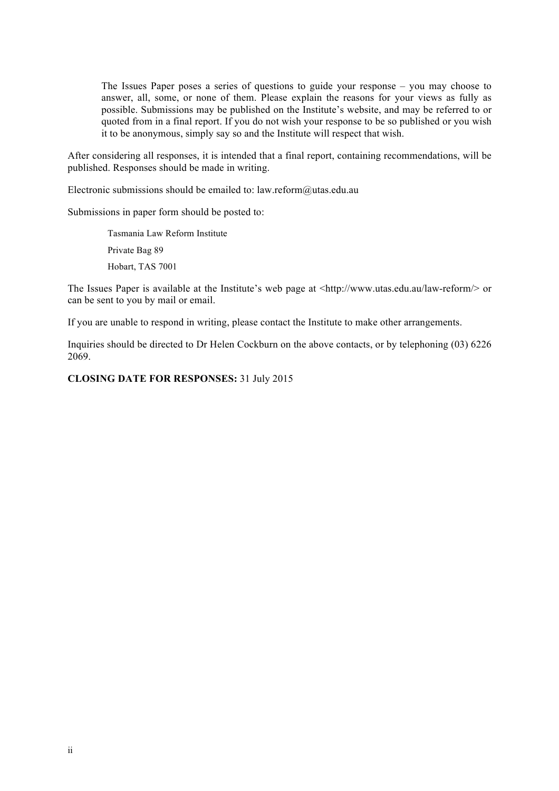The Issues Paper poses a series of questions to guide your response – you may choose to answer, all, some, or none of them. Please explain the reasons for your views as fully as possible. Submissions may be published on the Institute's website, and may be referred to or quoted from in a final report. If you do not wish your response to be so published or you wish it to be anonymous, simply say so and the Institute will respect that wish.

After considering all responses, it is intended that a final report, containing recommendations, will be published. Responses should be made in writing.

Electronic submissions should be emailed to: law.reform@utas.edu.au

Submissions in paper form should be posted to:

Tasmania Law Reform Institute Private Bag 89 Hobart, TAS 7001

The Issues Paper is available at the Institute's web page at <http://www.utas.edu.au/law-reform/> or can be sent to you by mail or email.

If you are unable to respond in writing, please contact the Institute to make other arrangements.

Inquiries should be directed to Dr Helen Cockburn on the above contacts, or by telephoning (03) 6226 2069.

**CLOSING DATE FOR RESPONSES:** 31 July 2015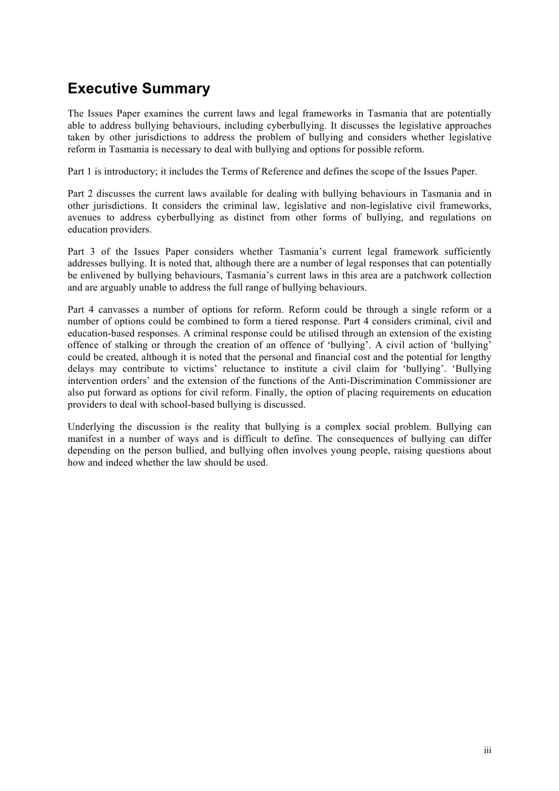### **Executive Summary**

The Issues Paper examines the current laws and legal frameworks in Tasmania that are potentially able to address bullying behaviours, including cyberbullying. It discusses the legislative approaches taken by other jurisdictions to address the problem of bullying and considers whether legislative reform in Tasmania is necessary to deal with bullying and options for possible reform.

Part 1 is introductory; it includes the Terms of Reference and defines the scope of the Issues Paper.

Part 2 discusses the current laws available for dealing with bullying behaviours in Tasmania and in other jurisdictions. It considers the criminal law, legislative and non-legislative civil frameworks, avenues to address cyberbullying as distinct from other forms of bullying, and regulations on education providers.

Part 3 of the Issues Paper considers whether Tasmania's current legal framework sufficiently addresses bullying. It is noted that, although there are a number of legal responses that can potentially be enlivened by bullying behaviours, Tasmania's current laws in this area are a patchwork collection and are arguably unable to address the full range of bullying behaviours.

Part 4 canvasses a number of options for reform. Reform could be through a single reform or a number of options could be combined to form a tiered response. Part 4 considers criminal, civil and education-based responses. A criminal response could be utilised through an extension of the existing offence of stalking or through the creation of an offence of 'bullying'. A civil action of 'bullying' could be created, although it is noted that the personal and financial cost and the potential for lengthy delays may contribute to victims' reluctance to institute a civil claim for 'bullying'. 'Bullying intervention orders' and the extension of the functions of the Anti-Discrimination Commissioner are also put forward as options for civil reform. Finally, the option of placing requirements on education providers to deal with school-based bullying is discussed.

Underlying the discussion is the reality that bullying is a complex social problem. Bullying can manifest in a number of ways and is difficult to define. The consequences of bullying can differ depending on the person bullied, and bullying often involves young people, raising questions about how and indeed whether the law should be used.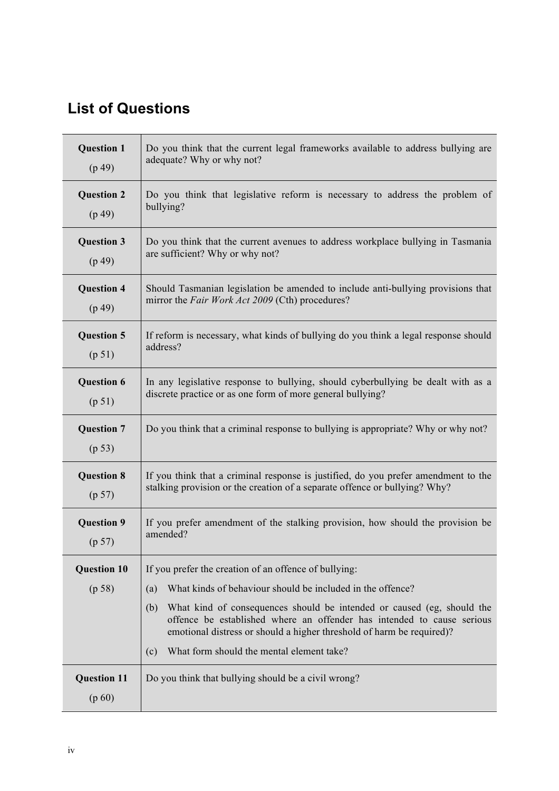### **List of Questions**

| <b>Question 1</b>           | Do you think that the current legal frameworks available to address bullying are                                                                                                                                                 |
|-----------------------------|----------------------------------------------------------------------------------------------------------------------------------------------------------------------------------------------------------------------------------|
| (p 49)                      | adequate? Why or why not?                                                                                                                                                                                                        |
| <b>Question 2</b>           | Do you think that legislative reform is necessary to address the problem of                                                                                                                                                      |
| (p 49)                      | bullying?                                                                                                                                                                                                                        |
| <b>Question 3</b>           | Do you think that the current avenues to address workplace bullying in Tasmania                                                                                                                                                  |
| (p 49)                      | are sufficient? Why or why not?                                                                                                                                                                                                  |
| <b>Question 4</b>           | Should Tasmanian legislation be amended to include anti-bullying provisions that                                                                                                                                                 |
| (p 49)                      | mirror the Fair Work Act 2009 (Cth) procedures?                                                                                                                                                                                  |
| <b>Question 5</b>           | If reform is necessary, what kinds of bullying do you think a legal response should                                                                                                                                              |
| (p 51)                      | address?                                                                                                                                                                                                                         |
| <b>Question 6</b>           | In any legislative response to bullying, should cyberbullying be dealt with as a                                                                                                                                                 |
| (p 51)                      | discrete practice or as one form of more general bullying?                                                                                                                                                                       |
| <b>Question 7</b><br>(p 53) | Do you think that a criminal response to bullying is appropriate? Why or why not?                                                                                                                                                |
| <b>Question 8</b>           | If you think that a criminal response is justified, do you prefer amendment to the                                                                                                                                               |
| (p 57)                      | stalking provision or the creation of a separate offence or bullying? Why?                                                                                                                                                       |
| <b>Question 9</b>           | If you prefer amendment of the stalking provision, how should the provision be                                                                                                                                                   |
| (p 57)                      | amended?                                                                                                                                                                                                                         |
| <b>Question 10</b>          | If you prefer the creation of an offence of bullying:                                                                                                                                                                            |
| (p 58)                      | What kinds of behaviour should be included in the offence?<br>(a)                                                                                                                                                                |
|                             | What kind of consequences should be intended or caused (eg, should the<br>(b)<br>offence be established where an offender has intended to cause serious<br>emotional distress or should a higher threshold of harm be required)? |
|                             | What form should the mental element take?<br>(c)                                                                                                                                                                                 |
| <b>Question 11</b>          | Do you think that bullying should be a civil wrong?                                                                                                                                                                              |
| (p 60)                      |                                                                                                                                                                                                                                  |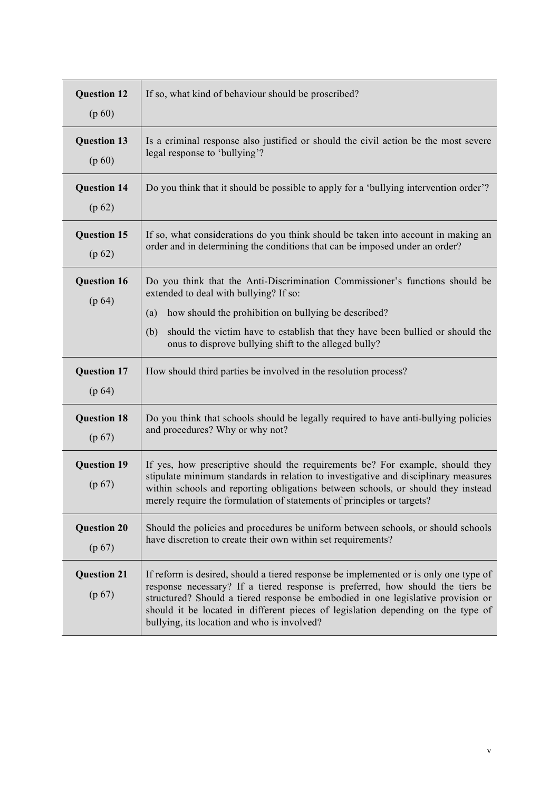| <b>Question 12</b><br>(p 60) | If so, what kind of behaviour should be proscribed?                                                                                                                                                                                                                                                                                                                                           |
|------------------------------|-----------------------------------------------------------------------------------------------------------------------------------------------------------------------------------------------------------------------------------------------------------------------------------------------------------------------------------------------------------------------------------------------|
| <b>Question 13</b><br>(p 60) | Is a criminal response also justified or should the civil action be the most severe<br>legal response to 'bullying'?                                                                                                                                                                                                                                                                          |
| <b>Question 14</b><br>(p 62) | Do you think that it should be possible to apply for a 'bullying intervention order'?                                                                                                                                                                                                                                                                                                         |
| <b>Question 15</b><br>(p 62) | If so, what considerations do you think should be taken into account in making an<br>order and in determining the conditions that can be imposed under an order?                                                                                                                                                                                                                              |
| <b>Question 16</b><br>(p 64) | Do you think that the Anti-Discrimination Commissioner's functions should be<br>extended to deal with bullying? If so:<br>how should the prohibition on bullying be described?<br>(a)<br>should the victim have to establish that they have been bullied or should the<br>(b)<br>onus to disprove bullying shift to the alleged bully?                                                        |
| <b>Question 17</b><br>(p 64) | How should third parties be involved in the resolution process?                                                                                                                                                                                                                                                                                                                               |
| <b>Question 18</b><br>(p 67) | Do you think that schools should be legally required to have anti-bullying policies<br>and procedures? Why or why not?                                                                                                                                                                                                                                                                        |
| <b>Question 19</b><br>(p 67) | If yes, how prescriptive should the requirements be? For example, should they<br>stipulate minimum standards in relation to investigative and disciplinary measures<br>within schools and reporting obligations between schools, or should they instead<br>merely require the formulation of statements of principles or targets?                                                             |
| <b>Question 20</b><br>(p 67) | Should the policies and procedures be uniform between schools, or should schools<br>have discretion to create their own within set requirements?                                                                                                                                                                                                                                              |
| <b>Question 21</b><br>(p 67) | If reform is desired, should a tiered response be implemented or is only one type of<br>response necessary? If a tiered response is preferred, how should the tiers be<br>structured? Should a tiered response be embodied in one legislative provision or<br>should it be located in different pieces of legislation depending on the type of<br>bullying, its location and who is involved? |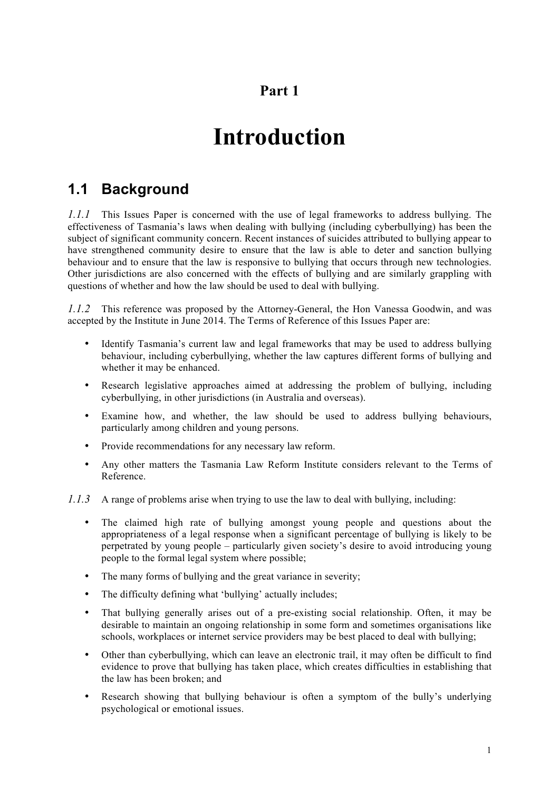### **Part 1**

# **Introduction**

### **1.1 Background**

*1.1.1* This Issues Paper is concerned with the use of legal frameworks to address bullying. The effectiveness of Tasmania's laws when dealing with bullying (including cyberbullying) has been the subject of significant community concern. Recent instances of suicides attributed to bullying appear to have strengthened community desire to ensure that the law is able to deter and sanction bullying behaviour and to ensure that the law is responsive to bullying that occurs through new technologies. Other jurisdictions are also concerned with the effects of bullying and are similarly grappling with questions of whether and how the law should be used to deal with bullying.

*1.1.2* This reference was proposed by the Attorney-General, the Hon Vanessa Goodwin, and was accepted by the Institute in June 2014. The Terms of Reference of this Issues Paper are:

- Identify Tasmania's current law and legal frameworks that may be used to address bullying behaviour, including cyberbullying, whether the law captures different forms of bullying and whether it may be enhanced.
- Research legislative approaches aimed at addressing the problem of bullying, including cyberbullying, in other jurisdictions (in Australia and overseas).
- Examine how, and whether, the law should be used to address bullying behaviours, particularly among children and young persons.
- Provide recommendations for any necessary law reform.
- Any other matters the Tasmania Law Reform Institute considers relevant to the Terms of Reference.
- *1.1.3* A range of problems arise when trying to use the law to deal with bullying, including:
	- The claimed high rate of bullying amongst young people and questions about the appropriateness of a legal response when a significant percentage of bullying is likely to be perpetrated by young people – particularly given society's desire to avoid introducing young people to the formal legal system where possible;
	- The many forms of bullying and the great variance in severity;
	- The difficulty defining what 'bullying' actually includes;
	- That bullying generally arises out of a pre-existing social relationship. Often, it may be desirable to maintain an ongoing relationship in some form and sometimes organisations like schools, workplaces or internet service providers may be best placed to deal with bullying;
	- Other than cyberbullying, which can leave an electronic trail, it may often be difficult to find evidence to prove that bullying has taken place, which creates difficulties in establishing that the law has been broken; and
	- Research showing that bullying behaviour is often a symptom of the bully's underlying psychological or emotional issues.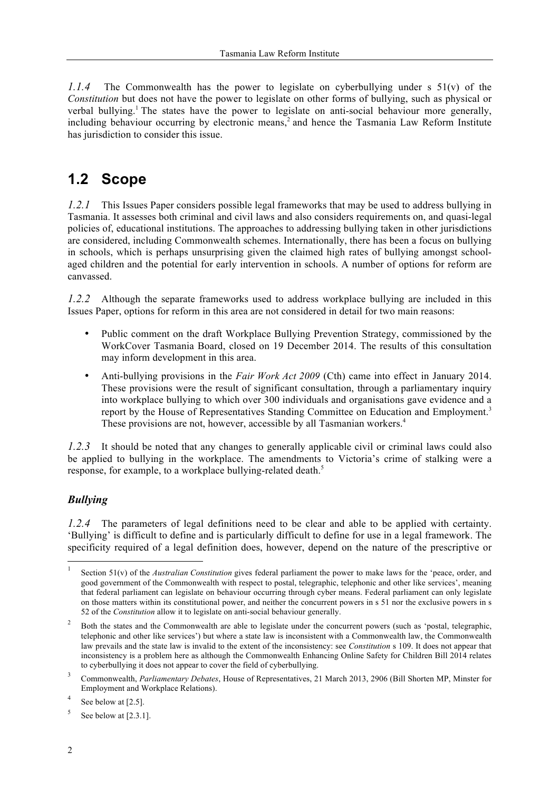*1.1.4* The Commonwealth has the power to legislate on cyberbullying under s 51(v) of the *Constitution* but does not have the power to legislate on other forms of bullying, such as physical or verbal bullying.<sup>1</sup> The states have the power to legislate on anti-social behaviour more generally. including behaviour occurring by electronic means,<sup>2</sup> and hence the Tasmania Law Reform Institute has jurisdiction to consider this issue.

### **1.2 Scope**

*1.2.1* This Issues Paper considers possible legal frameworks that may be used to address bullying in Tasmania. It assesses both criminal and civil laws and also considers requirements on, and quasi-legal policies of, educational institutions. The approaches to addressing bullying taken in other jurisdictions are considered, including Commonwealth schemes. Internationally, there has been a focus on bullying in schools, which is perhaps unsurprising given the claimed high rates of bullying amongst schoolaged children and the potential for early intervention in schools. A number of options for reform are canvassed.

*1.2.2* Although the separate frameworks used to address workplace bullying are included in this Issues Paper, options for reform in this area are not considered in detail for two main reasons:

- Public comment on the draft Workplace Bullying Prevention Strategy, commissioned by the WorkCover Tasmania Board, closed on 19 December 2014. The results of this consultation may inform development in this area.
- Anti-bullying provisions in the *Fair Work Act 2009* (Cth) came into effect in January 2014. These provisions were the result of significant consultation, through a parliamentary inquiry into workplace bullying to which over 300 individuals and organisations gave evidence and a report by the House of Representatives Standing Committee on Education and Employment.<sup>3</sup> These provisions are not, however, accessible by all Tasmanian workers.<sup>4</sup>

*1.2.3* It should be noted that any changes to generally applicable civil or criminal laws could also be applied to bullying in the workplace. The amendments to Victoria's crime of stalking were a response, for example, to a workplace bullying-related death.<sup>5</sup>

#### *Bullying*

*1.2.4* The parameters of legal definitions need to be clear and able to be applied with certainty. 'Bullying' is difficult to define and is particularly difficult to define for use in a legal framework. The specificity required of a legal definition does, however, depend on the nature of the prescriptive or

 <sup>1</sup> Section 51(v) of the *Australian Constitution* gives federal parliament the power to make laws for the 'peace, order, and good government of the Commonwealth with respect to postal, telegraphic, telephonic and other like services', meaning that federal parliament can legislate on behaviour occurring through cyber means. Federal parliament can only legislate on those matters within its constitutional power, and neither the concurrent powers in s 51 nor the exclusive powers in s 52 of the *Constitution* allow it to legislate on anti-social behaviour generally.

<sup>&</sup>lt;sup>2</sup> Both the states and the Commonwealth are able to legislate under the concurrent powers (such as 'postal, telegraphic, telephonic and other like services') but where a state law is inconsistent with a Commonwealth law, the Commonwealth law prevails and the state law is invalid to the extent of the inconsistency: see *Constitution* s 109. It does not appear that inconsistency is a problem here as although the Commonwealth Enhancing Online Safety for Children Bill 2014 relates to cyberbullying it does not appear to cover the field of cyberbullying.

<sup>3</sup> Commonwealth, *Parliamentary Debates*, House of Representatives, 21 March 2013, 2906 (Bill Shorten MP, Minster for Employment and Workplace Relations).

 $4$  See below at [2.5].

 $5$  See below at [2.3.1].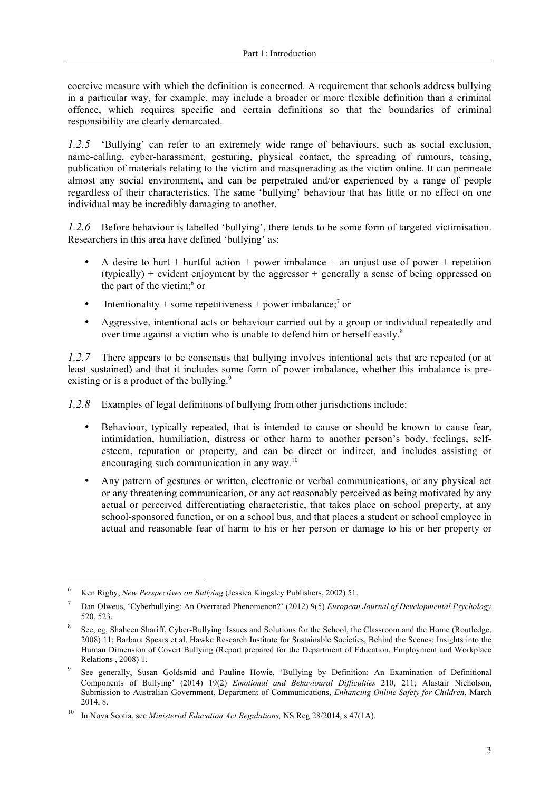coercive measure with which the definition is concerned. A requirement that schools address bullying in a particular way, for example, may include a broader or more flexible definition than a criminal offence, which requires specific and certain definitions so that the boundaries of criminal responsibility are clearly demarcated.

*1.2.5* 'Bullying' can refer to an extremely wide range of behaviours, such as social exclusion, name-calling, cyber-harassment, gesturing, physical contact, the spreading of rumours, teasing, publication of materials relating to the victim and masquerading as the victim online. It can permeate almost any social environment, and can be perpetrated and/or experienced by a range of people regardless of their characteristics. The same 'bullying' behaviour that has little or no effect on one individual may be incredibly damaging to another.

*1.2.6* Before behaviour is labelled 'bullying', there tends to be some form of targeted victimisation. Researchers in this area have defined 'bullying' as:

- A desire to hurt + hurtful action + power imbalance + an unjust use of power + repetition (typically) + evident enjoyment by the aggressor + generally a sense of being oppressed on the part of the victim; $<sup>6</sup>$  or</sup>
- Intentionality + some repetitiveness + power imbalance;<sup>7</sup> or
- Aggressive, intentional acts or behaviour carried out by a group or individual repeatedly and over time against a victim who is unable to defend him or herself easily.<sup>8</sup>

*1.2.7* There appears to be consensus that bullying involves intentional acts that are repeated (or at least sustained) and that it includes some form of power imbalance, whether this imbalance is preexisting or is a product of the bullying.<sup>9</sup>

*1.2.8* Examples of legal definitions of bullying from other jurisdictions include:

- Behaviour, typically repeated, that is intended to cause or should be known to cause fear, intimidation, humiliation, distress or other harm to another person's body, feelings, selfesteem, reputation or property, and can be direct or indirect, and includes assisting or encouraging such communication in any way.<sup>10</sup>
- Any pattern of gestures or written, electronic or verbal communications, or any physical act or any threatening communication, or any act reasonably perceived as being motivated by any actual or perceived differentiating characteristic, that takes place on school property, at any school-sponsored function, or on a school bus, and that places a student or school employee in actual and reasonable fear of harm to his or her person or damage to his or her property or

 <sup>6</sup> Ken Rigby, *New Perspectives on Bullying* (Jessica Kingsley Publishers, 2002) 51.

<sup>7</sup> Dan Olweus, 'Cyberbullying: An Overrated Phenomenon?' (2012) 9(5) *European Journal of Developmental Psychology*  520, 523.

<sup>8</sup> See, eg, Shaheen Shariff, Cyber-Bullying: Issues and Solutions for the School, the Classroom and the Home (Routledge, 2008) 11; Barbara Spears et al, Hawke Research Institute for Sustainable Societies, Behind the Scenes: Insights into the Human Dimension of Covert Bullying (Report prepared for the Department of Education, Employment and Workplace Relations , 2008) 1.

<sup>9</sup> See generally, Susan Goldsmid and Pauline Howie, 'Bullying by Definition: An Examination of Definitional Components of Bullying' (2014) 19(2) *Emotional and Behavioural Difficulties* 210, 211; Alastair Nicholson, Submission to Australian Government, Department of Communications, *Enhancing Online Safety for Children*, March 2014, 8.

<sup>10</sup> In Nova Scotia, see *Ministerial Education Act Regulations,* NS Reg 28/2014, s 47(1A).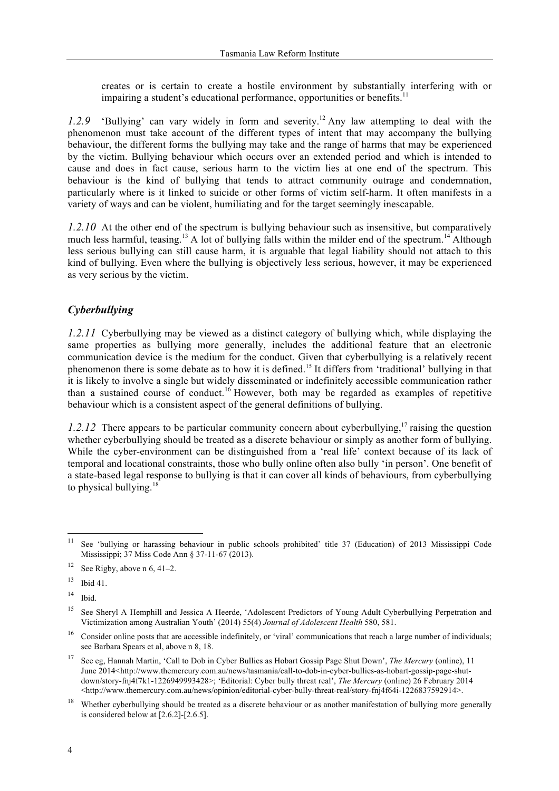creates or is certain to create a hostile environment by substantially interfering with or impairing a student's educational performance, opportunities or benefits.<sup>11</sup>

*1.2.9* 'Bullying' can vary widely in form and severity.<sup>12</sup> Any law attempting to deal with the phenomenon must take account of the different types of intent that may accompany the bullying behaviour, the different forms the bullying may take and the range of harms that may be experienced by the victim. Bullying behaviour which occurs over an extended period and which is intended to cause and does in fact cause, serious harm to the victim lies at one end of the spectrum. This behaviour is the kind of bullying that tends to attract community outrage and condemnation, particularly where is it linked to suicide or other forms of victim self-harm. It often manifests in a variety of ways and can be violent, humiliating and for the target seemingly inescapable.

*1.2.10* At the other end of the spectrum is bullying behaviour such as insensitive, but comparatively much less harmful, teasing.<sup>13</sup> A lot of bullying falls within the milder end of the spectrum.<sup>14</sup> Although less serious bullying can still cause harm, it is arguable that legal liability should not attach to this kind of bullying. Even where the bullying is objectively less serious, however, it may be experienced as very serious by the victim.

#### *Cyberbullying*

*1.2.11* Cyberbullying may be viewed as a distinct category of bullying which, while displaying the same properties as bullying more generally, includes the additional feature that an electronic communication device is the medium for the conduct. Given that cyberbullying is a relatively recent phenomenon there is some debate as to how it is defined.<sup>15</sup> It differs from 'traditional' bullying in that it is likely to involve a single but widely disseminated or indefinitely accessible communication rather than a sustained course of conduct.<sup>16</sup> However, both may be regarded as examples of repetitive behaviour which is a consistent aspect of the general definitions of bullying.

*1.2.12* There appears to be particular community concern about cyberbullying,<sup>17</sup> raising the question whether cyberbullying should be treated as a discrete behaviour or simply as another form of bullying. While the cyber-environment can be distinguished from a 'real life' context because of its lack of temporal and locational constraints, those who bully online often also bully 'in person'. One benefit of a state-based legal response to bullying is that it can cover all kinds of behaviours, from cyberbullying to physical bullying.<sup>19</sup>

<sup>&</sup>lt;sup>11</sup> See 'bullying or harassing behaviour in public schools prohibited' title 37 (Education) of 2013 Mississippi Code Mississippi; 37 Miss Code Ann § 37-11-67 (2013).

<sup>&</sup>lt;sup>12</sup> See Rigby, above n 6, 41–2.

 $13$  Ibid 41.

 $14$  Ibid.

<sup>&</sup>lt;sup>15</sup> See Sheryl A Hemphill and Jessica A Heerde, 'Adolescent Predictors of Young Adult Cyberbullying Perpetration and Victimization among Australian Youth' (2014) 55(4) *Journal of Adolescent Health* 580, 581.

<sup>&</sup>lt;sup>16</sup> Consider online posts that are accessible indefinitely, or 'viral' communications that reach a large number of individuals; see Barbara Spears et al, above n 8, 18.

<sup>17</sup> See eg, Hannah Martin, 'Call to Dob in Cyber Bullies as Hobart Gossip Page Shut Down', *The Mercury* (online), 11 June 2014<http://www.themercury.com.au/news/tasmania/call-to-dob-in-cyber-bullies-as-hobart-gossip-page-shutdown/story-fnj4f7k1-1226949993428>; 'Editorial: Cyber bully threat real', *The Mercury* (online) 26 February 2014  $\text{http://www.therercury.com.au/news/opinion/editorial-cyber-bully-thread/stor-fnj4f64i-1226837592914>$ .

<sup>&</sup>lt;sup>18</sup> Whether cyberbullying should be treated as a discrete behaviour or as another manifestation of bullying more generally is considered below at [2.6.2]-[2.6.5].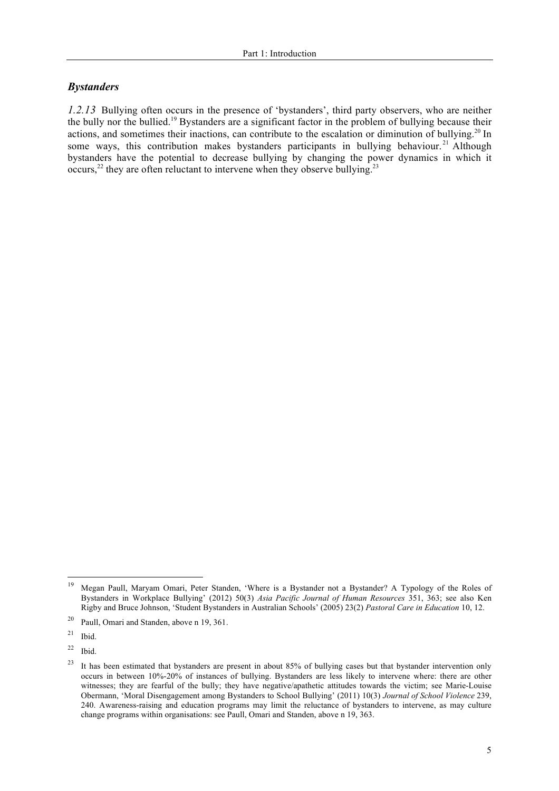#### *Bystanders*

*1.2.13* Bullying often occurs in the presence of 'bystanders', third party observers, who are neither the bully nor the bullied.<sup>19</sup> Bystanders are a significant factor in the problem of bullying because their actions, and sometimes their inactions, can contribute to the escalation or diminution of bullying.<sup>20</sup> In some ways, this contribution makes bystanders participants in bullying behaviour.<sup>21</sup> Although bystanders have the potential to decrease bullying by changing the power dynamics in which it occurs,<sup>22</sup> they are often reluctant to intervene when they observe bullying.<sup>23</sup>

 <sup>19</sup> Megan Paull, Maryam Omari, Peter Standen, 'Where is a Bystander not a Bystander? A Typology of the Roles of Bystanders in Workplace Bullying' (2012) 50(3) *Asia Pacific Journal of Human Resources* 351, 363; see also Ken Rigby and Bruce Johnson, 'Student Bystanders in Australian Schools' (2005) 23(2) *Pastoral Care in Education* 10, 12.

<sup>20</sup> Paull, Omari and Standen, above n 19, 361.

 $21$  Ibid.

 $22$  Ibid.

<sup>&</sup>lt;sup>23</sup> It has been estimated that bystanders are present in about 85% of bullying cases but that bystander intervention only occurs in between 10%-20% of instances of bullying. Bystanders are less likely to intervene where: there are other witnesses; they are fearful of the bully; they have negative/apathetic attitudes towards the victim; see Marie-Louise Obermann, 'Moral Disengagement among Bystanders to School Bullying' (2011) 10(3) *Journal of School Violence* 239, 240. Awareness-raising and education programs may limit the reluctance of bystanders to intervene, as may culture change programs within organisations: see Paull, Omari and Standen, above n 19, 363.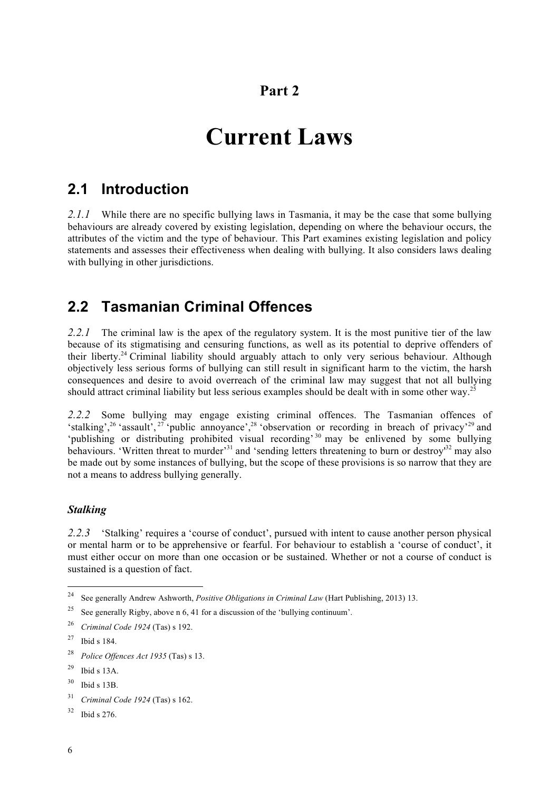### **Part 2**

## **Current Laws**

### **2.1 Introduction**

2.1.1 While there are no specific bullying laws in Tasmania, it may be the case that some bullying behaviours are already covered by existing legislation, depending on where the behaviour occurs, the attributes of the victim and the type of behaviour. This Part examines existing legislation and policy statements and assesses their effectiveness when dealing with bullying. It also considers laws dealing with bullying in other jurisdictions.

### **2.2 Tasmanian Criminal Offences**

2.2.1 The criminal law is the apex of the regulatory system. It is the most punitive tier of the law because of its stigmatising and censuring functions, as well as its potential to deprive offenders of their liberty.24 Criminal liability should arguably attach to only very serious behaviour. Although objectively less serious forms of bullying can still result in significant harm to the victim, the harsh consequences and desire to avoid overreach of the criminal law may suggest that not all bullying should attract criminal liability but less serious examples should be dealt with in some other way.<sup>25</sup>

*2.2.2* Some bullying may engage existing criminal offences. The Tasmanian offences of 'stalking',<sup>26</sup> 'assault',<sup>27</sup> 'public annoyance',<sup>28</sup> 'observation or recording in breach of privacy'<sup>29</sup> and 'publishing or distributing prohibited visual recording' <sup>30</sup> may be enlivened by some bullying behaviours. 'Written threat to murder'<sup>31</sup> and 'sending letters threatening to burn or destroy<sup>'32</sup> may also be made out by some instances of bullying, but the scope of these provisions is so narrow that they are not a means to address bullying generally.

#### *Stalking*

*2.2.3* 'Stalking' requires a 'course of conduct', pursued with intent to cause another person physical or mental harm or to be apprehensive or fearful. For behaviour to establish a 'course of conduct', it must either occur on more than one occasion or be sustained. Whether or not a course of conduct is sustained is a question of fact.

 <sup>24</sup> See generally Andrew Ashworth, *Positive Obligations in Criminal Law* (Hart Publishing, 2013) 13.

<sup>&</sup>lt;sup>25</sup> See generally Rigby, above n 6, 41 for a discussion of the 'bullying continuum'.

<sup>26</sup> *Criminal Code 1924* (Tas) s 192.

 $27$  Ibid s 184.

<sup>28</sup> *Police Offences Act 1935* (Tas) s 13.

 $29$  Ibid s 13A.

 $30$  Ibid s 13B.

<sup>31</sup> *Criminal Code 1924* (Tas) s 162.

<sup>32</sup> Ibid s 276.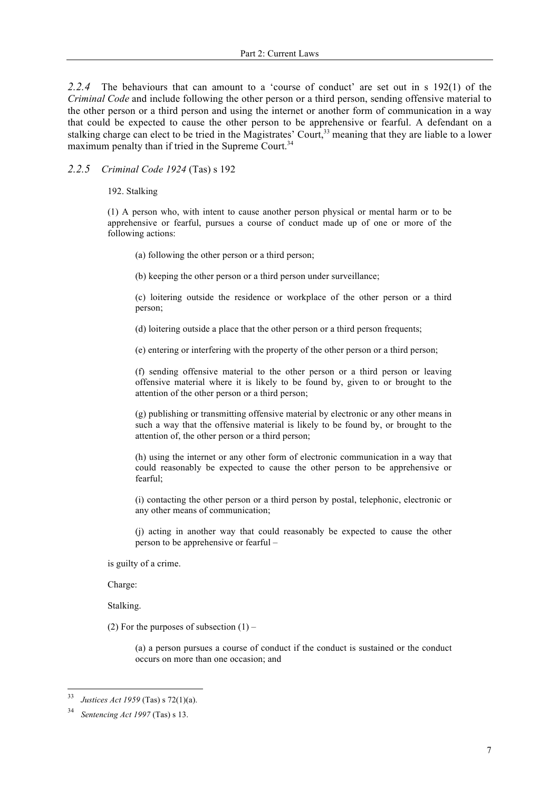*2.2.4* The behaviours that can amount to a 'course of conduct' are set out in s 192(1) of the *Criminal Code* and include following the other person or a third person, sending offensive material to the other person or a third person and using the internet or another form of communication in a way that could be expected to cause the other person to be apprehensive or fearful. A defendant on a stalking charge can elect to be tried in the Magistrates' Court,<sup>33</sup> meaning that they are liable to a lower maximum penalty than if tried in the Supreme Court.<sup>34</sup>

#### *2.2.5 Criminal Code 1924* (Tas) s 192

#### 192. Stalking

(1) A person who, with intent to cause another person physical or mental harm or to be apprehensive or fearful, pursues a course of conduct made up of one or more of the following actions:

(a) following the other person or a third person;

(b) keeping the other person or a third person under surveillance;

(c) loitering outside the residence or workplace of the other person or a third person;

(d) loitering outside a place that the other person or a third person frequents;

(e) entering or interfering with the property of the other person or a third person;

(f) sending offensive material to the other person or a third person or leaving offensive material where it is likely to be found by, given to or brought to the attention of the other person or a third person;

(g) publishing or transmitting offensive material by electronic or any other means in such a way that the offensive material is likely to be found by, or brought to the attention of, the other person or a third person;

(h) using the internet or any other form of electronic communication in a way that could reasonably be expected to cause the other person to be apprehensive or fearful;

(i) contacting the other person or a third person by postal, telephonic, electronic or any other means of communication;

(j) acting in another way that could reasonably be expected to cause the other person to be apprehensive or fearful –

is guilty of a crime.

Charge:

Stalking.

(2) For the purposes of subsection  $(1)$  –

(a) a person pursues a course of conduct if the conduct is sustained or the conduct occurs on more than one occasion; and

*Justices Act 1959* (Tas) s 72(1)(a).

<sup>34</sup> *Sentencing Act 1997* (Tas) s 13.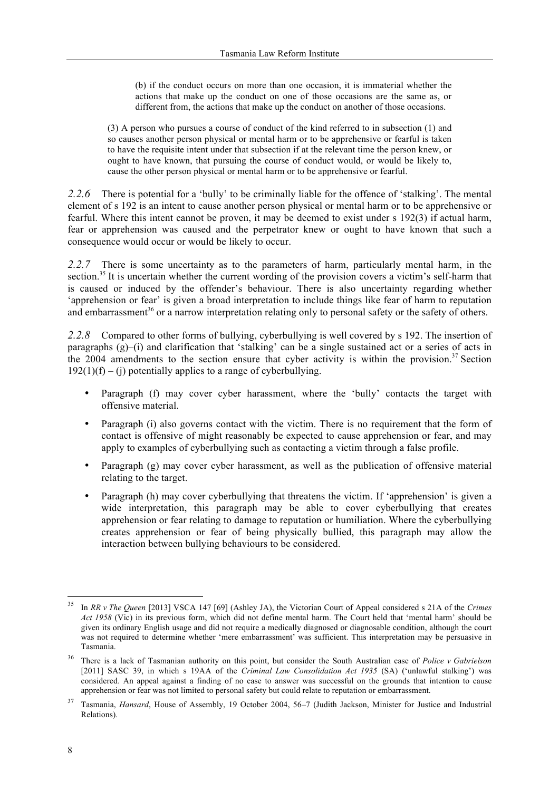(b) if the conduct occurs on more than one occasion, it is immaterial whether the actions that make up the conduct on one of those occasions are the same as, or different from, the actions that make up the conduct on another of those occasions.

(3) A person who pursues a course of conduct of the kind referred to in subsection (1) and so causes another person physical or mental harm or to be apprehensive or fearful is taken to have the requisite intent under that subsection if at the relevant time the person knew, or ought to have known, that pursuing the course of conduct would, or would be likely to, cause the other person physical or mental harm or to be apprehensive or fearful.

*2.2.6* There is potential for a 'bully' to be criminally liable for the offence of 'stalking'. The mental element of s 192 is an intent to cause another person physical or mental harm or to be apprehensive or fearful. Where this intent cannot be proven, it may be deemed to exist under s 192(3) if actual harm, fear or apprehension was caused and the perpetrator knew or ought to have known that such a consequence would occur or would be likely to occur.

*2.2.7* There is some uncertainty as to the parameters of harm, particularly mental harm, in the section.<sup>35</sup> It is uncertain whether the current wording of the provision covers a victim's self-harm that is caused or induced by the offender's behaviour. There is also uncertainty regarding whether 'apprehension or fear' is given a broad interpretation to include things like fear of harm to reputation and embarrassment<sup>36</sup> or a narrow interpretation relating only to personal safety or the safety of others.

2.2.8 Compared to other forms of bullying, cyberbullying is well covered by s 192. The insertion of paragraphs  $(g)$ –(i) and clarification that 'stalking' can be a single sustained act or a series of acts in the 2004 amendments to the section ensure that cyber activity is within the provision.<sup>37</sup> Section  $192(1)(f) - (i)$  potentially applies to a range of cyberbullying.

- Paragraph (f) may cover cyber harassment, where the 'bully' contacts the target with offensive material.
- Paragraph (i) also governs contact with the victim. There is no requirement that the form of contact is offensive of might reasonably be expected to cause apprehension or fear, and may apply to examples of cyberbullying such as contacting a victim through a false profile.
- Paragraph (g) may cover cyber harassment, as well as the publication of offensive material relating to the target.
- Paragraph (h) may cover cyberbullying that threatens the victim. If 'apprehension' is given a wide interpretation, this paragraph may be able to cover cyberbullying that creates apprehension or fear relating to damage to reputation or humiliation. Where the cyberbullying creates apprehension or fear of being physically bullied, this paragraph may allow the interaction between bullying behaviours to be considered.

 <sup>35</sup> In *RR v The Queen* [2013] VSCA 147 [69] (Ashley JA), the Victorian Court of Appeal considered s 21A of the *Crimes Act 1958* (Vic) in its previous form, which did not define mental harm. The Court held that 'mental harm' should be given its ordinary English usage and did not require a medically diagnosed or diagnosable condition, although the court was not required to determine whether 'mere embarrassment' was sufficient. This interpretation may be persuasive in Tasmania.

<sup>36</sup> There is a lack of Tasmanian authority on this point, but consider the South Australian case of *Police v Gabrielson* [2011] SASC 39, in which s 19AA of the *Criminal Law Consolidation Act 1935* (SA) ('unlawful stalking') was considered. An appeal against a finding of no case to answer was successful on the grounds that intention to cause apprehension or fear was not limited to personal safety but could relate to reputation or embarrassment.

<sup>37</sup> Tasmania, *Hansard*, House of Assembly, 19 October 2004, 56–7 (Judith Jackson, Minister for Justice and Industrial Relations).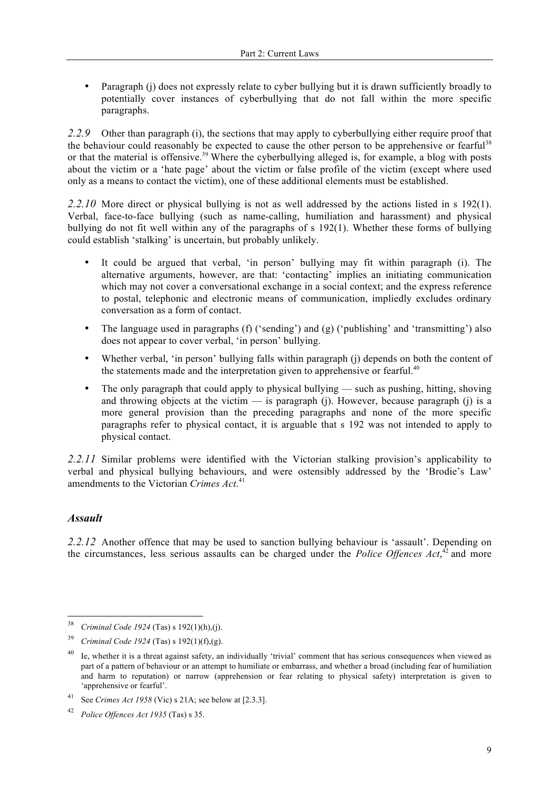• Paragraph (j) does not expressly relate to cyber bullying but it is drawn sufficiently broadly to potentially cover instances of cyberbullying that do not fall within the more specific paragraphs.

2.2.9 Other than paragraph (i), the sections that may apply to cyberbullying either require proof that the behaviour could reasonably be expected to cause the other person to be apprehensive or fearful<sup>38</sup> or that the material is offensive.<sup>39</sup> Where the cyberbullying alleged is, for example, a blog with posts about the victim or a 'hate page' about the victim or false profile of the victim (except where used only as a means to contact the victim), one of these additional elements must be established.

2.2.10 More direct or physical bullying is not as well addressed by the actions listed in s 192(1). Verbal, face-to-face bullying (such as name-calling, humiliation and harassment) and physical bullying do not fit well within any of the paragraphs of s 192(1). Whether these forms of bullying could establish 'stalking' is uncertain, but probably unlikely.

- It could be argued that verbal, 'in person' bullying may fit within paragraph (i). The alternative arguments, however, are that: 'contacting' implies an initiating communication which may not cover a conversational exchange in a social context; and the express reference to postal, telephonic and electronic means of communication, impliedly excludes ordinary conversation as a form of contact.
- The language used in paragraphs (f) ('sending') and (g) ('publishing' and 'transmitting') also does not appear to cover verbal, 'in person' bullying.
- Whether verbal, 'in person' bullying falls within paragraph (i) depends on both the content of the statements made and the interpretation given to apprehensive or fearful.<sup>40</sup>
- The only paragraph that could apply to physical bullying such as pushing, hitting, shoving and throwing objects at the victim  $-$  is paragraph (j). However, because paragraph (j) is a more general provision than the preceding paragraphs and none of the more specific paragraphs refer to physical contact, it is arguable that s 192 was not intended to apply to physical contact.

2.2.11 Similar problems were identified with the Victorian stalking provision's applicability to verbal and physical bullying behaviours, and were ostensibly addressed by the 'Brodie's Law' amendments to the Victorian *Crimes Act*. 41

#### *Assault*

2.2.12 Another offence that may be used to sanction bullying behaviour is 'assault'. Depending on the circumstances, less serious assaults can be charged under the *Police Offences Act*, $\frac{1}{2}$  and more

 <sup>38</sup> *Criminal Code 1924* (Tas) s 192(1)(h),(j).

<sup>39</sup> *Criminal Code 1924* (Tas) s 192(1)(f),(g).

<sup>40</sup> Ie, whether it is a threat against safety, an individually 'trivial' comment that has serious consequences when viewed as part of a pattern of behaviour or an attempt to humiliate or embarrass, and whether a broad (including fear of humiliation and harm to reputation) or narrow (apprehension or fear relating to physical safety) interpretation is given to 'apprehensive or fearful'.

<sup>41</sup> See *Crimes Act 1958* (Vic) s 21A; see below at [2.3.3].

<sup>42</sup> *Police Offences Act 1935* (Tas) s 35.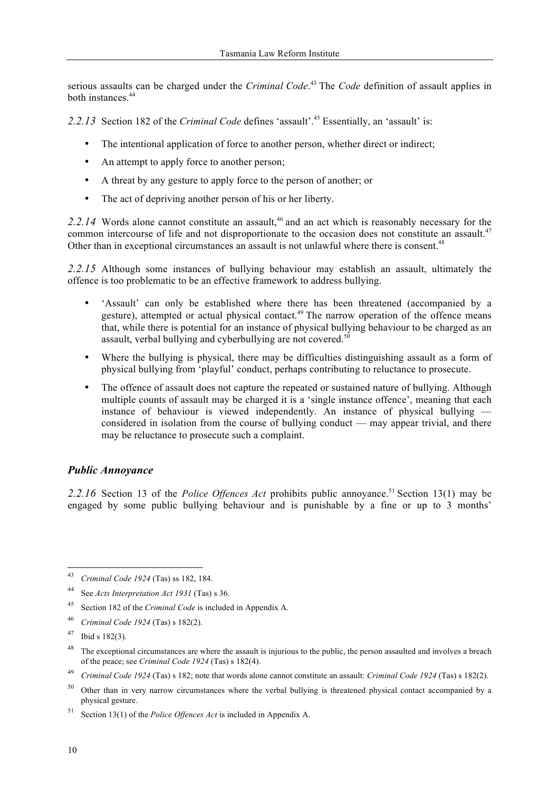serious assaults can be charged under the *Criminal Code*. <sup>43</sup> The *Code* definition of assault applies in both instances.<sup>44</sup>

*2.2.13* Section 182 of the *Criminal Code* defines 'assault'.<sup>45</sup> Essentially, an 'assault' is:

- The intentional application of force to another person, whether direct or indirect;
- An attempt to apply force to another person;
- A threat by any gesture to apply force to the person of another; or
- The act of depriving another person of his or her liberty.

2.2.14 Words alone cannot constitute an assault,<sup>46</sup> and an act which is reasonably necessary for the common intercourse of life and not disproportionate to the occasion does not constitute an assault.<sup>47</sup> Other than in exceptional circumstances an assault is not unlawful where there is consent.<sup>48</sup>

*2.2.15* Although some instances of bullying behaviour may establish an assault, ultimately the offence is too problematic to be an effective framework to address bullying.

- 'Assault' can only be established where there has been threatened (accompanied by a gesture), attempted or actual physical contact.<sup>49</sup> The narrow operation of the offence means that, while there is potential for an instance of physical bullying behaviour to be charged as an assault, verbal bullying and cyberbullying are not covered.<sup>50</sup>
- Where the bullying is physical, there may be difficulties distinguishing assault as a form of physical bullying from 'playful' conduct, perhaps contributing to reluctance to prosecute.
- The offence of assault does not capture the repeated or sustained nature of bullying. Although multiple counts of assault may be charged it is a 'single instance offence', meaning that each instance of behaviour is viewed independently. An instance of physical bullying considered in isolation from the course of bullying conduct — may appear trivial, and there may be reluctance to prosecute such a complaint.

#### *Public Annoyance*

2.2.16 Section 13 of the *Police Offences Act* prohibits public annoyance.<sup>51</sup> Section 13(1) may be engaged by some public bullying behaviour and is punishable by a fine or up to  $3 \text{ months}$ 

 <sup>43</sup> *Criminal Code 1924* (Tas) ss 182, 184.

<sup>44</sup> See *Acts Interpretation Act 1931* (Tas) s 36.

<sup>45</sup> Section 182 of the *Criminal Code* is included in Appendix A.

<sup>46</sup> *Criminal Code 1924* (Tas) s 182(2).

 $47$  Ibid s 182(3).

<sup>&</sup>lt;sup>48</sup> The exceptional circumstances are where the assault is injurious to the public, the person assaulted and involves a breach of the peace; see *Criminal Code 1924* (Tas) s 182(4).

<sup>49</sup> *Criminal Code 1924* (Tas) s 182; note that words alone cannot constitute an assault: *Criminal Code 1924* (Tas) s 182(2).

<sup>&</sup>lt;sup>50</sup> Other than in very narrow circumstances where the verbal bullying is threatened physical contact accompanied by a physical gesture.

<sup>51</sup> Section 13(1) of the *Police Offences Act* is included in Appendix A.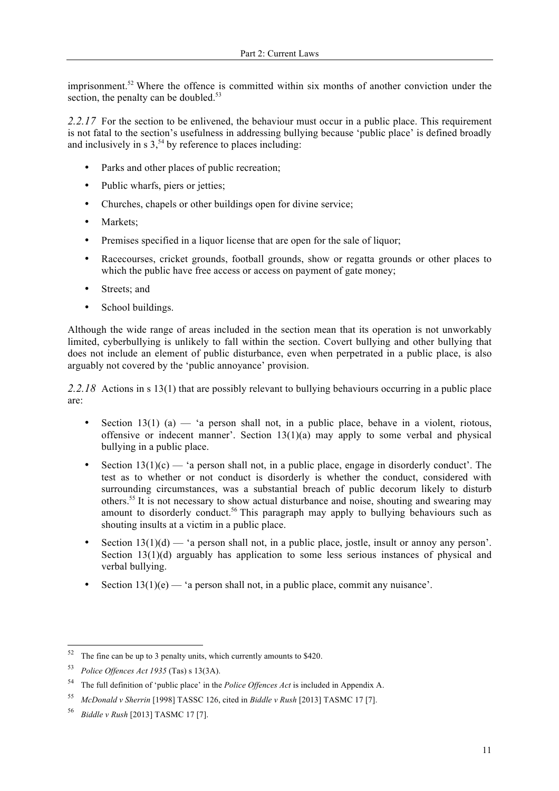imprisonment.<sup>52</sup> Where the offence is committed within six months of another conviction under the section, the penalty can be doubled.<sup>53</sup>

2.2.17 For the section to be enlivened, the behaviour must occur in a public place. This requirement is not fatal to the section's usefulness in addressing bullying because 'public place' is defined broadly and inclusively in s  $3^{54}$  by reference to places including:

- Parks and other places of public recreation;
- Public wharfs, piers or jetties;
- Churches, chapels or other buildings open for divine service;
- Markets<sup>•</sup>
- Premises specified in a liquor license that are open for the sale of liquor;
- Racecourses, cricket grounds, football grounds, show or regatta grounds or other places to which the public have free access or access on payment of gate money;
- Streets; and
- School buildings.

Although the wide range of areas included in the section mean that its operation is not unworkably limited, cyberbullying is unlikely to fall within the section. Covert bullying and other bullying that does not include an element of public disturbance, even when perpetrated in a public place, is also arguably not covered by the 'public annoyance' provision.

2.2.18 Actions in s 13(1) that are possibly relevant to bullying behaviours occurring in a public place are:

- Section 13(1) (a)  $-$  'a person shall not, in a public place, behave in a violent, riotous, offensive or indecent manner'. Section 13(1)(a) may apply to some verbal and physical bullying in a public place.
- Section  $13(1)(c)$  'a person shall not, in a public place, engage in disorderly conduct'. The test as to whether or not conduct is disorderly is whether the conduct, considered with surrounding circumstances, was a substantial breach of public decorum likely to disturb others. <sup>55</sup> It is not necessary to show actual disturbance and noise, shouting and swearing may amount to disorderly conduct.<sup>56</sup> This paragraph may apply to bullying behaviours such as shouting insults at a victim in a public place.
- Section  $13(1)(d)$  'a person shall not, in a public place, jostle, insult or annoy any person'. Section 13(1)(d) arguably has application to some less serious instances of physical and verbal bullying.
- Section  $13(1)(e)$  'a person shall not, in a public place, commit any nuisance'.

 $52$  The fine can be up to 3 penalty units, which currently amounts to \$420.

<sup>53</sup> *Police Offences Act 1935* (Tas) s 13(3A).

<sup>54</sup> The full definition of 'public place' in the *Police Offences Act* is included in Appendix A.

<sup>55</sup> *McDonald v Sherrin* [1998] TASSC 126, cited in *Biddle v Rush* [2013] TASMC 17 [7].

<sup>56</sup> *Biddle v Rush* [2013] TASMC 17 [7].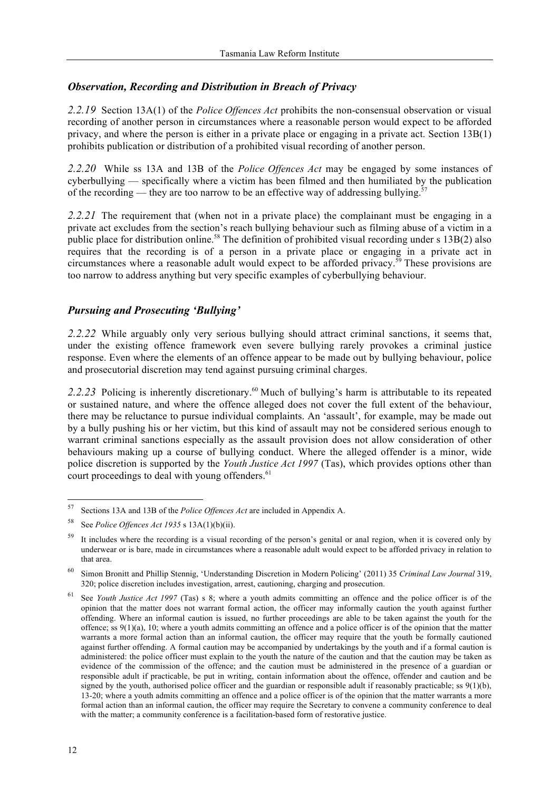#### *Observation, Recording and Distribution in Breach of Privacy*

*2.2.19* Section 13A(1) of the *Police Offences Act* prohibits the non-consensual observation or visual recording of another person in circumstances where a reasonable person would expect to be afforded privacy, and where the person is either in a private place or engaging in a private act. Section 13B(1) prohibits publication or distribution of a prohibited visual recording of another person.

*2.2.20* While ss 13A and 13B of the *Police Offences Act* may be engaged by some instances of cyberbullying — specifically where a victim has been filmed and then humiliated by the publication of the recording — they are too narrow to be an effective way of addressing bullying.<sup>5</sup>

*2.2.21* The requirement that (when not in a private place) the complainant must be engaging in a private act excludes from the section's reach bullying behaviour such as filming abuse of a victim in a public place for distribution online.<sup>58</sup> The definition of prohibited visual recording under s 13B(2) also requires that the recording is of a person in a private place or engaging in a private act in circumstances where a reasonable adult would expect to be afforded privacy.<sup>59</sup> These provisions are too narrow to address anything but very specific examples of cyberbullying behaviour.

#### *Pursuing and Prosecuting 'Bullying'*

2.2.22 While arguably only very serious bullying should attract criminal sanctions, it seems that, under the existing offence framework even severe bullying rarely provokes a criminal justice response. Even where the elements of an offence appear to be made out by bullying behaviour, police and prosecutorial discretion may tend against pursuing criminal charges.

2.2.23 Policing is inherently discretionary.<sup>60</sup> Much of bullying's harm is attributable to its repeated or sustained nature, and where the offence alleged does not cover the full extent of the behaviour, there may be reluctance to pursue individual complaints. An 'assault', for example, may be made out by a bully pushing his or her victim, but this kind of assault may not be considered serious enough to warrant criminal sanctions especially as the assault provision does not allow consideration of other behaviours making up a course of bullying conduct. Where the alleged offender is a minor, wide police discretion is supported by the *Youth Justice Act 1997* (Tas), which provides options other than court proceedings to deal with young offenders.<sup>61</sup>

 <sup>57</sup> Sections 13A and 13B of the *Police Offences Act* are included in Appendix A.

<sup>58</sup> See *Police Offences Act 1935* s 13A(1)(b)(ii).

<sup>&</sup>lt;sup>59</sup> It includes where the recording is a visual recording of the person's genital or anal region, when it is covered only by underwear or is bare, made in circumstances where a reasonable adult would expect to be afforded privacy in relation to that area.

<sup>60</sup> Simon Bronitt and Phillip Stennig, 'Understanding Discretion in Modern Policing' (2011) 35 *Criminal Law Journal* 319, 320; police discretion includes investigation, arrest, cautioning, charging and prosecution.

<sup>61</sup> See *Youth Justice Act 1997* (Tas) s 8; where a youth admits committing an offence and the police officer is of the opinion that the matter does not warrant formal action, the officer may informally caution the youth against further offending. Where an informal caution is issued, no further proceedings are able to be taken against the youth for the offence; ss  $9(1)(a)$ , 10; where a youth admits committing an offence and a police officer is of the opinion that the matter warrants a more formal action than an informal caution, the officer may require that the youth be formally cautioned against further offending. A formal caution may be accompanied by undertakings by the youth and if a formal caution is administered: the police officer must explain to the youth the nature of the caution and that the caution may be taken as evidence of the commission of the offence; and the caution must be administered in the presence of a guardian or responsible adult if practicable, be put in writing, contain information about the offence, offender and caution and be signed by the youth, authorised police officer and the guardian or responsible adult if reasonably practicable; ss 9(1)(b), 13-20; where a youth admits committing an offence and a police officer is of the opinion that the matter warrants a more formal action than an informal caution, the officer may require the Secretary to convene a community conference to deal with the matter; a community conference is a facilitation-based form of restorative justice.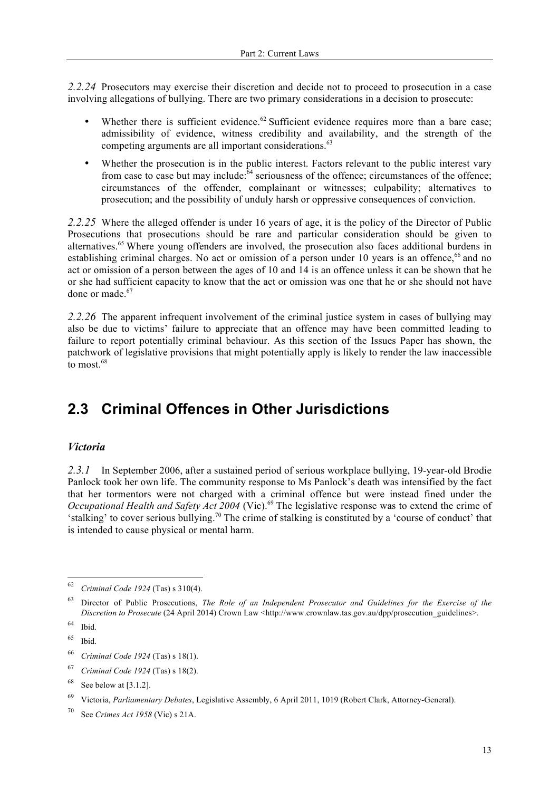*2.2.24* Prosecutors may exercise their discretion and decide not to proceed to prosecution in a case involving allegations of bullying. There are two primary considerations in a decision to prosecute:

- Whether there is sufficient evidence.<sup>62</sup> Sufficient evidence requires more than a bare case; admissibility of evidence, witness credibility and availability, and the strength of the competing arguments are all important considerations.<sup>63</sup>
- Whether the prosecution is in the public interest. Factors relevant to the public interest vary from case to case but may include: ${}^{64}$  seriousness of the offence; circumstances of the offence; circumstances of the offender, complainant or witnesses; culpability; alternatives to prosecution; and the possibility of unduly harsh or oppressive consequences of conviction.

*2.2.25* Where the alleged offender is under 16 years of age, it is the policy of the Director of Public Prosecutions that prosecutions should be rare and particular consideration should be given to alternatives.<sup>65</sup> Where young offenders are involved, the prosecution also faces additional burdens in establishing criminal charges. No act or omission of a person under 10 years is an offence, <sup>66</sup> and no act or omission of a person between the ages of 10 and 14 is an offence unless it can be shown that he or she had sufficient capacity to know that the act or omission was one that he or she should not have done or made <sup>67</sup>

2.2.26 The apparent infrequent involvement of the criminal justice system in cases of bullying may also be due to victims' failure to appreciate that an offence may have been committed leading to failure to report potentially criminal behaviour. As this section of the Issues Paper has shown, the patchwork of legislative provisions that might potentially apply is likely to render the law inaccessible to most. $68$ 

### **2.3 Criminal Offences in Other Jurisdictions**

#### *Victoria*

*2.3.1* In September 2006, after a sustained period of serious workplace bullying, 19-year-old Brodie Panlock took her own life. The community response to Ms Panlock's death was intensified by the fact that her tormentors were not charged with a criminal offence but were instead fined under the *Occupational Health and Safety Act 2004* (Vic).<sup>69</sup> The legislative response was to extend the crime of 'stalking' to cover serious bullying.<sup>70</sup> The crime of stalking is constituted by a 'course of conduct' that is intended to cause physical or mental harm.

 <sup>62</sup> *Criminal Code 1924* (Tas) s 310(4).

<sup>63</sup> Director of Public Prosecutions, *The Role of an Independent Prosecutor and Guidelines for the Exercise of the Discretion to Prosecute* (24 April 2014) Crown Law <http://www.crownlaw.tas.gov.au/dpp/prosecution\_guidelines>.

 $64$  Ibid.

 $65$  Ibid.

<sup>66</sup> *Criminal Code 1924* (Tas) s 18(1).

<sup>67</sup> *Criminal Code 1924* (Tas) s 18(2).

 $68$  See below at [3.1.2].

<sup>69</sup> Victoria, *Parliamentary Debates*, Legislative Assembly, 6 April 2011, 1019 (Robert Clark, Attorney-General).

<sup>70</sup> See *Crimes Act 1958* (Vic) s 21A.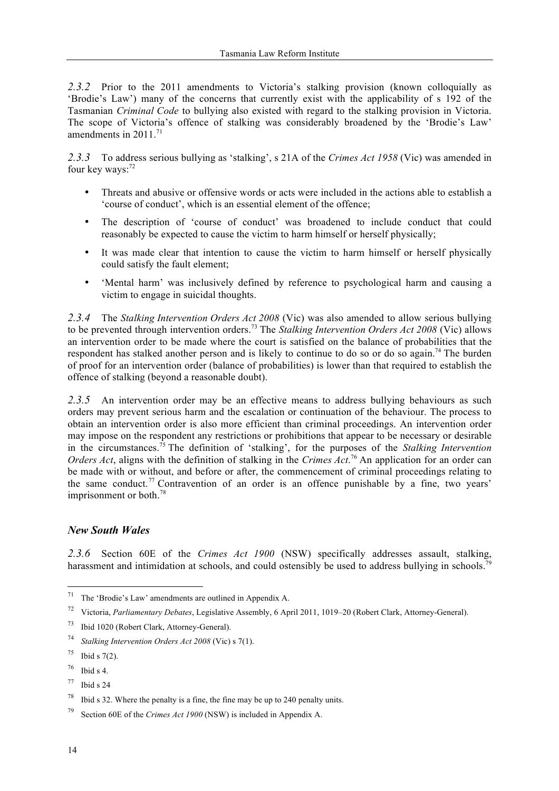2.3.2 Prior to the 2011 amendments to Victoria's stalking provision (known colloquially as 'Brodie's Law') many of the concerns that currently exist with the applicability of s 192 of the Tasmanian *Criminal Code* to bullying also existed with regard to the stalking provision in Victoria. The scope of Victoria's offence of stalking was considerably broadened by the 'Brodie's Law' amendments in 2011.<sup>71</sup>

*2.3.3* To address serious bullying as 'stalking', s 21A of the *Crimes Act 1958* (Vic) was amended in four key ways:<sup>72</sup>

- Threats and abusive or offensive words or acts were included in the actions able to establish a 'course of conduct', which is an essential element of the offence;
- The description of 'course of conduct' was broadened to include conduct that could reasonably be expected to cause the victim to harm himself or herself physically;
- It was made clear that intention to cause the victim to harm himself or herself physically could satisfy the fault element;
- 'Mental harm' was inclusively defined by reference to psychological harm and causing a victim to engage in suicidal thoughts.

*2.3.4* The *Stalking Intervention Orders Act 2008* (Vic) was also amended to allow serious bullying to be prevented through intervention orders.<sup>73</sup> The *Stalking Intervention Orders Act 2008* (Vic) allows an intervention order to be made where the court is satisfied on the balance of probabilities that the respondent has stalked another person and is likely to continue to do so or do so again.<sup>74</sup> The burden of proof for an intervention order (balance of probabilities) is lower than that required to establish the offence of stalking (beyond a reasonable doubt).

2.3.5 An intervention order may be an effective means to address bullying behaviours as such orders may prevent serious harm and the escalation or continuation of the behaviour. The process to obtain an intervention order is also more efficient than criminal proceedings. An intervention order may impose on the respondent any restrictions or prohibitions that appear to be necessary or desirable in the circumstances.<sup>75</sup> The definition of 'stalking', for the purposes of the *Stalking Intervention Orders Act*, aligns with the definition of stalking in the *Crimes Act*. <sup>76</sup> An application for an order can be made with or without, and before or after, the commencement of criminal proceedings relating to the same conduct.<sup>77</sup> Contravention of an order is an offence punishable by a fine, two years' imprisonment or both.<sup>78</sup>

#### *New South Wales*

*2.3.6* Section 60E of the *Crimes Act 1900* (NSW) specifically addresses assault, stalking, harassment and intimidation at schools, and could ostensibly be used to address bullying in schools.<sup>7</sup>

 <sup>71</sup> The 'Brodie's Law' amendments are outlined in Appendix A.

<sup>72</sup> Victoria, *Parliamentary Debates*, Legislative Assembly, 6 April 2011, 1019–20 (Robert Clark, Attorney-General).

<sup>73</sup> Ibid 1020 (Robert Clark, Attorney-General).

<sup>74</sup> *Stalking Intervention Orders Act 2008* (Vic) s 7(1).

 $75$  Ibid s  $7(2)$ .

 $76$  Ibid s 4.

 $77$  Ibid s 24

 $78$  Ibid s 32. Where the penalty is a fine, the fine may be up to 240 penalty units.

<sup>79</sup> Section 60E of the *Crimes Act 1900* (NSW) is included in Appendix A.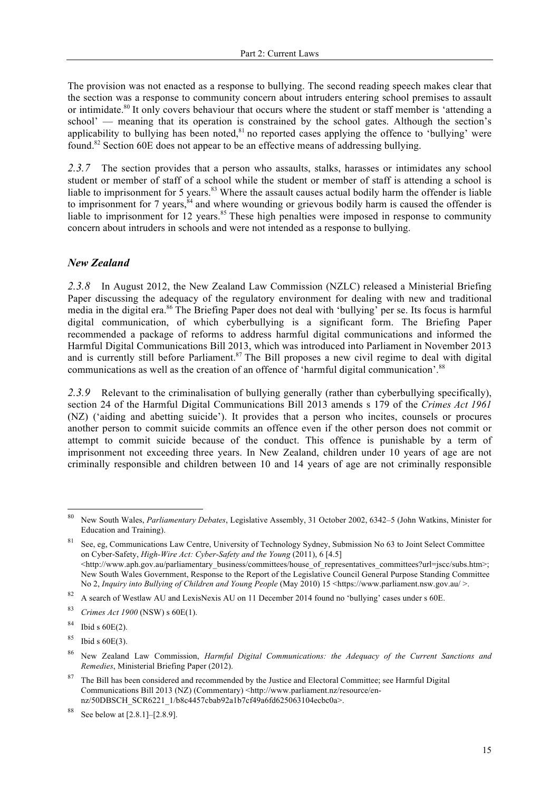The provision was not enacted as a response to bullying. The second reading speech makes clear that the section was a response to community concern about intruders entering school premises to assault or intimidate.<sup>80</sup> It only covers behaviour that occurs where the student or staff member is 'attending a school' — meaning that its operation is constrained by the school gates. Although the section's applicability to bullying has been noted, $81$  no reported cases applying the offence to 'bullying' were found.82 Section 60E does not appear to be an effective means of addressing bullying.

2.3.7 The section provides that a person who assaults, stalks, harasses or intimidates any school student or member of staff of a school while the student or member of staff is attending a school is liable to imprisonment for 5 years.<sup>83</sup> Where the assault causes actual bodily harm the offender is liable to imprisonment for  $\sigma$  years,  $\frac{84}{3}$  and where wounding or grievous bodily harm is caused the offender is liable to imprisonment for 12 years.<sup>85</sup> These high penalties were imposed in response to community concern about intruders in schools and were not intended as a response to bullying.

#### *New Zealand*

*2.3.8* In August 2012, the New Zealand Law Commission (NZLC) released a Ministerial Briefing Paper discussing the adequacy of the regulatory environment for dealing with new and traditional media in the digital era.<sup>86</sup> The Briefing Paper does not deal with 'bullying' per se. Its focus is harmful digital communication, of which cyberbullying is a significant form. The Briefing Paper recommended a package of reforms to address harmful digital communications and informed the Harmful Digital Communications Bill 2013, which was introduced into Parliament in November 2013 and is currently still before Parliament.<sup>87</sup> The Bill proposes a new civil regime to deal with digital communications as well as the creation of an offence of 'harmful digital communication'. 88

2.3.9 Relevant to the criminalisation of bullying generally (rather than cyberbullying specifically), section 24 of the Harmful Digital Communications Bill 2013 amends s 179 of the *Crimes Act 1961* (NZ) ('aiding and abetting suicide'). It provides that a person who incites, counsels or procures another person to commit suicide commits an offence even if the other person does not commit or attempt to commit suicide because of the conduct. This offence is punishable by a term of imprisonment not exceeding three years. In New Zealand, children under 10 years of age are not criminally responsible and children between 10 and 14 years of age are not criminally responsible

 <sup>80</sup> New South Wales, *Parliamentary Debates*, Legislative Assembly, 31 October 2002, 6342–5 (John Watkins, Minister for Education and Training).

<sup>81</sup> See, eg, Communications Law Centre, University of Technology Sydney, Submission No 63 to Joint Select Committee on Cyber-Safety, *High-Wire Act: Cyber-Safety and the Young* (2011), 6 [4.5] <http://www.aph.gov.au/parliamentary\_business/committees/house\_of\_representatives\_committees?url=jscc/subs.htm>; New South Wales Government, Response to the Report of the Legislative Council General Purpose Standing Committee No 2, *Inquiry into Bullying of Children and Young People* (May 2010) 15 <https://www.parliament.nsw.gov.au/ >.

<sup>82</sup> A search of Westlaw AU and LexisNexis AU on 11 December 2014 found no 'bullying' cases under s 60E.

<sup>83</sup> *Crimes Act 1900* (NSW) s 60E(1).

 $84$  Ibid s 60E(2).

 $85$  Ibid s 60E(3).

<sup>86</sup> New Zealand Law Commission, *Harmful Digital Communications: the Adequacy of the Current Sanctions and Remedies*, Ministerial Briefing Paper (2012).

<sup>&</sup>lt;sup>87</sup> The Bill has been considered and recommended by the Justice and Electoral Committee; see Harmful Digital Communications Bill 2013 (NZ) (Commentary) <http://www.parliament.nz/resource/ennz/50DBSCH\_SCR6221\_1/b8c4457cbab92a1b7cf49a6fd625063104ecbc0a>.

<sup>88</sup> See below at [2.8.1]–[2.8.9].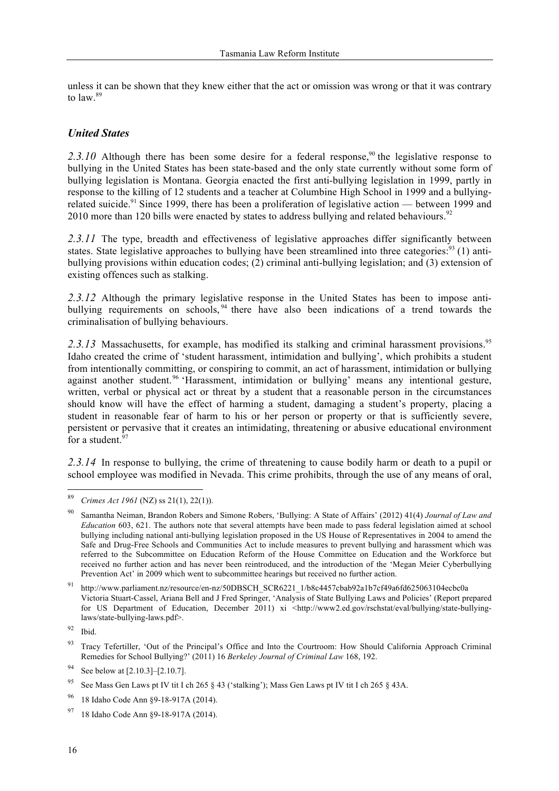unless it can be shown that they knew either that the act or omission was wrong or that it was contrary to law.<sup>89</sup>

#### *United States*

2.3.10 Although there has been some desire for a federal response,<sup>90</sup> the legislative response to bullying in the United States has been state-based and the only state currently without some form of bullying legislation is Montana. Georgia enacted the first anti-bullying legislation in 1999, partly in response to the killing of 12 students and a teacher at Columbine High School in 1999 and a bullyingrelated suicide.<sup>91</sup> Since 1999, there has been a proliferation of legislative action — between 1999 and 2010 more than 120 bills were enacted by states to address bullying and related behaviours.<sup>92</sup>

2.3.11 The type, breadth and effectiveness of legislative approaches differ significantly between states. State legislative approaches to bullying have been streamlined into three categories: $93$  (1) antibullying provisions within education codes; (2) criminal anti-bullying legislation; and (3) extension of existing offences such as stalking.

2.3.12 Although the primary legislative response in the United States has been to impose antibullying requirements on schools,  $94$  there have also been indications of a trend towards the criminalisation of bullying behaviours.

2.3.13 Massachusetts, for example, has modified its stalking and criminal harassment provisions.<sup>95</sup> Idaho created the crime of 'student harassment, intimidation and bullying', which prohibits a student from intentionally committing, or conspiring to commit, an act of harassment, intimidation or bullying against another student.<sup>96</sup> 'Harassment, intimidation or bullying' means any intentional gesture, written, verbal or physical act or threat by a student that a reasonable person in the circumstances should know will have the effect of harming a student, damaging a student's property, placing a student in reasonable fear of harm to his or her person or property or that is sufficiently severe, persistent or pervasive that it creates an intimidating, threatening or abusive educational environment for a student. $97$ 

*2.3.14* In response to bullying, the crime of threatening to cause bodily harm or death to a pupil or school employee was modified in Nevada. This crime prohibits, through the use of any means of oral,

 <sup>89</sup> *Crimes Act 1961* (NZ) ss 21(1), 22(1)).

<sup>90</sup> Samantha Neiman, Brandon Robers and Simone Robers, 'Bullying: A State of Affairs' (2012) 41(4) *Journal of Law and Education* 603, 621. The authors note that several attempts have been made to pass federal legislation aimed at school bullying including national anti-bullying legislation proposed in the US House of Representatives in 2004 to amend the Safe and Drug-Free Schools and Communities Act to include measures to prevent bullying and harassment which was referred to the Subcommittee on Education Reform of the House Committee on Education and the Workforce but received no further action and has never been reintroduced, and the introduction of the 'Megan Meier Cyberbullying Prevention Act' in 2009 which went to subcommittee hearings but received no further action.

http://www.parliament.nz/resource/en-nz/50DBSCH\_SCR6221\_1/b8c4457cbab92a1b7cf49a6fd625063104ecbc0a Victoria Stuart-Cassel, Ariana Bell and J Fred Springer, 'Analysis of State Bullying Laws and Policies' (Report prepared for US Department of Education, December 2011) xi <http://www2.ed.gov/rschstat/eval/bullying/state-bullyinglaws/state-bullying-laws.pdf>.

 $92$  Ibid.

<sup>&</sup>lt;sup>93</sup> Tracy Tefertiller, 'Out of the Principal's Office and Into the Courtroom: How Should California Approach Criminal Remedies for School Bullying?' (2011) 16 *Berkeley Journal of Criminal Law* 168, 192.

<sup>94</sup> See below at [2.10.3]–[2.10.7].

<sup>95</sup> See Mass Gen Laws pt IV tit I ch 265 § 43 ('stalking'); Mass Gen Laws pt IV tit I ch 265 § 43A.

<sup>96</sup> 18 Idaho Code Ann §9-18-917A (2014).

<sup>97</sup> 18 Idaho Code Ann §9-18-917A (2014).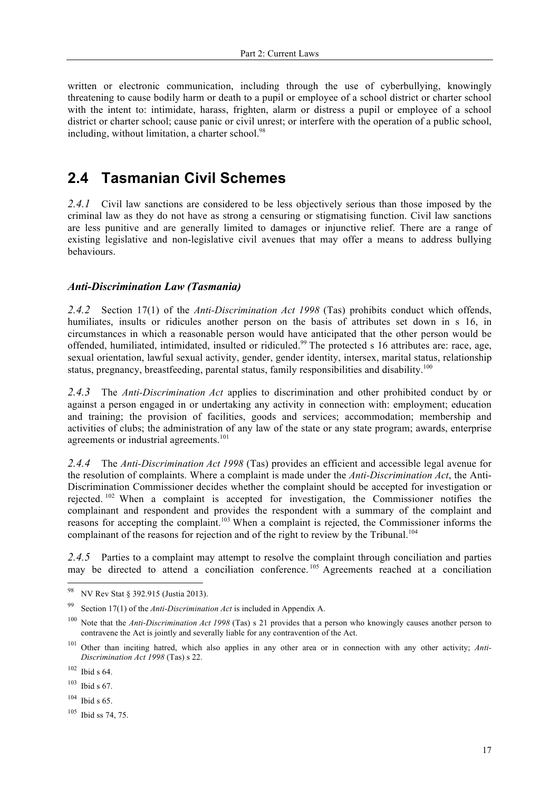written or electronic communication, including through the use of cyberbullying, knowingly threatening to cause bodily harm or death to a pupil or employee of a school district or charter school with the intent to: intimidate, harass, frighten, alarm or distress a pupil or employee of a school district or charter school; cause panic or civil unrest; or interfere with the operation of a public school, including, without limitation, a charter school. $98$ 

### **2.4 Tasmanian Civil Schemes**

2.4.1 Civil law sanctions are considered to be less objectively serious than those imposed by the criminal law as they do not have as strong a censuring or stigmatising function. Civil law sanctions are less punitive and are generally limited to damages or injunctive relief. There are a range of existing legislative and non-legislative civil avenues that may offer a means to address bullying behaviours.

#### *Anti-Discrimination Law (Tasmania)*

*2.4.2* Section 17(1) of the *Anti-Discrimination Act 1998* (Tas) prohibits conduct which offends, humiliates, insults or ridicules another person on the basis of attributes set down in s 16, in circumstances in which a reasonable person would have anticipated that the other person would be offended, humiliated, intimidated, insulted or ridiculed.<sup>99</sup> The protected s 16 attributes are: race, age, sexual orientation, lawful sexual activity, gender, gender identity, intersex, marital status, relationship status, pregnancy, breastfeeding, parental status, family responsibilities and disability.<sup>100</sup>

*2.4.3* The *Anti-Discrimination Act* applies to discrimination and other prohibited conduct by or against a person engaged in or undertaking any activity in connection with: employment; education and training; the provision of facilities, goods and services; accommodation; membership and activities of clubs; the administration of any law of the state or any state program; awards, enterprise agreements or industrial agreements.<sup>101</sup>

*2.4.4* The *Anti-Discrimination Act 1998* (Tas) provides an efficient and accessible legal avenue for the resolution of complaints. Where a complaint is made under the *Anti-Discrimination Act*, the Anti-Discrimination Commissioner decides whether the complaint should be accepted for investigation or rejected. <sup>102</sup> When a complaint is accepted for investigation, the Commissioner notifies the complainant and respondent and provides the respondent with a summary of the complaint and reasons for accepting the complaint.<sup>103</sup> When a complaint is rejected, the Commissioner informs the complainant of the reasons for rejection and of the right to review by the Tribunal.<sup>104</sup>

2.4.5 Parties to a complaint may attempt to resolve the complaint through conciliation and parties may be directed to attend a conciliation conference.<sup>105</sup> Agreements reached at a conciliation

 $104$  Ibid s 65.

 <sup>98</sup> NV Rev Stat § 392.915 (Justia 2013).

<sup>99</sup> Section 17(1) of the *Anti-Discrimination Act* is included in Appendix A.

<sup>100</sup> Note that the *Anti-Discrimination Act 1998* (Tas) s 21 provides that a person who knowingly causes another person to contravene the Act is jointly and severally liable for any contravention of the Act.

<sup>&</sup>lt;sup>101</sup> Other than inciting hatred, which also applies in any other area or in connection with any other activity; *Anti*-*Discrimination Act 1998* (Tas) s 22.

 $102$  Ibid s 64.

 $103$  Ibid s 67.

<sup>105</sup> Ibid ss 74, 75.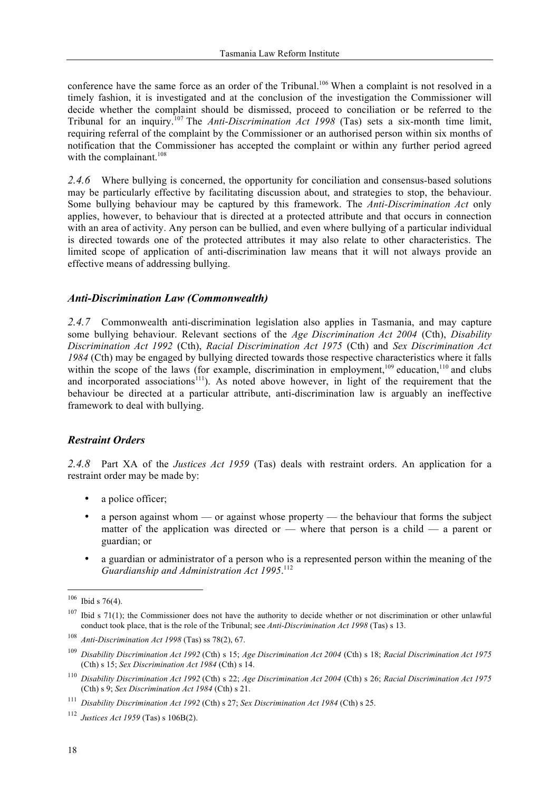conference have the same force as an order of the Tribunal.<sup>106</sup> When a complaint is not resolved in a timely fashion, it is investigated and at the conclusion of the investigation the Commissioner will decide whether the complaint should be dismissed, proceed to conciliation or be referred to the Tribunal for an inquiry.<sup>107</sup> The *Anti-Discrimination Act 1998* (Tas) sets a six-month time limit, requiring referral of the complaint by the Commissioner or an authorised person within six months of notification that the Commissioner has accepted the complaint or within any further period agreed with the complainant. $108$ 

2.4.6 Where bullying is concerned, the opportunity for conciliation and consensus-based solutions may be particularly effective by facilitating discussion about, and strategies to stop, the behaviour. Some bullying behaviour may be captured by this framework. The *Anti-Discrimination Act* only applies, however, to behaviour that is directed at a protected attribute and that occurs in connection with an area of activity. Any person can be bullied, and even where bullying of a particular individual is directed towards one of the protected attributes it may also relate to other characteristics. The limited scope of application of anti-discrimination law means that it will not always provide an effective means of addressing bullying.

#### *Anti-Discrimination Law (Commonwealth)*

2.4.7 Commonwealth anti-discrimination legislation also applies in Tasmania, and may capture some bullying behaviour. Relevant sections of the *Age Discrimination Act 2004* (Cth), *Disability Discrimination Act 1992* (Cth), *Racial Discrimination Act 1975* (Cth) and *Sex Discrimination Act 1984* (Cth) may be engaged by bullying directed towards those respective characteristics where it falls within the scope of the laws (for example, discrimination in employment, $109$  education, $110$  and clubs and incorporated associations<sup>111</sup>). As noted above however, in light of the requirement that the behaviour be directed at a particular attribute, anti-discrimination law is arguably an ineffective framework to deal with bullying.

#### *Restraint Orders*

*2.4.8* Part XA of the *Justices Act 1959* (Tas) deals with restraint orders. An application for a restraint order may be made by:

- a police officer;
- a person against whom or against whose property the behaviour that forms the subject matter of the application was directed or — where that person is a child — a parent or guardian; or
- a guardian or administrator of a person who is a represented person within the meaning of the *Guardianship and Administration Act 1995*. 112

 $106$  Ibid s 76(4).

 $107$  Ibid s 71(1); the Commissioner does not have the authority to decide whether or not discrimination or other unlawful conduct took place, that is the role of the Tribunal; see *Anti-Discrimination Act 1998* (Tas) s 13.

<sup>108</sup> *Anti-Discrimination Act 1998* (Tas) ss 78(2), 67.

<sup>109</sup> *Disability Discrimination Act 1992* (Cth) s 15; *Age Discrimination Act 2004* (Cth) s 18; *Racial Discrimination Act 1975* (Cth) s 15; *Sex Discrimination Act 1984* (Cth) s 14.

<sup>110</sup> *Disability Discrimination Act 1992* (Cth) s 22; *Age Discrimination Act 2004* (Cth) s 26; *Racial Discrimination Act 1975* (Cth) s 9; *Sex Discrimination Act 1984* (Cth) s 21.

<sup>111</sup> *Disability Discrimination Act 1992* (Cth) s 27; *Sex Discrimination Act 1984* (Cth) s 25.

<sup>112</sup> *Justices Act 1959* (Tas) s 106B(2).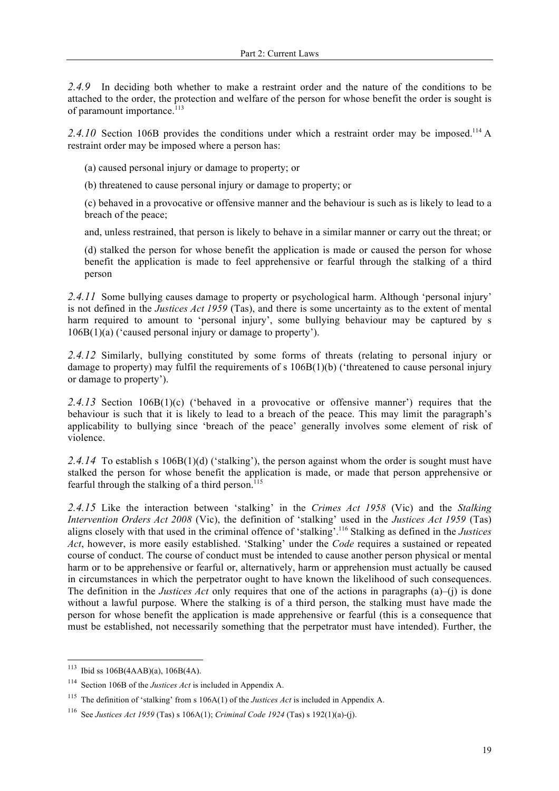2.4.9 In deciding both whether to make a restraint order and the nature of the conditions to be attached to the order, the protection and welfare of the person for whose benefit the order is sought is of paramount importance.<sup>113</sup>

2.4.10 Section 106B provides the conditions under which a restraint order may be imposed.<sup>114</sup> A restraint order may be imposed where a person has:

(a) caused personal injury or damage to property; or

(b) threatened to cause personal injury or damage to property; or

(c) behaved in a provocative or offensive manner and the behaviour is such as is likely to lead to a breach of the peace;

and, unless restrained, that person is likely to behave in a similar manner or carry out the threat; or

(d) stalked the person for whose benefit the application is made or caused the person for whose benefit the application is made to feel apprehensive or fearful through the stalking of a third person

*2.4.11* Some bullying causes damage to property or psychological harm. Although 'personal injury' is not defined in the *Justices Act 1959* (Tas), and there is some uncertainty as to the extent of mental harm required to amount to 'personal injury', some bullying behaviour may be captured by s 106B(1)(a) ('caused personal injury or damage to property').

2.4.12 Similarly, bullying constituted by some forms of threats (relating to personal injury or damage to property) may fulfil the requirements of s 106B(1)(b) ('threatened to cause personal injury or damage to property').

2.4.13 Section 106B(1)(c) ('behaved in a provocative or offensive manner') requires that the behaviour is such that it is likely to lead to a breach of the peace. This may limit the paragraph's applicability to bullying since 'breach of the peace' generally involves some element of risk of violence.

2.4.14 To establish s 106B(1)(d) ('stalking'), the person against whom the order is sought must have stalked the person for whose benefit the application is made, or made that person apprehensive or fearful through the stalking of a third person.<sup> $115$ </sup>

*2.4.15* Like the interaction between 'stalking' in the *Crimes Act 1958* (Vic) and the *Stalking Intervention Orders Act 2008* (Vic), the definition of 'stalking' used in the *Justices Act 1959* (Tas) aligns closely with that used in the criminal offence of 'stalking'.<sup>116</sup> Stalking as defined in the *Justices Act*, however, is more easily established. 'Stalking' under the *Code* requires a sustained or repeated course of conduct. The course of conduct must be intended to cause another person physical or mental harm or to be apprehensive or fearful or, alternatively, harm or apprehension must actually be caused in circumstances in which the perpetrator ought to have known the likelihood of such consequences. The definition in the *Justices Act* only requires that one of the actions in paragraphs (a)–(j) is done without a lawful purpose. Where the stalking is of a third person, the stalking must have made the person for whose benefit the application is made apprehensive or fearful (this is a consequence that must be established, not necessarily something that the perpetrator must have intended). Further, the

<sup>&</sup>lt;sup>113</sup> Ibid ss  $106B(4AAB)(a)$ ,  $106B(4A)$ .

<sup>114</sup> Section 106B of the *Justices Act* is included in Appendix A.

<sup>115</sup> The definition of 'stalking' from s 106A(1) of the *Justices Act* is included in Appendix A.

<sup>116</sup> See *Justices Act 1959* (Tas) s 106A(1); *Criminal Code 1924* (Tas) s 192(1)(a)-(j).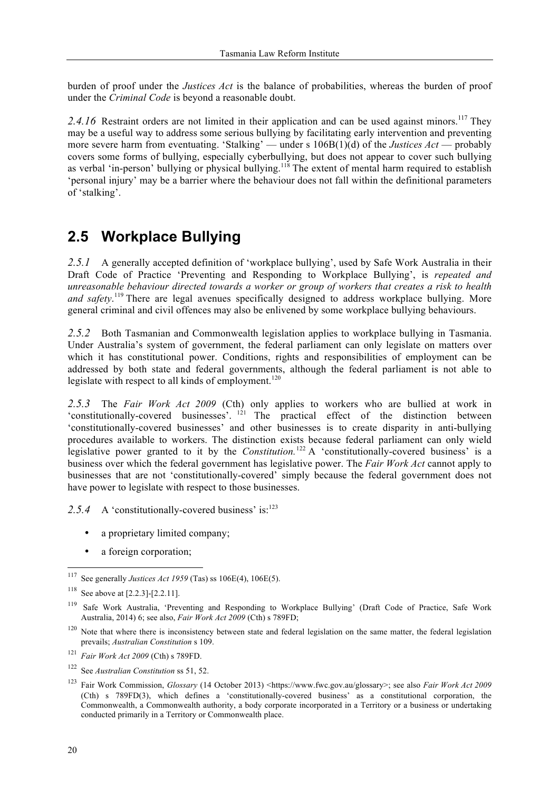burden of proof under the *Justices Act* is the balance of probabilities, whereas the burden of proof under the *Criminal Code* is beyond a reasonable doubt.

2.4.16 Restraint orders are not limited in their application and can be used against minors.<sup>117</sup> They may be a useful way to address some serious bullying by facilitating early intervention and preventing more severe harm from eventuating. 'Stalking' — under s 106B(1)(d) of the *Justices Act* — probably covers some forms of bullying, especially cyberbullying, but does not appear to cover such bullying as verbal 'in-person' bullying or physical bullying.<sup>118</sup> The extent of mental harm required to establish 'personal injury' may be a barrier where the behaviour does not fall within the definitional parameters of 'stalking'.

### **2.5 Workplace Bullying**

2.5.1 A generally accepted definition of 'workplace bullying', used by Safe Work Australia in their Draft Code of Practice 'Preventing and Responding to Workplace Bullying', is *repeated and unreasonable behaviour directed towards a worker or group of workers that creates a risk to health and safety*. <sup>119</sup> There are legal avenues specifically designed to address workplace bullying. More general criminal and civil offences may also be enlivened by some workplace bullying behaviours.

*2.5.2* Both Tasmanian and Commonwealth legislation applies to workplace bullying in Tasmania. Under Australia's system of government, the federal parliament can only legislate on matters over which it has constitutional power. Conditions, rights and responsibilities of employment can be addressed by both state and federal governments, although the federal parliament is not able to legislate with respect to all kinds of employment. $120$ 

*2.5.3* The *Fair Work Act 2009* (Cth) only applies to workers who are bullied at work in 'constitutionally-covered businesses'. <sup>121</sup> The practical effect of the distinction between 'constitutionally-covered businesses' and other businesses is to create disparity in anti-bullying procedures available to workers. The distinction exists because federal parliament can only wield legislative power granted to it by the *Constitution.*<sup>122</sup> A 'constitutionally-covered business' is a business over which the federal government has legislative power. The *Fair Work Act* cannot apply to businesses that are not 'constitutionally-covered' simply because the federal government does not have power to legislate with respect to those businesses.

2.5.4 A 'constitutionally-covered business' is:<sup>123</sup>

- a proprietary limited company;
- a foreign corporation;

See generally *Justices Act 1959* (Tas) ss 106E(4), 106E(5).

<sup>118</sup> See above at [2.2.3]-[2.2.11].

<sup>119</sup> Safe Work Australia, 'Preventing and Responding to Workplace Bullying' (Draft Code of Practice, Safe Work Australia, 2014) 6; see also, *Fair Work Act 2009* (Cth) s 789FD;

<sup>&</sup>lt;sup>120</sup> Note that where there is inconsistency between state and federal legislation on the same matter, the federal legislation prevails; *Australian Constitution* s 109.

<sup>121</sup> *Fair Work Act 2009* (Cth) s 789FD.

<sup>122</sup> See *Australian Constitution* ss 51, 52.

<sup>123</sup> Fair Work Commission, *Glossary* (14 October 2013) <https://www.fwc.gov.au/glossary>; see also *Fair Work Act 2009*  (Cth) s 789FD(3), which defines a 'constitutionally-covered business' as a constitutional corporation, the Commonwealth, a Commonwealth authority, a body corporate incorporated in a Territory or a business or undertaking conducted primarily in a Territory or Commonwealth place.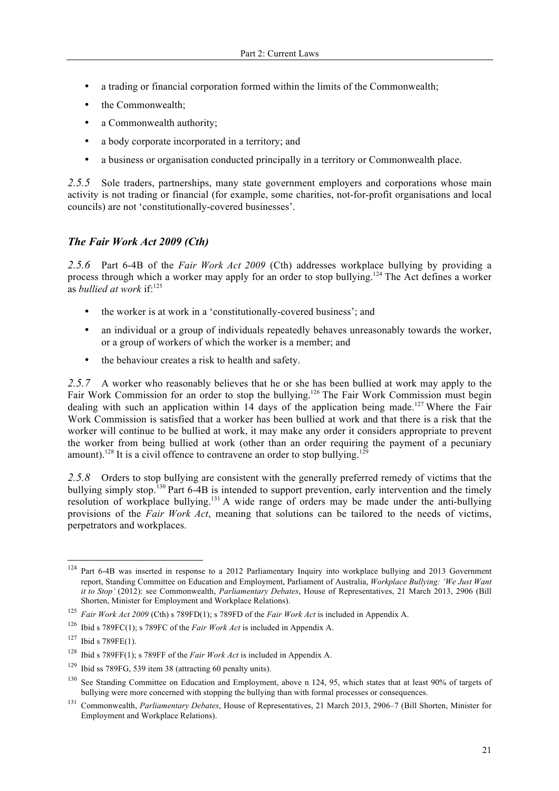- a trading or financial corporation formed within the limits of the Commonwealth;
- the Commonwealth;
- a Commonwealth authority;
- a body corporate incorporated in a territory; and
- a business or organisation conducted principally in a territory or Commonwealth place.

2.5.5 Sole traders, partnerships, many state government employers and corporations whose main activity is not trading or financial (for example, some charities, not-for-profit organisations and local councils) are not 'constitutionally-covered businesses'.

#### *The Fair Work Act 2009 (Cth)*

*2.5.6* Part 6-4B of the *Fair Work Act 2009* (Cth) addresses workplace bullying by providing a process through which a worker may apply for an order to stop bullying.<sup>124</sup> The Act defines a worker as *bullied at work* if<sup>-125</sup>

- the worker is at work in a 'constitutionally-covered business'; and
- an individual or a group of individuals repeatedly behaves unreasonably towards the worker, or a group of workers of which the worker is a member; and
- the behaviour creates a risk to health and safety.

*2.5.7* A worker who reasonably believes that he or she has been bullied at work may apply to the Fair Work Commission for an order to stop the bullying.<sup>126</sup> The Fair Work Commission must begin dealing with such an application within  $14$  days of the application being made.<sup>127</sup> Where the Fair Work Commission is satisfied that a worker has been bullied at work and that there is a risk that the worker will continue to be bullied at work, it may make any order it considers appropriate to prevent the worker from being bullied at work (other than an order requiring the payment of a pecuniary amount).<sup>128</sup> It is a civil offence to contravene an order to stop bullying.<sup>129</sup>

2.5.8 Orders to stop bullying are consistent with the generally preferred remedy of victims that the bullying simply stop.<sup>130</sup> Part 6-4B is intended to support prevention, early intervention and the timely resolution of workplace bullying.<sup>131</sup> A wide range of orders may be made under the anti-bullying provisions of the *Fair Work Act*, meaning that solutions can be tailored to the needs of victims, perpetrators and workplaces.

<sup>&</sup>lt;sup>124</sup> Part 6-4B was inserted in response to a 2012 Parliamentary Inquiry into workplace bullying and 2013 Government report, Standing Committee on Education and Employment, Parliament of Australia, *Workplace Bullying: 'We Just Want it to Stop'* (2012): see Commonwealth, *Parliamentary Debates*, House of Representatives, 21 March 2013, 2906 (Bill Shorten, Minister for Employment and Workplace Relations).

<sup>125</sup> *Fair Work Act 2009* (Cth) s 789FD(1); s 789FD of the *Fair Work Act* is included in Appendix A.

<sup>126</sup> Ibid s 789FC(1); s 789FC of the *Fair Work Act* is included in Appendix A.

 $127$  Ibid s 789FE(1).

<sup>128</sup> Ibid s 789FF(1); s 789FF of the *Fair Work Act* is included in Appendix A.

<sup>129</sup> Ibid ss 789FG, 539 item 38 (attracting 60 penalty units).

<sup>&</sup>lt;sup>130</sup> See Standing Committee on Education and Employment, above n 124, 95, which states that at least 90% of targets of bullying were more concerned with stopping the bullying than with formal processes or consequences.

<sup>131</sup> Commonwealth, *Parliamentary Debates*, House of Representatives, 21 March 2013, 2906–7 (Bill Shorten, Minister for Employment and Workplace Relations).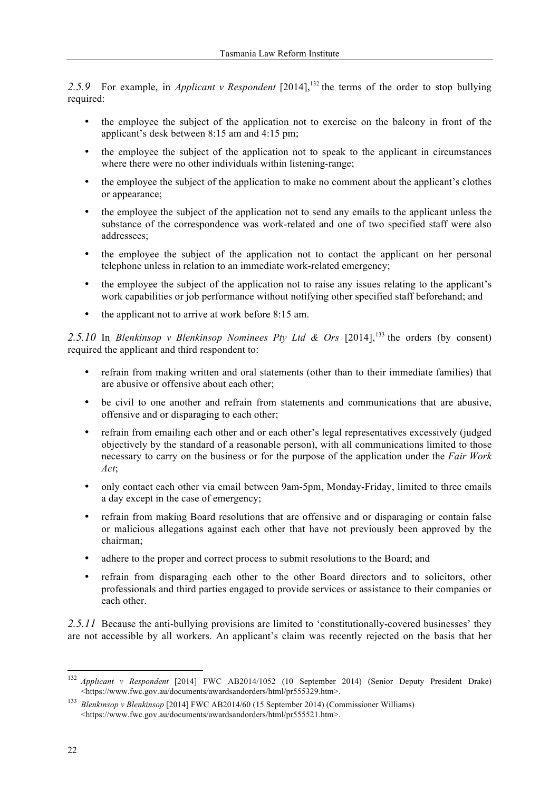2.5.9 For example, in *Applicant v Respondent* [2014],<sup>132</sup> the terms of the order to stop bullying required:

- the employee the subject of the application not to exercise on the balcony in front of the applicant's desk between 8:15 am and 4:15 pm;
- the employee the subject of the application not to speak to the applicant in circumstances where there were no other individuals within listening-range;
- the employee the subject of the application to make no comment about the applicant's clothes or appearance;
- the employee the subject of the application not to send any emails to the applicant unless the substance of the correspondence was work-related and one of two specified staff were also addressees;
- the employee the subject of the application not to contact the applicant on her personal telephone unless in relation to an immediate work-related emergency;
- the employee the subject of the application not to raise any issues relating to the applicant's work capabilities or job performance without notifying other specified staff beforehand; and
- the applicant not to arrive at work before 8:15 am.

2.5.10 In *Blenkinsop v Blenkinsop Nominees Pty Ltd & Ors* [2014],<sup>133</sup> the orders (by consent) required the applicant and third respondent to:

- refrain from making written and oral statements (other than to their immediate families) that are abusive or offensive about each other;
- be civil to one another and refrain from statements and communications that are abusive, offensive and or disparaging to each other;
- refrain from emailing each other and or each other's legal representatives excessively (judged objectively by the standard of a reasonable person), with all communications limited to those necessary to carry on the business or for the purpose of the application under the *Fair Work Act*;
- only contact each other via email between 9am-5pm, Monday-Friday, limited to three emails a day except in the case of emergency;
- refrain from making Board resolutions that are offensive and or disparaging or contain false or malicious allegations against each other that have not previously been approved by the chairman;
- adhere to the proper and correct process to submit resolutions to the Board; and
- refrain from disparaging each other to the other Board directors and to solicitors, other professionals and third parties engaged to provide services or assistance to their companies or each other.

2.5.11 Because the anti-bullying provisions are limited to 'constitutionally-covered businesses' they are not accessible by all workers. An applicant's claim was recently rejected on the basis that her

 <sup>132</sup> *Applicant v Respondent* [2014] FWC AB2014/1052 (10 September 2014) (Senior Deputy President Drake) <https://www.fwc.gov.au/documents/awardsandorders/html/pr555329.htm>.

<sup>133</sup> *Blenkinsop v Blenkinsop* [2014] FWC AB2014/60 (15 September 2014) (Commissioner Williams) <https://www.fwc.gov.au/documents/awardsandorders/html/pr555521.htm>.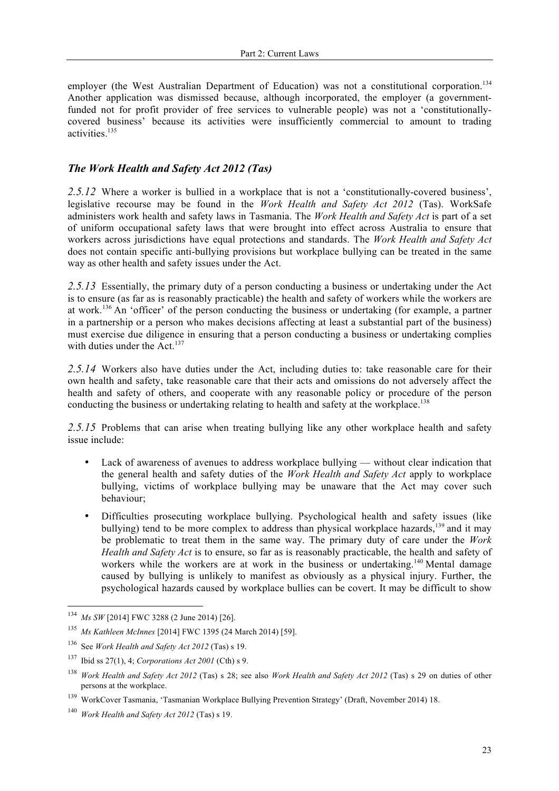employer (the West Australian Department of Education) was not a constitutional corporation.<sup>134</sup> Another application was dismissed because, although incorporated, the employer (a governmentfunded not for profit provider of free services to vulnerable people) was not a 'constitutionallycovered business' because its activities were insufficiently commercial to amount to trading activities<sup>135</sup>

#### *The Work Health and Safety Act 2012 (Tas)*

2.5.12 Where a worker is bullied in a workplace that is not a 'constitutionally-covered business', legislative recourse may be found in the *Work Health and Safety Act 2012* (Tas). WorkSafe administers work health and safety laws in Tasmania. The *Work Health and Safety Act* is part of a set of uniform occupational safety laws that were brought into effect across Australia to ensure that workers across jurisdictions have equal protections and standards. The *Work Health and Safety Act* does not contain specific anti-bullying provisions but workplace bullying can be treated in the same way as other health and safety issues under the Act.

*2.5.13* Essentially, the primary duty of a person conducting a business or undertaking under the Act is to ensure (as far as is reasonably practicable) the health and safety of workers while the workers are at work.<sup>136</sup> An 'officer' of the person conducting the business or undertaking (for example, a partner in a partnership or a person who makes decisions affecting at least a substantial part of the business) must exercise due diligence in ensuring that a person conducting a business or undertaking complies with duties under the  $Act^{137}$ 

2.5.14 Workers also have duties under the Act, including duties to: take reasonable care for their own health and safety, take reasonable care that their acts and omissions do not adversely affect the health and safety of others, and cooperate with any reasonable policy or procedure of the person conducting the business or undertaking relating to health and safety at the workplace.<sup>138</sup>

2.5.15 Problems that can arise when treating bullying like any other workplace health and safety issue include:

- Lack of awareness of avenues to address workplace bullying without clear indication that the general health and safety duties of the *Work Health and Safety Act* apply to workplace bullying, victims of workplace bullying may be unaware that the Act may cover such behaviour;
- Difficulties prosecuting workplace bullying. Psychological health and safety issues (like bullying) tend to be more complex to address than physical workplace hazards,<sup>139</sup> and it may be problematic to treat them in the same way. The primary duty of care under the *Work Health and Safety Act* is to ensure, so far as is reasonably practicable, the health and safety of workers while the workers are at work in the business or undertaking.<sup>140</sup> Mental damage caused by bullying is unlikely to manifest as obviously as a physical injury. Further, the psychological hazards caused by workplace bullies can be covert. It may be difficult to show

 <sup>134</sup> *Ms SW* [2014] FWC 3288 (2 June 2014) [26].

<sup>135</sup> *Ms Kathleen McInnes* [2014] FWC 1395 (24 March 2014) [59].

<sup>136</sup> See *Work Health and Safety Act 2012* (Tas) s 19.

<sup>137</sup> Ibid ss 27(1), 4; *Corporations Act 2001* (Cth) s 9.

<sup>138</sup> *Work Health and Safety Act 2012* (Tas) s 28; see also *Work Health and Safety Act 2012* (Tas) s 29 on duties of other persons at the workplace.

<sup>139</sup> WorkCover Tasmania, 'Tasmanian Workplace Bullying Prevention Strategy' (Draft, November 2014) 18.

<sup>140</sup> *Work Health and Safety Act 2012* (Tas) s 19.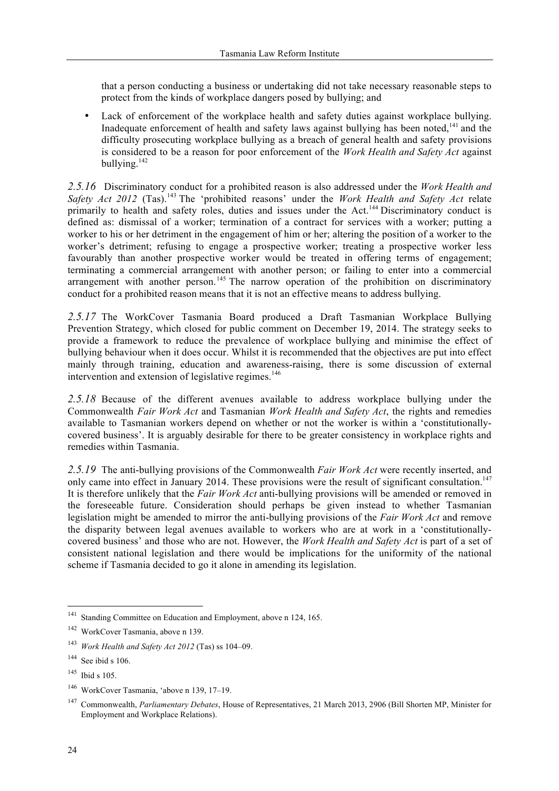that a person conducting a business or undertaking did not take necessary reasonable steps to protect from the kinds of workplace dangers posed by bullying; and

Lack of enforcement of the workplace health and safety duties against workplace bullying. Inadequate enforcement of health and safety laws against bullying has been noted,<sup>141</sup> and the difficulty prosecuting workplace bullying as a breach of general health and safety provisions is considered to be a reason for poor enforcement of the *Work Health and Safety Act* against bullying.142

*2.5.16* Discriminatory conduct for a prohibited reason is also addressed under the *Work Health and Safety Act 2012* (Tas).<sup>143</sup> The 'prohibited reasons' under the *Work Health and Safety Act* relate primarily to health and safety roles, duties and issues under the Act.<sup>144</sup> Discriminatory conduct is defined as: dismissal of a worker; termination of a contract for services with a worker; putting a worker to his or her detriment in the engagement of him or her; altering the position of a worker to the worker's detriment; refusing to engage a prospective worker; treating a prospective worker less favourably than another prospective worker would be treated in offering terms of engagement; terminating a commercial arrangement with another person; or failing to enter into a commercial arrangement with another person.<sup>145</sup> The narrow operation of the prohibition on discriminatory conduct for a prohibited reason means that it is not an effective means to address bullying.

*2.5.17* The WorkCover Tasmania Board produced a Draft Tasmanian Workplace Bullying Prevention Strategy, which closed for public comment on December 19, 2014. The strategy seeks to provide a framework to reduce the prevalence of workplace bullying and minimise the effect of bullying behaviour when it does occur. Whilst it is recommended that the objectives are put into effect mainly through training, education and awareness-raising, there is some discussion of external intervention and extension of legislative regimes. $146$ 

*2.5.18* Because of the different avenues available to address workplace bullying under the Commonwealth *Fair Work Act* and Tasmanian *Work Health and Safety Act*, the rights and remedies available to Tasmanian workers depend on whether or not the worker is within a 'constitutionallycovered business'. It is arguably desirable for there to be greater consistency in workplace rights and remedies within Tasmania.

*2.5.19* The anti-bullying provisions of the Commonwealth *Fair Work Act* were recently inserted, and only came into effect in January 2014. These provisions were the result of significant consultation.<sup>147</sup> It is therefore unlikely that the *Fair Work Act* anti-bullying provisions will be amended or removed in the foreseeable future. Consideration should perhaps be given instead to whether Tasmanian legislation might be amended to mirror the anti-bullying provisions of the *Fair Work Act* and remove the disparity between legal avenues available to workers who are at work in a 'constitutionallycovered business' and those who are not. However, the *Work Health and Safety Act* is part of a set of consistent national legislation and there would be implications for the uniformity of the national scheme if Tasmania decided to go it alone in amending its legislation.

Standing Committee on Education and Employment, above n 124, 165.

<sup>142</sup> WorkCover Tasmania, above n 139.

<sup>143</sup> *Work Health and Safety Act 2012* (Tas) ss 104–09.

 $144$  See ibid s 106.

 $145$  Ibid s 105.

<sup>146</sup> WorkCover Tasmania, 'above n 139, 17–19.

<sup>147</sup> Commonwealth, *Parliamentary Debates*, House of Representatives, 21 March 2013, 2906 (Bill Shorten MP, Minister for Employment and Workplace Relations).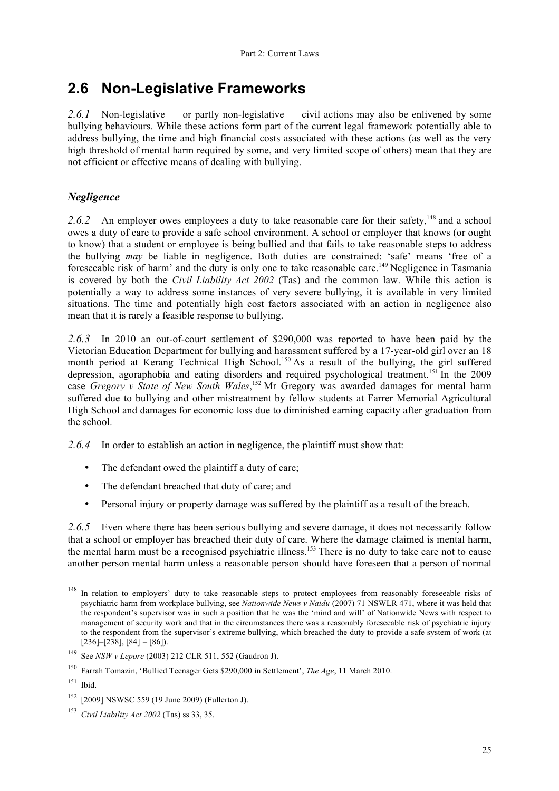### **2.6 Non-Legislative Frameworks**

2.6.1 Non-legislative — or partly non-legislative — civil actions may also be enlivened by some bullying behaviours. While these actions form part of the current legal framework potentially able to address bullying, the time and high financial costs associated with these actions (as well as the very high threshold of mental harm required by some, and very limited scope of others) mean that they are not efficient or effective means of dealing with bullying.

#### *Negligence*

2.6.2 An employer owes employees a duty to take reasonable care for their safety,<sup>148</sup> and a school owes a duty of care to provide a safe school environment. A school or employer that knows (or ought to know) that a student or employee is being bullied and that fails to take reasonable steps to address the bullying *may* be liable in negligence. Both duties are constrained: 'safe' means 'free of a foreseeable risk of harm' and the duty is only one to take reasonable care.<sup>149</sup> Negligence in Tasmania is covered by both the *Civil Liability Act 2002* (Tas) and the common law. While this action is potentially a way to address some instances of very severe bullying, it is available in very limited situations. The time and potentially high cost factors associated with an action in negligence also mean that it is rarely a feasible response to bullying.

*2.6.3* In 2010 an out-of-court settlement of \$290,000 was reported to have been paid by the Victorian Education Department for bullying and harassment suffered by a 17-year-old girl over an 18 month period at Kerang Technical High School.<sup>150</sup> As a result of the bullying, the girl suffered depression, agoraphobia and eating disorders and required psychological treatment.<sup>151</sup> In the 2009 case *Gregory v State of New South Wales*, <sup>152</sup> Mr Gregory was awarded damages for mental harm suffered due to bullying and other mistreatment by fellow students at Farrer Memorial Agricultural High School and damages for economic loss due to diminished earning capacity after graduation from the school.

*2.6.4* In order to establish an action in negligence, the plaintiff must show that:

- The defendant owed the plaintiff a duty of care;
- The defendant breached that duty of care; and
- Personal injury or property damage was suffered by the plaintiff as a result of the breach.

2.6.5 Even where there has been serious bullying and severe damage, it does not necessarily follow that a school or employer has breached their duty of care. Where the damage claimed is mental harm, the mental harm must be a recognised psychiatric illness.<sup>153</sup> There is no duty to take care not to cause another person mental harm unless a reasonable person should have foreseen that a person of normal

<sup>&</sup>lt;sup>148</sup> In relation to employers' duty to take reasonable steps to protect employees from reasonably foreseeable risks of psychiatric harm from workplace bullying, see *Nationwide News v Naidu* (2007) 71 NSWLR 471, where it was held that the respondent's supervisor was in such a position that he was the 'mind and will' of Nationwide News with respect to management of security work and that in the circumstances there was a reasonably foreseeable risk of psychiatric injury to the respondent from the supervisor's extreme bullying, which breached the duty to provide a safe system of work (at  $[236]$ – $[238]$ ,  $[84]$  –  $[86]$ ).

<sup>149</sup> See *NSW v Lepore* (2003) 212 CLR 511, 552 (Gaudron J).

<sup>150</sup> Farrah Tomazin, 'Bullied Teenager Gets \$290,000 in Settlement', *The Age*, 11 March 2010.

<sup>151</sup> Ibid.

<sup>152</sup> [2009] NSWSC 559 (19 June 2009) (Fullerton J).

<sup>153</sup> *Civil Liability Act 2002* (Tas) ss 33, 35.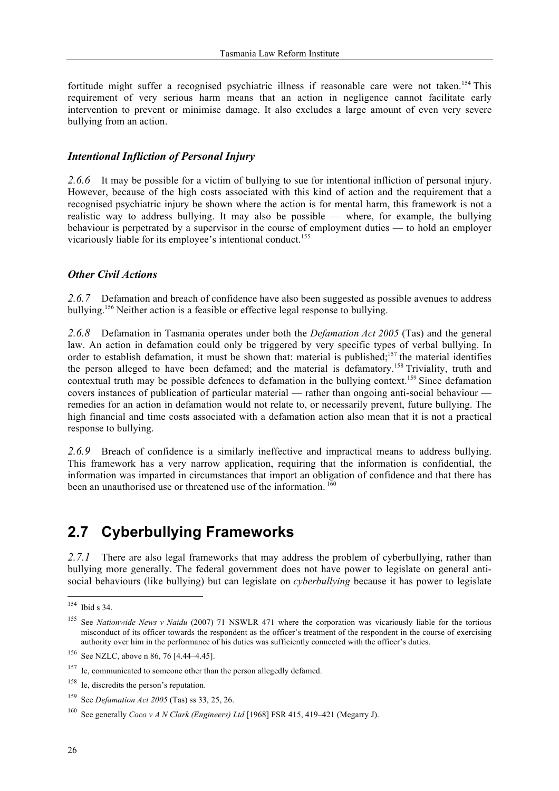fortitude might suffer a recognised psychiatric illness if reasonable care were not taken.<sup>154</sup> This requirement of very serious harm means that an action in negligence cannot facilitate early intervention to prevent or minimise damage. It also excludes a large amount of even very severe bullying from an action.

#### *Intentional Infliction of Personal Injury*

2.6.6 It may be possible for a victim of bullying to sue for intentional infliction of personal injury. However, because of the high costs associated with this kind of action and the requirement that a recognised psychiatric injury be shown where the action is for mental harm, this framework is not a realistic way to address bullying. It may also be possible — where, for example, the bullying behaviour is perpetrated by a supervisor in the course of employment duties — to hold an employer vicariously liable for its employee's intentional conduct.<sup>155</sup>

#### *Other Civil Actions*

2.6.7 Defamation and breach of confidence have also been suggested as possible avenues to address bullying.<sup>156</sup> Neither action is a feasible or effective legal response to bullying.

*2.6.8* Defamation in Tasmania operates under both the *Defamation Act 2005* (Tas) and the general law. An action in defamation could only be triggered by very specific types of verbal bullying. In order to establish defamation, it must be shown that: material is published;<sup>157</sup> the material identifies the person alleged to have been defamed; and the material is defamatory.<sup>158</sup> Triviality, truth and contextual truth may be possible defences to defamation in the bullying context.<sup>159</sup> Since defamation covers instances of publication of particular material — rather than ongoing anti-social behaviour remedies for an action in defamation would not relate to, or necessarily prevent, future bullying. The high financial and time costs associated with a defamation action also mean that it is not a practical response to bullying.

*2.6.9* Breach of confidence is a similarly ineffective and impractical means to address bullying. This framework has a very narrow application, requiring that the information is confidential, the information was imparted in circumstances that import an obligation of confidence and that there has been an unauthorised use or threatened use of the information.<sup>160</sup>

### **2.7 Cyberbullying Frameworks**

2.7.1 There are also legal frameworks that may address the problem of cyberbullying, rather than bullying more generally. The federal government does not have power to legislate on general antisocial behaviours (like bullying) but can legislate on *cyberbullying* because it has power to legislate

 <sup>154</sup> Ibid s 34.

<sup>155</sup> See *Nationwide News v Naidu* (2007) 71 NSWLR 471 where the corporation was vicariously liable for the tortious misconduct of its officer towards the respondent as the officer's treatment of the respondent in the course of exercising authority over him in the performance of his duties was sufficiently connected with the officer's duties.

<sup>156</sup> See NZLC, above n 86, 76 [4.44–4.45].

<sup>&</sup>lt;sup>157</sup> Ie, communicated to someone other than the person allegedly defamed.

<sup>&</sup>lt;sup>158</sup> Ie, discredits the person's reputation.

<sup>159</sup> See *Defamation Act 2005* (Tas) ss 33, 25, 26.

<sup>160</sup> See generally *Coco v A N Clark (Engineers) Ltd* [1968] FSR 415, 419–421 (Megarry J).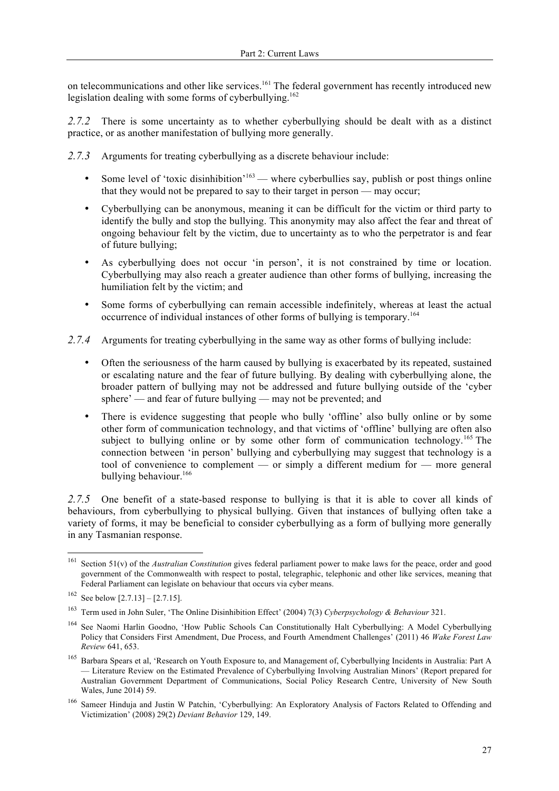on telecommunications and other like services.<sup>161</sup> The federal government has recently introduced new legislation dealing with some forms of cyberbullying.<sup>162</sup>

*2.7.2* There is some uncertainty as to whether cyberbullying should be dealt with as a distinct practice, or as another manifestation of bullying more generally.

*2.7.3* Arguments for treating cyberbullying as a discrete behaviour include:

- Some level of 'toxic disinhibition'<sup>163</sup> where cyberbullies say, publish or post things online that they would not be prepared to say to their target in person — may occur;
- Cyberbullying can be anonymous, meaning it can be difficult for the victim or third party to identify the bully and stop the bullying. This anonymity may also affect the fear and threat of ongoing behaviour felt by the victim, due to uncertainty as to who the perpetrator is and fear of future bullying;
- As cyberbullying does not occur 'in person', it is not constrained by time or location. Cyberbullying may also reach a greater audience than other forms of bullying, increasing the humiliation felt by the victim; and
- Some forms of cyberbullying can remain accessible indefinitely, whereas at least the actual occurrence of individual instances of other forms of bullying is temporary.<sup>164</sup>
- *2.7.4* Arguments for treating cyberbullying in the same way as other forms of bullying include:
	- Often the seriousness of the harm caused by bullying is exacerbated by its repeated, sustained or escalating nature and the fear of future bullying. By dealing with cyberbullying alone, the broader pattern of bullying may not be addressed and future bullying outside of the 'cyber sphere' — and fear of future bullying — may not be prevented; and
	- There is evidence suggesting that people who bully 'offline' also bully online or by some other form of communication technology, and that victims of 'offline' bullying are often also subject to bullying online or by some other form of communication technology.<sup>165</sup> The connection between 'in person' bullying and cyberbullying may suggest that technology is a tool of convenience to complement — or simply a different medium for — more general bullying behaviour.<sup>166</sup>

2.7.5 One benefit of a state-based response to bullying is that it is able to cover all kinds of behaviours, from cyberbullying to physical bullying. Given that instances of bullying often take a variety of forms, it may be beneficial to consider cyberbullying as a form of bullying more generally in any Tasmanian response.

 <sup>161</sup> Section 51(v) of the *Australian Constitution* gives federal parliament power to make laws for the peace, order and good government of the Commonwealth with respect to postal, telegraphic, telephonic and other like services, meaning that Federal Parliament can legislate on behaviour that occurs via cyber means.

<sup>&</sup>lt;sup>162</sup> See below  $[2.7.13] - [2.7.15]$ .

<sup>163</sup> Term used in John Suler, 'The Online Disinhibition Effect' (2004) 7(3) *Cyberpsychology & Behaviour* 321.

<sup>&</sup>lt;sup>164</sup> See Naomi Harlin Goodno, 'How Public Schools Can Constitutionally Halt Cyberbullying: A Model Cyberbullying Policy that Considers First Amendment, Due Process, and Fourth Amendment Challenges' (2011) 46 *Wake Forest Law Review* 641, 653.

<sup>&</sup>lt;sup>165</sup> Barbara Spears et al, 'Research on Youth Exposure to, and Management of, Cyberbullying Incidents in Australia: Part A — Literature Review on the Estimated Prevalence of Cyberbullying Involving Australian Minors' (Report prepared for Australian Government Department of Communications, Social Policy Research Centre, University of New South Wales, June 2014) 59.

<sup>&</sup>lt;sup>166</sup> Sameer Hinduja and Justin W Patchin, 'Cyberbullying: An Exploratory Analysis of Factors Related to Offending and Victimization' (2008) 29(2) *Deviant Behavior* 129, 149.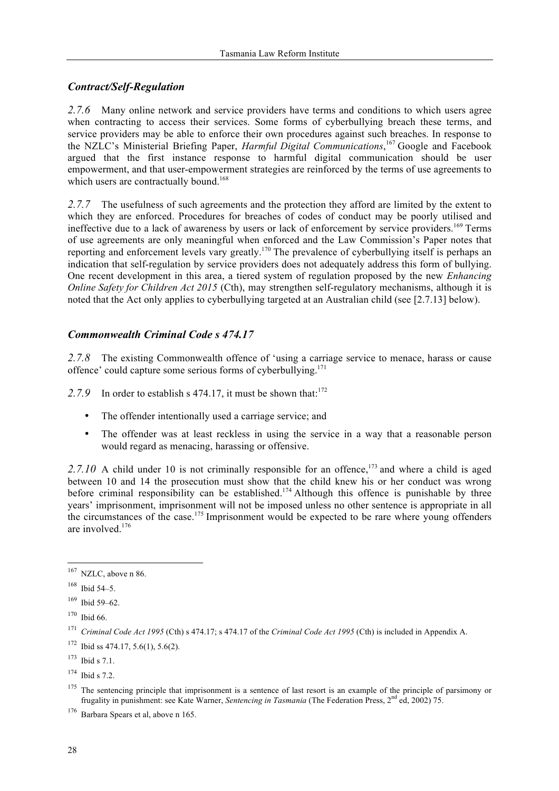# *Contract/Self-Regulation*

*2.7.6* Many online network and service providers have terms and conditions to which users agree when contracting to access their services. Some forms of cyberbullying breach these terms, and service providers may be able to enforce their own procedures against such breaches. In response to the NZLC's Ministerial Briefing Paper, *Harmful Digital Communications*, <sup>167</sup> Google and Facebook argued that the first instance response to harmful digital communication should be user empowerment, and that user-empowerment strategies are reinforced by the terms of use agreements to which users are contractually bound.<sup>168</sup>

2.7.7 The usefulness of such agreements and the protection they afford are limited by the extent to which they are enforced. Procedures for breaches of codes of conduct may be poorly utilised and ineffective due to a lack of awareness by users or lack of enforcement by service providers.<sup>169</sup> Terms of use agreements are only meaningful when enforced and the Law Commission's Paper notes that reporting and enforcement levels vary greatly.<sup>170</sup> The prevalence of cyberbullying itself is perhaps an indication that self-regulation by service providers does not adequately address this form of bullying. One recent development in this area, a tiered system of regulation proposed by the new *Enhancing Online Safety for Children Act 2015* (Cth), may strengthen self-regulatory mechanisms, although it is noted that the Act only applies to cyberbullying targeted at an Australian child (see [2.7.13] below).

# *Commonwealth Criminal Code s 474.17*

*2.7.8* The existing Commonwealth offence of 'using a carriage service to menace, harass or cause offence' could capture some serious forms of cyberbullying.171

2.7.9 In order to establish s  $474.17$ , it must be shown that:<sup>172</sup>

- The offender intentionally used a carriage service; and
- The offender was at least reckless in using the service in a way that a reasonable person would regard as menacing, harassing or offensive.

2.7.10 A child under 10 is not criminally responsible for an offence,<sup>173</sup> and where a child is aged between 10 and 14 the prosecution must show that the child knew his or her conduct was wrong before criminal responsibility can be established.<sup>174</sup> Although this offence is punishable by three years' imprisonment, imprisonment will not be imposed unless no other sentence is appropriate in all the circumstances of the case.<sup>175</sup> Imprisonment would be expected to be rare where young offenders are involved.176

 $167$  NZLC, above n 86.

 $168$  Ibid 54–5.

 $169$  Ibid 59–62.

 $170$  Ibid 66.

<sup>171</sup> *Criminal Code Act 1995* (Cth) s 474.17; s 474.17 of the *Criminal Code Act 1995* (Cth) is included in Appendix A.

<sup>&</sup>lt;sup>172</sup> Ibid ss 474.17, 5.6(1), 5.6(2).

 $173$  Ibid s 7.1.

<sup>174</sup> Ibid s 7.2.

 $175$  The sentencing principle that imprisonment is a sentence of last resort is an example of the principle of parsimony or frugality in punishment: see Kate Warner, *Sentencing in Tasmania* (The Federation Press, 2nd ed, 2002) 75.

<sup>176</sup> Barbara Spears et al, above n 165.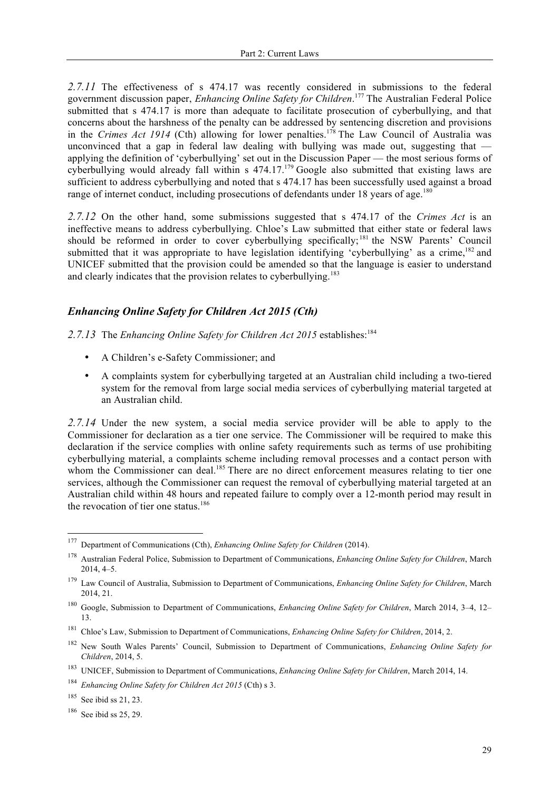2.7.11 The effectiveness of s 474.17 was recently considered in submissions to the federal government discussion paper, *Enhancing Online Safety for Children*. <sup>177</sup> The Australian Federal Police submitted that s 474.17 is more than adequate to facilitate prosecution of cyberbullying, and that concerns about the harshness of the penalty can be addressed by sentencing discretion and provisions in the *Crimes Act 1914* (Cth) allowing for lower penalties.<sup>178</sup> The Law Council of Australia was unconvinced that a gap in federal law dealing with bullying was made out, suggesting that applying the definition of 'cyberbullying' set out in the Discussion Paper — the most serious forms of cyberbullying would already fall within s 474.17.<sup>179</sup> Google also submitted that existing laws are sufficient to address cyberbullying and noted that s 474.17 has been successfully used against a broad range of internet conduct, including prosecutions of defendants under 18 years of age.<sup>180</sup>

*2.7.12* On the other hand, some submissions suggested that s 474.17 of the *Crimes Act* is an ineffective means to address cyberbullying. Chloe's Law submitted that either state or federal laws should be reformed in order to cover cyberbullying specifically;<sup>181</sup> the NSW Parents' Council submitted that it was appropriate to have legislation identifying 'cyberbullying' as a crime.<sup>182</sup> and UNICEF submitted that the provision could be amended so that the language is easier to understand and clearly indicates that the provision relates to cyberbullying.<sup>183</sup>

# *Enhancing Online Safety for Children Act 2015 (Cth)*

*2.7.13* The *Enhancing Online Safety for Children Act 2015* establishes: 184

- A Children's e-Safety Commissioner; and
- A complaints system for cyberbullying targeted at an Australian child including a two-tiered system for the removal from large social media services of cyberbullying material targeted at an Australian child.

*2.7.14* Under the new system, a social media service provider will be able to apply to the Commissioner for declaration as a tier one service. The Commissioner will be required to make this declaration if the service complies with online safety requirements such as terms of use prohibiting cyberbullying material, a complaints scheme including removal processes and a contact person with whom the Commissioner can deal.<sup>185</sup> There are no direct enforcement measures relating to tier one services, although the Commissioner can request the removal of cyberbullying material targeted at an Australian child within 48 hours and repeated failure to comply over a 12-month period may result in the revocation of tier one status.<sup>186</sup>

 <sup>177</sup> Department of Communications (Cth), *Enhancing Online Safety for Children* (2014).

<sup>178</sup> Australian Federal Police, Submission to Department of Communications, *Enhancing Online Safety for Children*, March 2014, 4–5.

<sup>179</sup> Law Council of Australia, Submission to Department of Communications, *Enhancing Online Safety for Children*, March 2014, 21.

<sup>180</sup> Google, Submission to Department of Communications, *Enhancing Online Safety for Children*, March 2014, 3–4, 12– 13.

<sup>181</sup> Chloe's Law, Submission to Department of Communications, *Enhancing Online Safety for Children*, 2014, 2.

<sup>182</sup> New South Wales Parents' Council, Submission to Department of Communications, *Enhancing Online Safety for Children*, 2014, 5.

<sup>183</sup> UNICEF, Submission to Department of Communications, *Enhancing Online Safety for Children*, March 2014, 14.

<sup>184</sup> *Enhancing Online Safety for Children Act 2015* (Cth) s 3.

<sup>185</sup> See ibid ss 21, 23.

 $186$  See ibid ss 25, 29.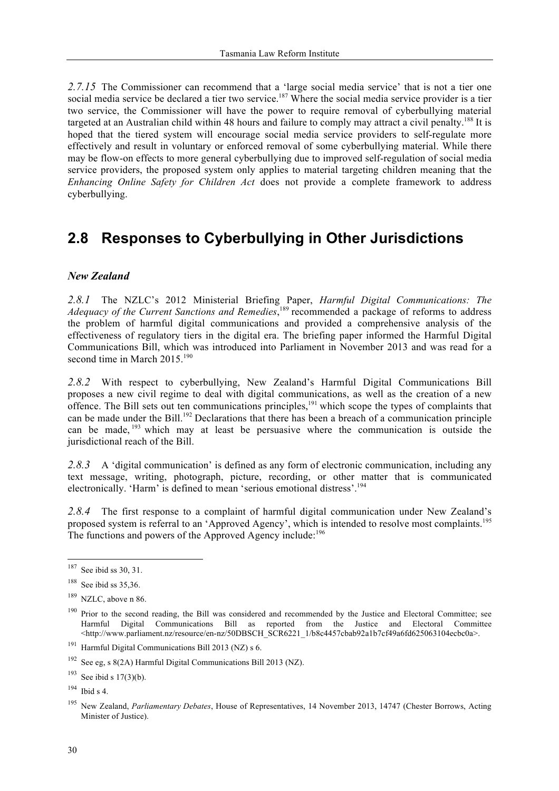*2.7.15* The Commissioner can recommend that a 'large social media service' that is not a tier one social media service be declared a tier two service.<sup>187</sup> Where the social media service provider is a tier two service, the Commissioner will have the power to require removal of cyberbullying material targeted at an Australian child within 48 hours and failure to comply may attract a civil penalty.<sup>188</sup> It is hoped that the tiered system will encourage social media service providers to self-regulate more effectively and result in voluntary or enforced removal of some cyberbullying material. While there may be flow-on effects to more general cyberbullying due to improved self-regulation of social media service providers, the proposed system only applies to material targeting children meaning that the *Enhancing Online Safety for Children Act* does not provide a complete framework to address cyberbullying.

# **2.8 Responses to Cyberbullying in Other Jurisdictions**

## *New Zealand*

*2.8.1* The NZLC's 2012 Ministerial Briefing Paper, *Harmful Digital Communications: The Adequacy of the Current Sanctions and Remedies*, <sup>189</sup> recommended a package of reforms to address the problem of harmful digital communications and provided a comprehensive analysis of the effectiveness of regulatory tiers in the digital era. The briefing paper informed the Harmful Digital Communications Bill, which was introduced into Parliament in November 2013 and was read for a second time in March 2015.<sup>190</sup>

*2.8.2* With respect to cyberbullying, New Zealand's Harmful Digital Communications Bill proposes a new civil regime to deal with digital communications, as well as the creation of a new offence. The Bill sets out ten communications principles, $191$  which scope the types of complaints that can be made under the Bill.<sup>192</sup> Declarations that there has been a breach of a communication principle can be made, <sup>193</sup> which may at least be persuasive where the communication is outside the jurisdictional reach of the Bill.

2.8.3 A 'digital communication' is defined as any form of electronic communication, including any text message, writing, photograph, picture, recording, or other matter that is communicated electronically. 'Harm' is defined to mean 'serious emotional distress'.194

*2.8.4* The first response to a complaint of harmful digital communication under New Zealand's proposed system is referral to an 'Approved Agency', which is intended to resolve most complaints.<sup>195</sup> The functions and powers of the Approved Agency include:<sup>196</sup>

 <sup>187</sup> See ibid ss 30, 31.

 $188$  See ibid ss 35,36.

 $189$  NZLC, above n 86.

<sup>&</sup>lt;sup>190</sup> Prior to the second reading, the Bill was considered and recommended by the Justice and Electoral Committee; see Harmful Digital Communications Bill as reported from the Justice and Electoral Committee <http://www.parliament.nz/resource/en-nz/50DBSCH\_SCR6221\_1/b8c4457cbab92a1b7cf49a6fd625063104ecbc0a>.

<sup>&</sup>lt;sup>191</sup> Harmful Digital Communications Bill 2013 (NZ) s 6.

<sup>192</sup> See eg, s 8(2A) Harmful Digital Communications Bill 2013 (NZ).

 $193$  See ibid s 17(3)(b).

 $194$  Ibid s 4.

<sup>195</sup> New Zealand, *Parliamentary Debates*, House of Representatives, 14 November 2013, 14747 (Chester Borrows, Acting Minister of Justice).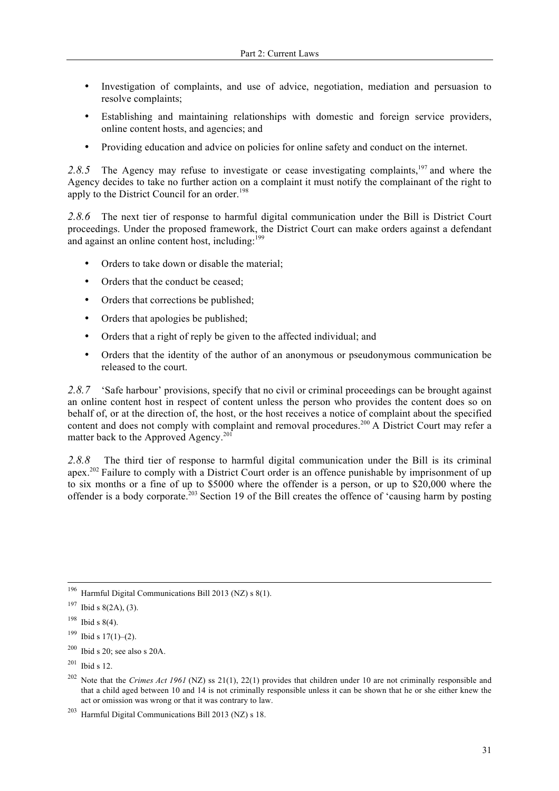- Investigation of complaints, and use of advice, negotiation, mediation and persuasion to resolve complaints;
- Establishing and maintaining relationships with domestic and foreign service providers, online content hosts, and agencies; and
- Providing education and advice on policies for online safety and conduct on the internet.

2.8.5 The Agency may refuse to investigate or cease investigating complaints.<sup>197</sup> and where the Agency decides to take no further action on a complaint it must notify the complainant of the right to apply to the District Council for an order.<sup>198</sup>

*2.8.6* The next tier of response to harmful digital communication under the Bill is District Court proceedings. Under the proposed framework, the District Court can make orders against a defendant and against an online content host, including:<sup>199</sup>

- Orders to take down or disable the material;
- Orders that the conduct be ceased;
- Orders that corrections be published;
- Orders that apologies be published;
- Orders that a right of reply be given to the affected individual; and
- Orders that the identity of the author of an anonymous or pseudonymous communication be released to the court.

2.8.7 'Safe harbour' provisions, specify that no civil or criminal proceedings can be brought against an online content host in respect of content unless the person who provides the content does so on behalf of, or at the direction of, the host, or the host receives a notice of complaint about the specified content and does not comply with complaint and removal procedures.<sup>200</sup> A District Court may refer a matter back to the Approved Agency.<sup>201</sup>

2.8.8 The third tier of response to harmful digital communication under the Bill is its criminal apex.<sup>202</sup> Failure to comply with a District Court order is an offence punishable by imprisonment of up to six months or a fine of up to \$5000 where the offender is a person, or up to \$20,000 where the offender is a body corporate.<sup>203</sup> Section 19 of the Bill creates the offence of 'causing harm by posting

 <sup>196</sup> Harmful Digital Communications Bill 2013 (NZ) s 8(1).

 $197$  Ibid s 8(2A), (3).

 $198$  Ibid s 8(4).

 $199$  Ibid s  $17(1)–(2)$ .

 $200$  Ibid s 20; see also s 20A.

 $201$  Ibid s 12.

<sup>202</sup> Note that the *Crimes Act 1961* (NZ) ss 21(1), 22(1) provides that children under 10 are not criminally responsible and that a child aged between 10 and 14 is not criminally responsible unless it can be shown that he or she either knew the act or omission was wrong or that it was contrary to law.

<sup>203</sup> Harmful Digital Communications Bill 2013 (NZ) s 18.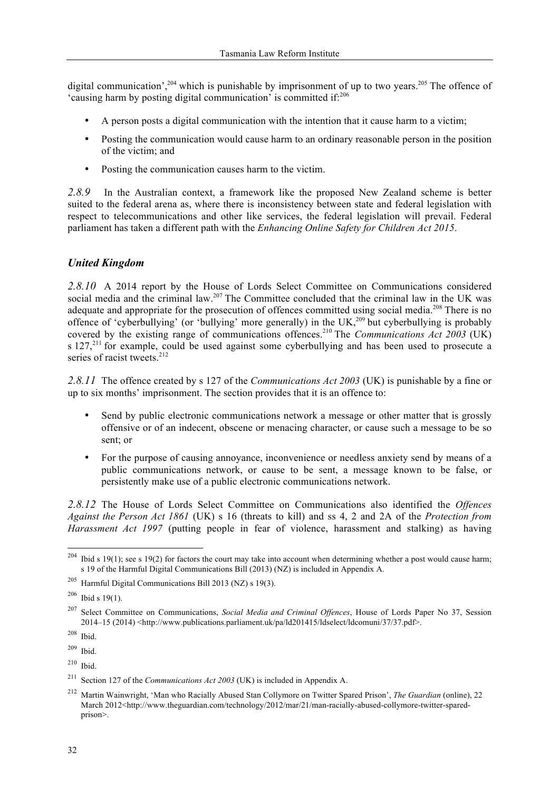digital communication',<sup>204</sup> which is punishable by imprisonment of up to two years.<sup>205</sup> The offence of 'causing harm by posting digital communication' is committed if:<sup>206</sup>

- A person posts a digital communication with the intention that it cause harm to a victim;
- Posting the communication would cause harm to an ordinary reasonable person in the position of the victim; and
- Posting the communication causes harm to the victim.

2.8.9 In the Australian context, a framework like the proposed New Zealand scheme is better suited to the federal arena as, where there is inconsistency between state and federal legislation with respect to telecommunications and other like services, the federal legislation will prevail. Federal parliament has taken a different path with the *Enhancing Online Safety for Children Act 2015*.

## *United Kingdom*

*2.8.10* A 2014 report by the House of Lords Select Committee on Communications considered social media and the criminal law.<sup>207</sup> The Committee concluded that the criminal law in the UK was adequate and appropriate for the prosecution of offences committed using social media.<sup>208</sup> There is no offence of 'cyberbullying' (or 'bullying' more generally) in the UK,<sup>209</sup> but cyberbullying is probably covered by the existing range of communications offences.<sup>210</sup> The *Communications Act 2003* (UK) s 127<sup>211</sup> for example, could be used against some cyberbullying and has been used to prosecute a series of racist tweets.<sup>212</sup>

*2.8.11* The offence created by s 127 of the *Communications Act 2003* (UK) is punishable by a fine or up to six months' imprisonment. The section provides that it is an offence to:

- Send by public electronic communications network a message or other matter that is grossly offensive or of an indecent, obscene or menacing character, or cause such a message to be so sent; or
- For the purpose of causing annoyance, inconvenience or needless anxiety send by means of a public communications network, or cause to be sent, a message known to be false, or persistently make use of a public electronic communications network.

*2.8.12* The House of Lords Select Committee on Communications also identified the *Offences Against the Person Act 1861* (UK) s 16 (threats to kill) and ss 4, 2 and 2A of the *Protection from Harassment Act 1997* (putting people in fear of violence, harassment and stalking) as having

 $204$  Ibid s 19(1); see s 19(2) for factors the court may take into account when determining whether a post would cause harm; s 19 of the Harmful Digital Communications Bill (2013) (NZ) is included in Appendix A.

<sup>205</sup> Harmful Digital Communications Bill 2013 (NZ) s 19(3).

 $206$  Ibid s 19(1).

<sup>207</sup> Select Committee on Communications, *Social Media and Criminal Offences*, House of Lords Paper No 37, Session 2014–15 (2014) <http://www.publications.parliament.uk/pa/ld201415/ldselect/ldcomuni/37/37.pdf>.

<sup>208</sup> Ibid.

 $209$  Ibid.

 $210$  Ibid.

<sup>211</sup> Section 127 of the *Communications Act 2003* (UK) is included in Appendix A.

<sup>212</sup> Martin Wainwright, 'Man who Racially Abused Stan Collymore on Twitter Spared Prison', *The Guardian* (online), 22 March 2012<http://www.theguardian.com/technology/2012/mar/21/man-racially-abused-collymore-twitter-sparedprison>.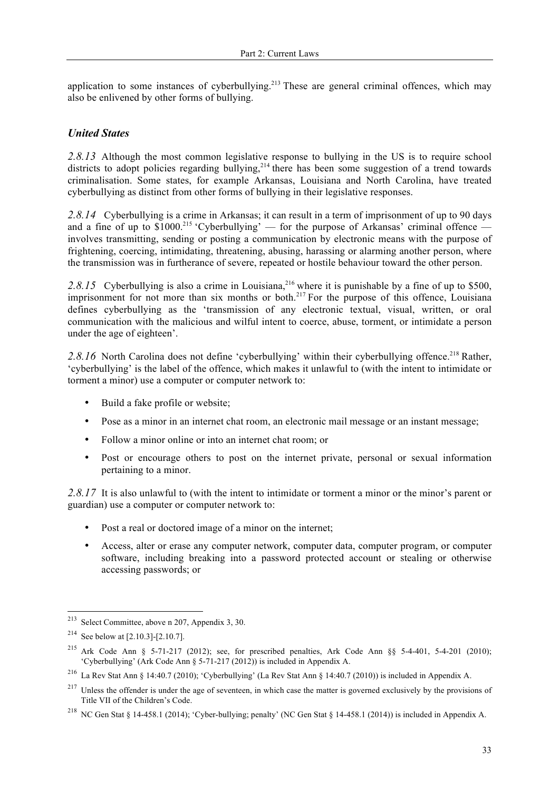application to some instances of cyberbullying.<sup>213</sup> These are general criminal offences, which may also be enlivened by other forms of bullying.

# *United States*

2.8.13 Although the most common legislative response to bullying in the US is to require school districts to adopt policies regarding bullying,<sup>214</sup> there has been some suggestion of a trend towards criminalisation. Some states, for example Arkansas, Louisiana and North Carolina, have treated cyberbullying as distinct from other forms of bullying in their legislative responses.

*2.8.14* Cyberbullying is a crime in Arkansas; it can result in a term of imprisonment of up to 90 days and a fine of up to  $$1000.<sup>215</sup>$  'Cyberbullying' — for the purpose of Arkansas' criminal offence involves transmitting, sending or posting a communication by electronic means with the purpose of frightening, coercing, intimidating, threatening, abusing, harassing or alarming another person, where the transmission was in furtherance of severe, repeated or hostile behaviour toward the other person.

2.8.15 Cyberbullying is also a crime in Louisiana,<sup>216</sup> where it is punishable by a fine of up to \$500, imprisonment for not more than six months or both.<sup>217</sup> For the purpose of this offence. Louisiana defines cyberbullying as the 'transmission of any electronic textual, visual, written, or oral communication with the malicious and wilful intent to coerce, abuse, torment, or intimidate a person under the age of eighteen'.

2.8.16 North Carolina does not define 'cyberbullying' within their cyberbullying offence.<sup>218</sup> Rather, 'cyberbullying' is the label of the offence, which makes it unlawful to (with the intent to intimidate or torment a minor) use a computer or computer network to:

- Build a fake profile or website;
- Pose as a minor in an internet chat room, an electronic mail message or an instant message;
- Follow a minor online or into an internet chat room; or
- Post or encourage others to post on the internet private, personal or sexual information pertaining to a minor.

2.8.17 It is also unlawful to (with the intent to intimidate or torment a minor or the minor's parent or guardian) use a computer or computer network to:

- Post a real or doctored image of a minor on the internet;
- Access, alter or erase any computer network, computer data, computer program, or computer software, including breaking into a password protected account or stealing or otherwise accessing passwords; or

 <sup>213</sup> Select Committee, above n 207, Appendix 3, 30.

<sup>214</sup> See below at [2.10.3]-[2.10.7].

<sup>&</sup>lt;sup>215</sup> Ark Code Ann § 5-71-217 (2012); see, for prescribed penalties, Ark Code Ann §§ 5-4-401, 5-4-201 (2010); 'Cyberbullying' (Ark Code Ann § 5-71-217 (2012)) is included in Appendix A.

<sup>&</sup>lt;sup>216</sup> La Rev Stat Ann § 14:40.7 (2010); 'Cyberbullying' (La Rev Stat Ann § 14:40.7 (2010)) is included in Appendix A.

 $217$  Unless the offender is under the age of seventeen, in which case the matter is governed exclusively by the provisions of Title VII of the Children's Code.

<sup>218</sup> NC Gen Stat § 14-458.1 (2014); 'Cyber-bullying; penalty' (NC Gen Stat § 14-458.1 (2014)) is included in Appendix A.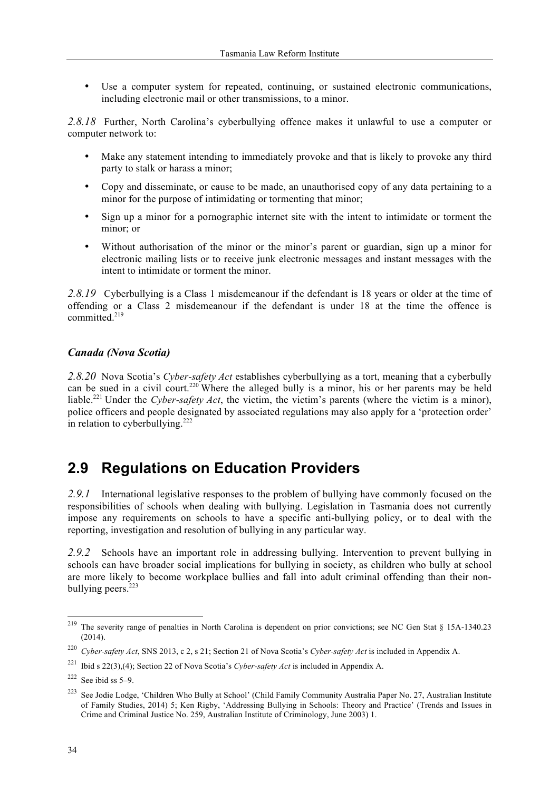• Use a computer system for repeated, continuing, or sustained electronic communications, including electronic mail or other transmissions, to a minor.

*2.8.18* Further, North Carolina's cyberbullying offence makes it unlawful to use a computer or computer network to:

- Make any statement intending to immediately provoke and that is likely to provoke any third party to stalk or harass a minor;
- Copy and disseminate, or cause to be made, an unauthorised copy of any data pertaining to a minor for the purpose of intimidating or tormenting that minor;
- Sign up a minor for a pornographic internet site with the intent to intimidate or torment the minor; or
- Without authorisation of the minor or the minor's parent or guardian, sign up a minor for electronic mailing lists or to receive junk electronic messages and instant messages with the intent to intimidate or torment the minor.

2.8.19 Cyberbullying is a Class 1 misdemeanour if the defendant is 18 years or older at the time of offending or a Class 2 misdemeanour if the defendant is under 18 at the time the offence is committed<sup>219</sup>

## *Canada (Nova Scotia)*

*2.8.20* Nova Scotia's *Cyber-safety Act* establishes cyberbullying as a tort, meaning that a cyberbully can be sued in a civil court.<sup>220</sup> Where the alleged bully is a minor, his or her parents may be held liable.221 Under the *Cyber-safety Act*, the victim, the victim's parents (where the victim is a minor), police officers and people designated by associated regulations may also apply for a 'protection order' in relation to cyberbullying.<sup>222</sup>

# **2.9 Regulations on Education Providers**

2.9.1 International legislative responses to the problem of bullying have commonly focused on the responsibilities of schools when dealing with bullying. Legislation in Tasmania does not currently impose any requirements on schools to have a specific anti-bullying policy, or to deal with the reporting, investigation and resolution of bullying in any particular way.

2.9.2 Schools have an important role in addressing bullying. Intervention to prevent bullying in schools can have broader social implications for bullying in society, as children who bully at school are more likely to become workplace bullies and fall into adult criminal offending than their nonbullying peers.<sup>223</sup>

<sup>&</sup>lt;sup>219</sup> The severity range of penalties in North Carolina is dependent on prior convictions; see NC Gen Stat  $\S$  15A-1340.23 (2014).

<sup>220</sup> *Cyber-safety Act*, SNS 2013, c 2, s 21; Section 21 of Nova Scotia's *Cyber-safety Act* is included in Appendix A.

<sup>221</sup> Ibid s 22(3),(4); Section 22 of Nova Scotia's *Cyber-safety Act* is included in Appendix A.

 $222$  See ibid ss 5–9.

<sup>&</sup>lt;sup>223</sup> See Jodie Lodge, 'Children Who Bully at School' (Child Family Community Australia Paper No. 27, Australian Institute of Family Studies, 2014) 5; Ken Rigby, 'Addressing Bullying in Schools: Theory and Practice' (Trends and Issues in Crime and Criminal Justice No. 259, Australian Institute of Criminology, June 2003) 1.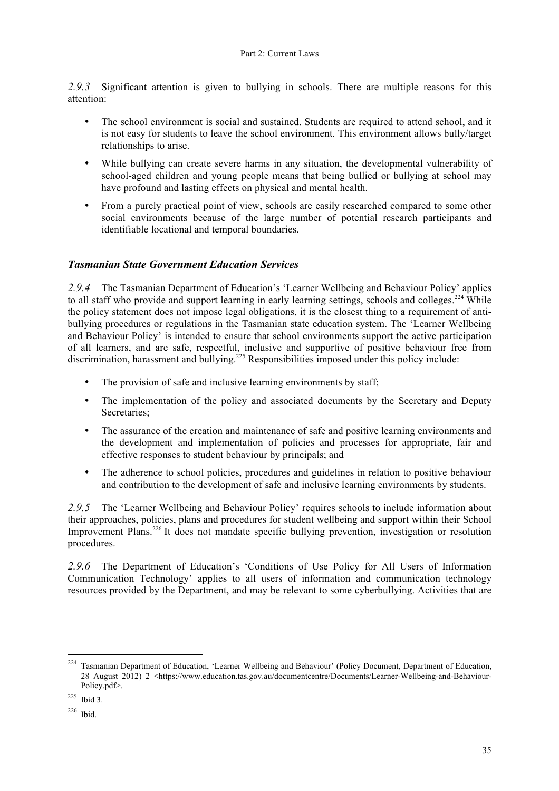*2.9.3* Significant attention is given to bullying in schools. There are multiple reasons for this attention:

- The school environment is social and sustained. Students are required to attend school, and it is not easy for students to leave the school environment. This environment allows bully/target relationships to arise.
- While bullying can create severe harms in any situation, the developmental vulnerability of school-aged children and young people means that being bullied or bullying at school may have profound and lasting effects on physical and mental health.
- From a purely practical point of view, schools are easily researched compared to some other social environments because of the large number of potential research participants and identifiable locational and temporal boundaries.

# *Tasmanian State Government Education Services*

*2.9.4* The Tasmanian Department of Education's 'Learner Wellbeing and Behaviour Policy' applies to all staff who provide and support learning in early learning settings, schools and colleges.<sup>224</sup> While the policy statement does not impose legal obligations, it is the closest thing to a requirement of antibullying procedures or regulations in the Tasmanian state education system. The 'Learner Wellbeing and Behaviour Policy' is intended to ensure that school environments support the active participation of all learners, and are safe, respectful, inclusive and supportive of positive behaviour free from discrimination, harassment and bullying.<sup>225</sup> Responsibilities imposed under this policy include:

- The provision of safe and inclusive learning environments by staff;
- The implementation of the policy and associated documents by the Secretary and Deputy Secretaries;
- The assurance of the creation and maintenance of safe and positive learning environments and the development and implementation of policies and processes for appropriate, fair and effective responses to student behaviour by principals; and
- The adherence to school policies, procedures and guidelines in relation to positive behaviour and contribution to the development of safe and inclusive learning environments by students.

*2.9.5* The 'Learner Wellbeing and Behaviour Policy' requires schools to include information about their approaches, policies, plans and procedures for student wellbeing and support within their School Improvement Plans.<sup>226</sup> It does not mandate specific bullying prevention, investigation or resolution procedures.

*2.9.6* The Department of Education's 'Conditions of Use Policy for All Users of Information Communication Technology' applies to all users of information and communication technology resources provided by the Department, and may be relevant to some cyberbullying. Activities that are

<sup>&</sup>lt;sup>224</sup> Tasmanian Department of Education, 'Learner Wellbeing and Behaviour' (Policy Document, Department of Education, 28 August 2012) 2 <https://www.education.tas.gov.au/documentcentre/Documents/Learner-Wellbeing-and-Behaviour-Policy.pdf>.

<sup>225</sup> Ibid 3.

<sup>226</sup> Ibid.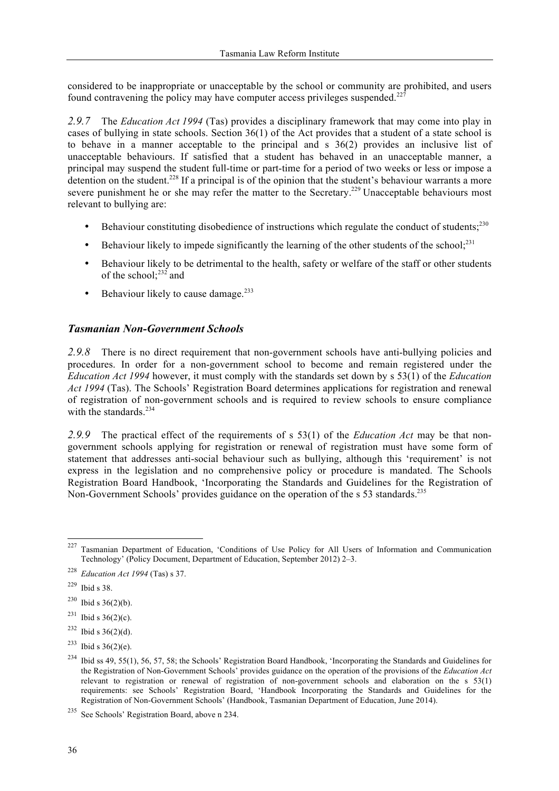considered to be inappropriate or unacceptable by the school or community are prohibited, and users found contravening the policy may have computer access privileges suspended.<sup>227</sup>

*2.9.7* The *Education Act 1994* (Tas) provides a disciplinary framework that may come into play in cases of bullying in state schools. Section 36(1) of the Act provides that a student of a state school is to behave in a manner acceptable to the principal and s 36(2) provides an inclusive list of unacceptable behaviours. If satisfied that a student has behaved in an unacceptable manner, a principal may suspend the student full-time or part-time for a period of two weeks or less or impose a detention on the student.<sup>228</sup> If a principal is of the opinion that the student's behaviour warrants a more severe punishment he or she may refer the matter to the Secretary.<sup>229</sup> Unacceptable behaviours most relevant to bullying are:

- Behaviour constituting disobedience of instructions which regulate the conduct of students; $^{230}$
- $\bullet$  Behaviour likely to impede significantly the learning of the other students of the school:<sup>231</sup>
- Behaviour likely to be detrimental to the health, safety or welfare of the staff or other students of the school;<sup>232</sup> and
- Behaviour likely to cause damage.<sup>233</sup>

# *Tasmanian Non-Government Schools*

2.9.8 There is no direct requirement that non-government schools have anti-bullying policies and procedures. In order for a non-government school to become and remain registered under the *Education Act 1994* however, it must comply with the standards set down by s 53(1) of the *Education Act 1994* (Tas). The Schools' Registration Board determines applications for registration and renewal of registration of non-government schools and is required to review schools to ensure compliance with the standards  $^{234}$ 

2.9.9 The practical effect of the requirements of s 53(1) of the *Education Act* may be that nongovernment schools applying for registration or renewal of registration must have some form of statement that addresses anti-social behaviour such as bullying, although this 'requirement' is not express in the legislation and no comprehensive policy or procedure is mandated. The Schools Registration Board Handbook, 'Incorporating the Standards and Guidelines for the Registration of Non-Government Schools' provides guidance on the operation of the s 53 standards.235

<sup>&</sup>lt;sup>227</sup> Tasmanian Department of Education, 'Conditions of Use Policy for All Users of Information and Communication Technology' (Policy Document, Department of Education, September 2012) 2–3.

<sup>228</sup> *Education Act 1994* (Tas) s 37.

 $229$  Ibid s 38.

 $230$  Ibid s 36(2)(b).

<sup>&</sup>lt;sup>231</sup> Ibid s 36(2)(c).

 $232$  Ibid s 36(2)(d).

 $233$  Ibid s 36(2)(e).

<sup>234</sup> Ibid ss 49, 55(1), 56, 57, 58; the Schools' Registration Board Handbook, 'Incorporating the Standards and Guidelines for the Registration of Non-Government Schools' provides guidance on the operation of the provisions of the *Education Act* relevant to registration or renewal of registration of non-government schools and elaboration on the s 53(1) requirements: see Schools' Registration Board, 'Handbook Incorporating the Standards and Guidelines for the Registration of Non-Government Schools' (Handbook, Tasmanian Department of Education, June 2014).

<sup>235</sup> See Schools' Registration Board, above n 234.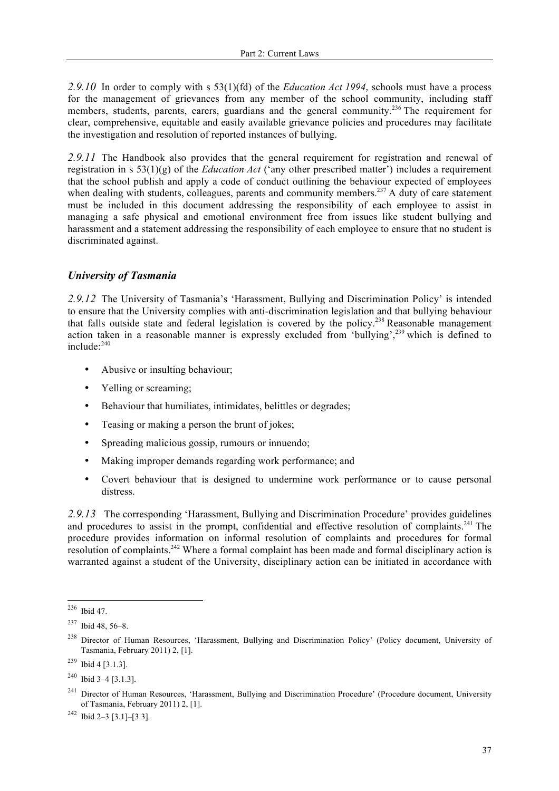*2.9.10* In order to comply with s 53(1)(fd) of the *Education Act 1994*, schools must have a process for the management of grievances from any member of the school community, including staff members, students, parents, carers, guardians and the general community.<sup>236</sup> The requirement for clear, comprehensive, equitable and easily available grievance policies and procedures may facilitate the investigation and resolution of reported instances of bullying.

2.9.11 The Handbook also provides that the general requirement for registration and renewal of registration in s 53(1)(g) of the *Education Act* ('any other prescribed matter') includes a requirement that the school publish and apply a code of conduct outlining the behaviour expected of employees when dealing with students, colleagues, parents and community members.<sup>237</sup> A duty of care statement must be included in this document addressing the responsibility of each employee to assist in managing a safe physical and emotional environment free from issues like student bullying and harassment and a statement addressing the responsibility of each employee to ensure that no student is discriminated against.

# *University of Tasmania*

*2.9.12* The University of Tasmania's 'Harassment, Bullying and Discrimination Policy' is intended to ensure that the University complies with anti-discrimination legislation and that bullying behaviour that falls outside state and federal legislation is covered by the policy.<sup>238</sup> Reasonable management action taken in a reasonable manner is expressly excluded from 'bullying',<sup>239</sup> which is defined to include:<sup>240</sup>

- Abusive or insulting behaviour;
- Yelling or screaming;
- Behaviour that humiliates, intimidates, belittles or degrades;
- Teasing or making a person the brunt of jokes;
- Spreading malicious gossip, rumours or innuendo;
- Making improper demands regarding work performance; and
- Covert behaviour that is designed to undermine work performance or to cause personal distress.

2.9.13 The corresponding 'Harassment, Bullying and Discrimination Procedure' provides guidelines and procedures to assist in the prompt, confidential and effective resolution of complaints.<sup>241</sup> The procedure provides information on informal resolution of complaints and procedures for formal resolution of complaints.242 Where a formal complaint has been made and formal disciplinary action is warranted against a student of the University, disciplinary action can be initiated in accordance with

 <sup>236</sup> Ibid 47.

<sup>237</sup> Ibid 48, 56–8.

<sup>238</sup> Director of Human Resources, 'Harassment, Bullying and Discrimination Policy' (Policy document, University of Tasmania, February 2011) 2, [1].

<sup>239</sup> Ibid 4 [3.1.3].

<sup>240</sup> Ibid 3–4 [3.1.3].

<sup>&</sup>lt;sup>241</sup> Director of Human Resources, 'Harassment, Bullying and Discrimination Procedure' (Procedure document, University of Tasmania, February 2011) 2, [1].

 $242$  Ibid 2-3 [3.1]-[3.3].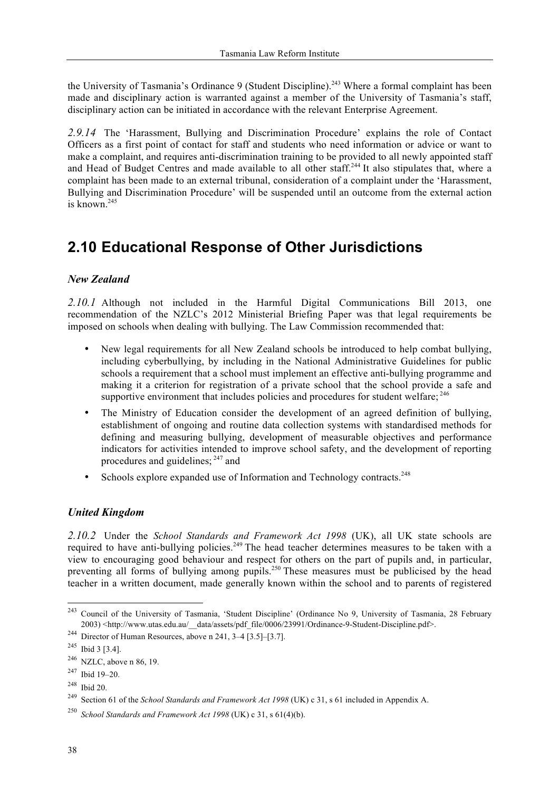the University of Tasmania's Ordinance 9 (Student Discipline).<sup>243</sup> Where a formal complaint has been made and disciplinary action is warranted against a member of the University of Tasmania's staff, disciplinary action can be initiated in accordance with the relevant Enterprise Agreement.

*2.9.14* The 'Harassment, Bullying and Discrimination Procedure' explains the role of Contact Officers as a first point of contact for staff and students who need information or advice or want to make a complaint, and requires anti-discrimination training to be provided to all newly appointed staff and Head of Budget Centres and made available to all other staff.<sup>244</sup> It also stipulates that, where a complaint has been made to an external tribunal, consideration of a complaint under the 'Harassment, Bullying and Discrimination Procedure' will be suspended until an outcome from the external action is known<sup>245</sup>

# **2.10 Educational Response of Other Jurisdictions**

# *New Zealand*

*2.10.1* Although not included in the Harmful Digital Communications Bill 2013, one recommendation of the NZLC's 2012 Ministerial Briefing Paper was that legal requirements be imposed on schools when dealing with bullying. The Law Commission recommended that:

- New legal requirements for all New Zealand schools be introduced to help combat bullying, including cyberbullying, by including in the National Administrative Guidelines for public schools a requirement that a school must implement an effective anti-bullying programme and making it a criterion for registration of a private school that the school provide a safe and supportive environment that includes policies and procedures for student welfare; <sup>246</sup>
- The Ministry of Education consider the development of an agreed definition of bullying, establishment of ongoing and routine data collection systems with standardised methods for defining and measuring bullying, development of measurable objectives and performance indicators for activities intended to improve school safety, and the development of reporting procedures and guidelines; <sup>247</sup> and
- Schools explore expanded use of Information and Technology contracts.<sup>248</sup>

# *United Kingdom*

*2.10.2* Under the *School Standards and Framework Act 1998* (UK), all UK state schools are required to have anti-bullying policies.<sup>249</sup> The head teacher determines measures to be taken with a view to encouraging good behaviour and respect for others on the part of pupils and, in particular, preventing all forms of bullying among pupils.<sup>250</sup> These measures must be publicised by the head teacher in a written document, made generally known within the school and to parents of registered

<sup>&</sup>lt;sup>243</sup> Council of the University of Tasmania, 'Student Discipline' (Ordinance No 9, University of Tasmania, 28 February 2003) <http://www.utas.edu.au/\_data/assets/pdf\_file/0006/23991/Ordinance-9-Student-Discipline.pdf>.

<sup>244</sup> Director of Human Resources, above n 241, 3–4 [3.5]–[3.7].

<sup>245</sup> Ibid 3 [3.4].

 $246$  NZLC, above n 86, 19.

<sup>247</sup> Ibid 19–20.

<sup>248</sup> Ibid 20.

<sup>249</sup> Section 61 of the *School Standards and Framework Act 1998* (UK) c 31, s 61 included in Appendix A.

<sup>250</sup> *School Standards and Framework Act 1998* (UK) c 31, s 61(4)(b).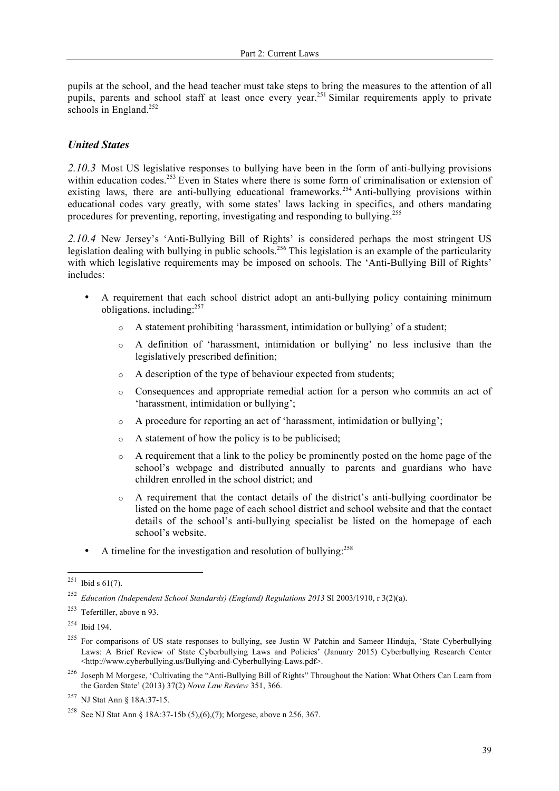pupils at the school, and the head teacher must take steps to bring the measures to the attention of all pupils, parents and school staff at least once every year.<sup>251</sup> Similar requirements apply to private schools in England. $252$ 

# *United States*

*2.10.3* Most US legislative responses to bullying have been in the form of anti-bullying provisions within education codes.<sup>253</sup> Even in States where there is some form of criminalisation or extension of existing laws, there are anti-bullying educational frameworks.<sup>254</sup> Anti-bullying provisions within educational codes vary greatly, with some states' laws lacking in specifics, and others mandating procedures for preventing, reporting, investigating and responding to bullying.<sup>255</sup>

*2.10.4* New Jersey's 'Anti-Bullying Bill of Rights' is considered perhaps the most stringent US legislation dealing with bullying in public schools.<sup>256</sup> This legislation is an example of the particularity with which legislative requirements may be imposed on schools. The 'Anti-Bullying Bill of Rights' includes:

- A requirement that each school district adopt an anti-bullying policy containing minimum obligations, including:257
	- A statement prohibiting 'harassment, intimidation or bullying' of a student;
	- o A definition of 'harassment, intimidation or bullying' no less inclusive than the legislatively prescribed definition;
	- o A description of the type of behaviour expected from students;
	- o Consequences and appropriate remedial action for a person who commits an act of 'harassment, intimidation or bullying';
	- o A procedure for reporting an act of 'harassment, intimidation or bullying';
	- o A statement of how the policy is to be publicised;
	- o A requirement that a link to the policy be prominently posted on the home page of the school's webpage and distributed annually to parents and guardians who have children enrolled in the school district; and
	- o A requirement that the contact details of the district's anti-bullying coordinator be listed on the home page of each school district and school website and that the contact details of the school's anti-bullying specialist be listed on the homepage of each school's website.
- A timeline for the investigation and resolution of bullying: $^{258}$

 $^{251}$  Ibid s 61(7).

<sup>252</sup> *Education (Independent School Standards) (England) Regulations 2013* SI 2003/1910, r 3(2)(a).

<sup>253</sup> Tefertiller, above n 93.

<sup>254</sup> Ibid 194.

<sup>&</sup>lt;sup>255</sup> For comparisons of US state responses to bullying, see Justin W Patchin and Sameer Hinduja, 'State Cyberbullying Laws: A Brief Review of State Cyberbullying Laws and Policies' (January 2015) Cyberbullying Research Center <http://www.cyberbullying.us/Bullying-and-Cyberbullying-Laws.pdf>.

<sup>256</sup> Joseph M Morgese, 'Cultivating the "Anti-Bullying Bill of Rights" Throughout the Nation: What Others Can Learn from the Garden State' (2013) 37(2) *Nova Law Review* 351, 366.

<sup>257</sup> NJ Stat Ann § 18A:37-15.

<sup>258</sup> See NJ Stat Ann § 18A:37-15b (5),(6),(7); Morgese, above n 256, 367.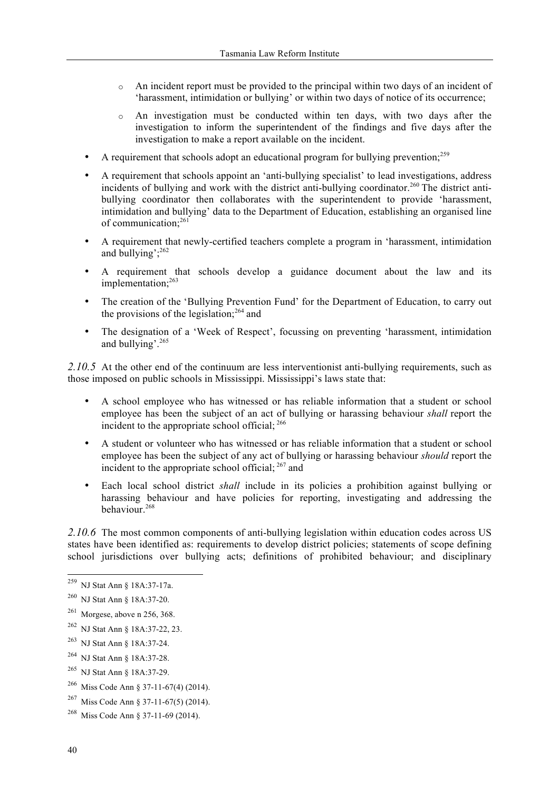- o An incident report must be provided to the principal within two days of an incident of 'harassment, intimidation or bullying' or within two days of notice of its occurrence;
- o An investigation must be conducted within ten days, with two days after the investigation to inform the superintendent of the findings and five days after the investigation to make a report available on the incident.
- A requirement that schools adopt an educational program for bullying prevention; $^{259}$
- A requirement that schools appoint an 'anti-bullying specialist' to lead investigations, address incidents of bullying and work with the district anti-bullying coordinator.<sup>260</sup> The district antibullying coordinator then collaborates with the superintendent to provide 'harassment, intimidation and bullying' data to the Department of Education, establishing an organised line of communication;<sup>261</sup>
- A requirement that newly-certified teachers complete a program in 'harassment, intimidation and bullying';<sup>262</sup>
- A requirement that schools develop a guidance document about the law and its implementation;<sup>263</sup>
- The creation of the 'Bullying Prevention Fund' for the Department of Education, to carry out the provisions of the legislation; $^{264}$  and
- The designation of a 'Week of Respect', focussing on preventing 'harassment, intimidation and bullying'.<sup>265</sup>

2.10.5 At the other end of the continuum are less interventionist anti-bullying requirements, such as those imposed on public schools in Mississippi. Mississippi's laws state that:

- A school employee who has witnessed or has reliable information that a student or school employee has been the subject of an act of bullying or harassing behaviour *shall* report the incident to the appropriate school official; <sup>266</sup>
- A student or volunteer who has witnessed or has reliable information that a student or school employee has been the subject of any act of bullying or harassing behaviour *should* report the incident to the appropriate school official; <sup>267</sup> and
- Each local school district *shall* include in its policies a prohibition against bullying or harassing behaviour and have policies for reporting, investigating and addressing the behaviour.<sup>268</sup>

*2.10.6* The most common components of anti-bullying legislation within education codes across US states have been identified as: requirements to develop district policies; statements of scope defining school jurisdictions over bullying acts; definitions of prohibited behaviour; and disciplinary

- <sup>262</sup> NJ Stat Ann § 18A:37-22, 23.
- <sup>263</sup> NJ Stat Ann § 18A:37-24.
- <sup>264</sup> NJ Stat Ann § 18A:37-28.
- <sup>265</sup> NJ Stat Ann § 18A:37-29.
- <sup>266</sup> Miss Code Ann § 37-11-67(4) (2014).
- <sup>267</sup> Miss Code Ann § 37-11-67(5) (2014).
- <sup>268</sup> Miss Code Ann § 37-11-69 (2014).

 <sup>259</sup> NJ Stat Ann § 18A:37-17a.

<sup>260</sup> NJ Stat Ann § 18A:37-20.

 $261$  Morgese, above n 256, 368.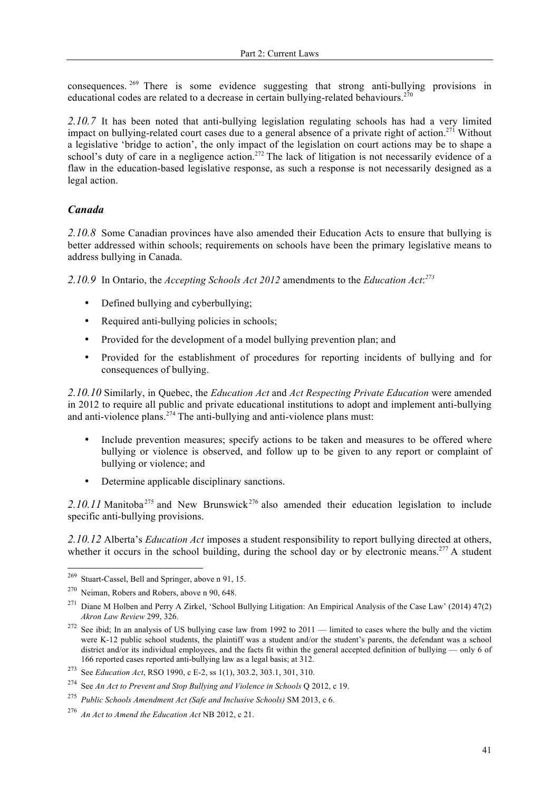consequences. <sup>269</sup> There is some evidence suggesting that strong anti-bullying provisions in educational codes are related to a decrease in certain bullying-related behaviours.<sup>270</sup>

2.10.7 It has been noted that anti-bullying legislation regulating schools has had a very limited impact on bullying-related court cases due to a general absence of a private right of action.271 Without a legislative 'bridge to action', the only impact of the legislation on court actions may be to shape a school's duty of care in a negligence action.<sup>272</sup> The lack of litigation is not necessarily evidence of a flaw in the education-based legislative response, as such a response is not necessarily designed as a legal action.

## *Canada*

*2.10.8* Some Canadian provinces have also amended their Education Acts to ensure that bullying is better addressed within schools; requirements on schools have been the primary legislative means to address bullying in Canada.

*2.10.9* In Ontario, the *Accepting Schools Act 2012* amendments to the *Education Act*: *273*

- Defined bullying and cyberbullying;
- Required anti-bullying policies in schools;
- Provided for the development of a model bullying prevention plan; and
- Provided for the establishment of procedures for reporting incidents of bullying and for consequences of bullying.

*2.10.10* Similarly, in Quebec, the *Education Act* and *Act Respecting Private Education* were amended in 2012 to require all public and private educational institutions to adopt and implement anti-bullying and anti-violence plans.<sup>274</sup> The anti-bullying and anti-violence plans must:

- Include prevention measures; specify actions to be taken and measures to be offered where bullying or violence is observed, and follow up to be given to any report or complaint of bullying or violence; and
- Determine applicable disciplinary sanctions.

2.10.11 Manitoba<sup>275</sup> and New Brunswick<sup>276</sup> also amended their education legislation to include specific anti-bullying provisions.

*2.10.12* Alberta's *Education Act* imposes a student responsibility to report bullying directed at others, whether it occurs in the school building, during the school day or by electronic means.<sup>277</sup> A student

 <sup>269</sup> Stuart-Cassel, Bell and Springer, above n 91, 15.

<sup>270</sup> Neiman, Robers and Robers, above n 90, 648.

<sup>&</sup>lt;sup>271</sup> Diane M Holben and Perry A Zirkel, 'School Bullying Litigation: An Empirical Analysis of the Case Law' (2014) 47(2) *Akron Law Review* 299, 326.

 $272$  See ibid; In an analysis of US bullying case law from 1992 to 2011 — limited to cases where the bully and the victim were K-12 public school students, the plaintiff was a student and/or the student's parents, the defendant was a school district and/or its individual employees, and the facts fit within the general accepted definition of bullying — only 6 of 166 reported cases reported anti-bullying law as a legal basis; at 312.

<sup>273</sup> See *Education Act*, RSO 1990, c E-2, ss 1(1), 303.2, 303.1, 301, 310.

<sup>274</sup> See *An Act to Prevent and Stop Bullying and Violence in Schools* Q 2012, c 19.

<sup>275</sup> *Public Schools Amendment Act (Safe and Inclusive Schools)* SM 2013, c 6.

<sup>276</sup> *An Act to Amend the Education Act* NB 2012, c 21.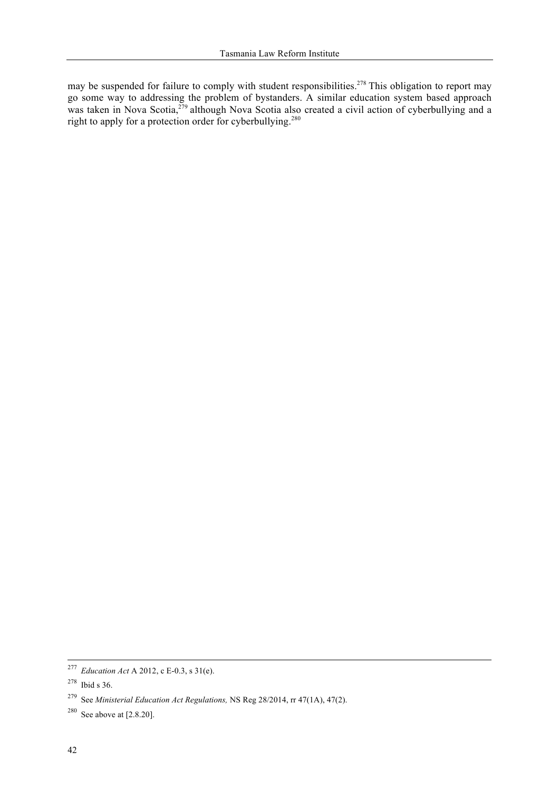may be suspended for failure to comply with student responsibilities.<sup>278</sup> This obligation to report may go some way to addressing the problem of bystanders. A similar education system based approach was taken in Nova Scotia,<sup>279</sup> although Nova Scotia also created a civil action of cyberbullying and a right to apply for a protection order for cyberbullying.<sup>280</sup>

 <sup>277</sup> *Education Act* A 2012, c E-0.3, s 31(e).

<sup>278</sup> Ibid s 36.

<sup>279</sup> See *Ministerial Education Act Regulations,* NS Reg 28/2014, rr 47(1A), 47(2).

 $280$  See above at [2.8.20].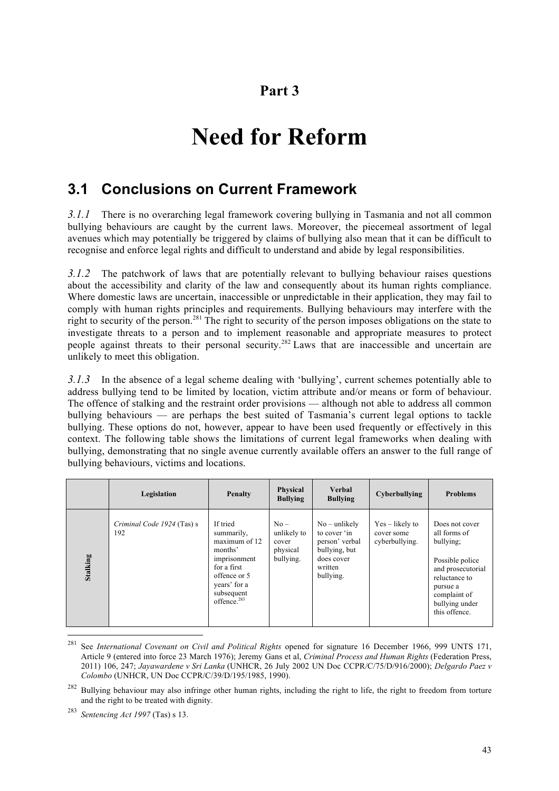# **Part 3**

# **Need for Reform**

# **3.1 Conclusions on Current Framework**

*3.1.1* There is no overarching legal framework covering bullying in Tasmania and not all common bullying behaviours are caught by the current laws. Moreover, the piecemeal assortment of legal avenues which may potentially be triggered by claims of bullying also mean that it can be difficult to recognise and enforce legal rights and difficult to understand and abide by legal responsibilities.

*3.1.2* The patchwork of laws that are potentially relevant to bullying behaviour raises questions about the accessibility and clarity of the law and consequently about its human rights compliance. Where domestic laws are uncertain, inaccessible or unpredictable in their application, they may fail to comply with human rights principles and requirements. Bullying behaviours may interfere with the right to security of the person.<sup>281</sup> The right to security of the person imposes obligations on the state to investigate threats to a person and to implement reasonable and appropriate measures to protect people against threats to their personal security.<sup>282</sup> Laws that are inaccessible and uncertain are unlikely to meet this obligation.

*3.1.3* In the absence of a legal scheme dealing with 'bullying', current schemes potentially able to address bullying tend to be limited by location, victim attribute and/or means or form of behaviour. The offence of stalking and the restraint order provisions — although not able to address all common bullying behaviours — are perhaps the best suited of Tasmania's current legal options to tackle bullying. These options do not, however, appear to have been used frequently or effectively in this context. The following table shows the limitations of current legal frameworks when dealing with bullying, demonstrating that no single avenue currently available offers an answer to the full range of bullying behaviours, victims and locations.

|          | Legislation                       | Penalty                                                                                                                                                    | <b>Physical</b><br><b>Bullving</b>                      | <b>Verbal</b><br><b>Bullving</b>                                                                       | Cyberbullying                                     | <b>Problems</b>                                                                                                                                                     |
|----------|-----------------------------------|------------------------------------------------------------------------------------------------------------------------------------------------------------|---------------------------------------------------------|--------------------------------------------------------------------------------------------------------|---------------------------------------------------|---------------------------------------------------------------------------------------------------------------------------------------------------------------------|
| Stalking | Criminal Code 1924 (Tas) s<br>192 | If tried<br>summarily,<br>maximum of 12<br>months'<br>imprisonment<br>for a first<br>offence or 5<br>years' for a<br>subsequent<br>offence. <sup>283</sup> | $No -$<br>unlikely to<br>cover<br>physical<br>bullying. | No – unlikely<br>to cover 'in<br>person' verbal<br>bullying, but<br>does cover<br>written<br>bullying. | $Yes - likely to$<br>cover some<br>cyberbullying. | Does not cover<br>all forms of<br>bullying:<br>Possible police<br>and prosecutorial<br>reluctance to<br>pursue a<br>complaint of<br>bullying under<br>this offence. |

 <sup>281</sup> See *International Covenant on Civil and Political Rights* opened for signature 16 December 1966, 999 UNTS 171, Article 9 (entered into force 23 March 1976); Jeremy Gans et al, *Criminal Process and Human Rights* (Federation Press, 2011) 106, 247; *Jayawardene v Sri Lanka* (UNHCR, 26 July 2002 UN Doc CCPR/C/75/D/916/2000); *Delgardo Paez v Colombo* (UNHCR, UN Doc CCPR/C/39/D/195/1985, 1990).

<sup>&</sup>lt;sup>282</sup> Bullying behaviour may also infringe other human rights, including the right to life, the right to freedom from torture and the right to be treated with dignity.

<sup>283</sup> *Sentencing Act 1997* (Tas) s 13.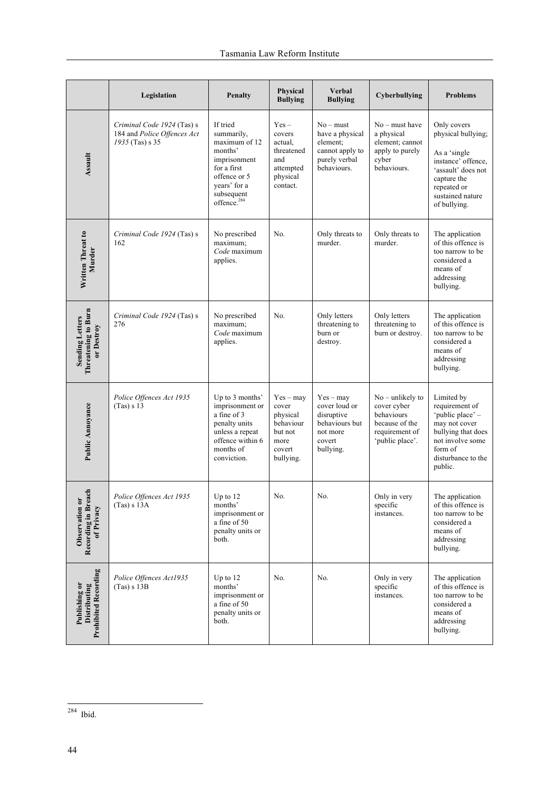|                                                                    | Legislation                                                                  | <b>Penalty</b>                                                                                                                                             | <b>Physical</b><br><b>Bullying</b>                                                      | <b>Verbal</b><br><b>Bullying</b>                                                                | Cyberbullying                                                                                        | <b>Problems</b>                                                                                                                                                 |
|--------------------------------------------------------------------|------------------------------------------------------------------------------|------------------------------------------------------------------------------------------------------------------------------------------------------------|-----------------------------------------------------------------------------------------|-------------------------------------------------------------------------------------------------|------------------------------------------------------------------------------------------------------|-----------------------------------------------------------------------------------------------------------------------------------------------------------------|
| Assault                                                            | Criminal Code 1924 (Tas) s<br>184 and Police Offences Act<br>1935 (Tas) s 35 | If tried<br>summarily,<br>maximum of 12<br>months'<br>imprisonment<br>for a first<br>offence or 5<br>years' for a<br>subsequent<br>offence. <sup>284</sup> | $Yes -$<br>covers<br>actual,<br>threatened<br>and<br>attempted<br>physical<br>contact.  | $No - must$<br>have a physical<br>element;<br>cannot apply to<br>purely verbal<br>behaviours.   | $No$ – must have<br>a physical<br>element; cannot<br>apply to purely<br>cyber<br>behaviours.         | Only covers<br>physical bullying:<br>As a 'single<br>instance' offence,<br>'assault' does not<br>capture the<br>repeated or<br>sustained nature<br>of bullying. |
| Written Threat to<br>Murder                                        | Criminal Code 1924 (Tas) s<br>162                                            | No prescribed<br>maximum;<br>Code maximum<br>applies.                                                                                                      | No.                                                                                     | Only threats to<br>murder.                                                                      | Only threats to<br>murder.                                                                           | The application<br>of this offence is<br>too narrow to be<br>considered a<br>means of<br>addressing<br>bullying.                                                |
| <b>Threatening to Burn</b><br><b>Sending Letters</b><br>or Destroy | Criminal Code 1924 (Tas) s<br>276                                            | No prescribed<br>maximum;<br>Code maximum<br>applies.                                                                                                      | No.                                                                                     | Only letters<br>threatening to<br>burn or<br>destroy.                                           | Only letters<br>threatening to<br>burn or destroy.                                                   | The application<br>of this offence is<br>too narrow to be<br>considered a<br>means of<br>addressing<br>bullying.                                                |
| Public Annoyance                                                   | Police Offences Act 1935<br>(Tas) s 13                                       | Up to 3 months'<br>imprisonment or<br>a fine of 3<br>penalty units<br>unless a repeat<br>offence within 6<br>months of<br>conviction.                      | $Yes - may$<br>cover<br>physical<br>behaviour<br>but not<br>more<br>covert<br>bullying. | $Yes - may$<br>cover loud or<br>disruptive<br>behaviours but<br>not more<br>covert<br>bullying. | No – unlikely to<br>cover cyber<br>behaviours<br>because of the<br>requirement of<br>'public place'. | Limited by<br>requirement of<br>'public place' -<br>may not cover<br>bullying that does<br>not involve some<br>form of<br>disturbance to the<br>public.         |
| Observation or<br>Recording in Breach<br>of Privacy                | Police Offences Act 1935<br>$(Tas)$ s 13A                                    | Up to 12<br>months'<br>imprisonment or<br>a fine of 50<br>penalty units or<br>both.                                                                        | No.                                                                                     | No.                                                                                             | Only in very<br>specific<br>instances.                                                               | The application<br>of this offence is<br>too narrow to be<br>considered a<br>means of<br>addressing<br>bullying.                                                |
| Publishing or<br>Distributing<br>Prohibited Recording              | Police Offences Act1935<br>$(Tas)$ s 13B                                     | Up to $12$<br>months'<br>imprisonment or<br>a fine of 50<br>penalty units or<br>both.                                                                      | No.                                                                                     | No.                                                                                             | Only in very<br>specific<br>instances.                                                               | The application<br>of this offence is<br>too narrow to be<br>considered a<br>means of<br>addressing<br>bullying.                                                |

 $\overline{\phantom{1}284\phantom{1}}$  Ibid.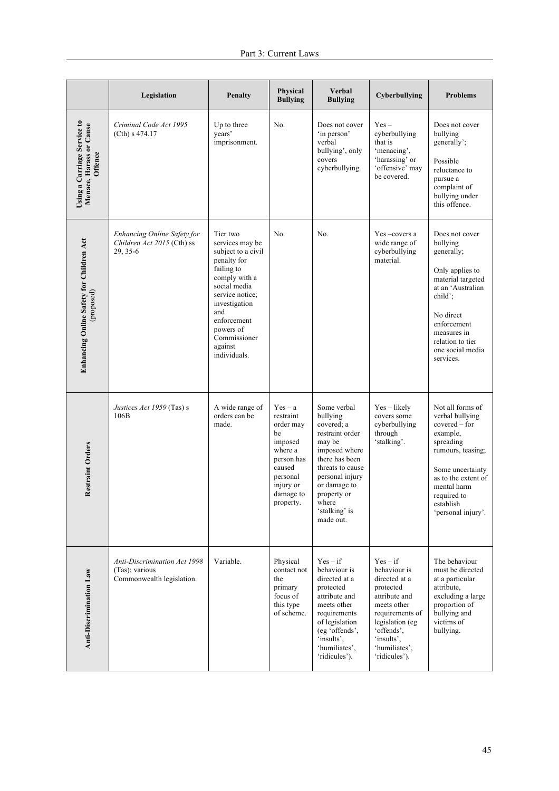|                                                                   | Legislation                                                                        | <b>Penalty</b>                                                                                                                                                                                                                    | Physical<br><b>Bullying</b>                                                                                                                | <b>Verbal</b><br><b>Bullying</b>                                                                                                                                                                                   | Cyberbullying                                                                                                                                                                                | <b>Problems</b>                                                                                                                                                                                                  |
|-------------------------------------------------------------------|------------------------------------------------------------------------------------|-----------------------------------------------------------------------------------------------------------------------------------------------------------------------------------------------------------------------------------|--------------------------------------------------------------------------------------------------------------------------------------------|--------------------------------------------------------------------------------------------------------------------------------------------------------------------------------------------------------------------|----------------------------------------------------------------------------------------------------------------------------------------------------------------------------------------------|------------------------------------------------------------------------------------------------------------------------------------------------------------------------------------------------------------------|
| Using a Carriage Service to<br>Menace, Harass or Cause<br>Offence | Criminal Code Act 1995<br>(Cth) s 474.17                                           | Up to three<br>years'<br>imprisonment.                                                                                                                                                                                            | No.                                                                                                                                        | Does not cover<br>'in person'<br>verbal<br>bullying', only<br>covers<br>cyberbullying.                                                                                                                             | $Yes -$<br>cyberbullying<br>that is<br>'menacing',<br>'harassing' or<br>'offensive' may<br>be covered.                                                                                       | Does not cover<br>bullying<br>generally';<br>Possible<br>reluctance to<br>pursue a<br>complaint of<br>bullying under<br>this offence.                                                                            |
| Enhancing Online Safety for Children Act<br>(proposed)            | Enhancing Online Safety for<br>Children Act 2015 (Cth) ss<br>29, 35-6              | Tier two<br>services may be<br>subject to a civil<br>penalty for<br>failing to<br>comply with a<br>social media<br>service notice;<br>investigation<br>and<br>enforcement<br>powers of<br>Commissioner<br>against<br>individuals. | No.                                                                                                                                        | No.                                                                                                                                                                                                                | Yes-covers a<br>wide range of<br>cyberbullying<br>material.                                                                                                                                  | Does not cover<br>bullying<br>generally;<br>Only applies to<br>material targeted<br>at an 'Australian<br>child':<br>No direct<br>enforcement<br>measures in<br>relation to tier<br>one social media<br>services. |
| <b>Restraint Orders</b>                                           | Justices Act 1959 (Tas) s<br>106B                                                  | A wide range of<br>orders can be<br>made.                                                                                                                                                                                         | $Yes - a$<br>restraint<br>order may<br>be<br>imposed<br>where a<br>person has<br>caused<br>personal<br>injury or<br>damage to<br>property. | Some verbal<br>bullying<br>covered; a<br>restraint order<br>may be<br>imposed where<br>there has been<br>threats to cause<br>personal injury<br>or damage to<br>property or<br>where<br>'stalking' is<br>made out. | Yes – likely<br>covers some<br>cyberbullying<br>through<br>'stalking'.                                                                                                                       | Not all forms of<br>verbal bullying<br>$covered - for$<br>example,<br>spreading<br>rumours, teasing;<br>Some uncertainty<br>as to the extent of<br>mental harm<br>required to<br>establish<br>'personal injury'. |
| Anti-Discrimination Law                                           | <b>Anti-Discrimination Act 1998</b><br>(Tas); various<br>Commonwealth legislation. | Variable.                                                                                                                                                                                                                         | Physical<br>contact not<br>the<br>primary<br>focus of<br>this type<br>of scheme.                                                           | $Yes - if$<br>behaviour is<br>directed at a<br>protected<br>attribute and<br>meets other<br>requirements<br>of legislation<br>(eg 'offends',<br>'insults',<br>'humiliates',<br>'ridicules').                       | $Yes - if$<br>behaviour is<br>directed at a<br>protected<br>attribute and<br>meets other<br>requirements of<br>legislation (eg<br>'offends',<br>'insults',<br>'humiliates',<br>'ridicules'). | The behaviour<br>must be directed<br>at a particular<br>attribute,<br>excluding a large<br>proportion of<br>bullying and<br>victims of<br>bullying.                                                              |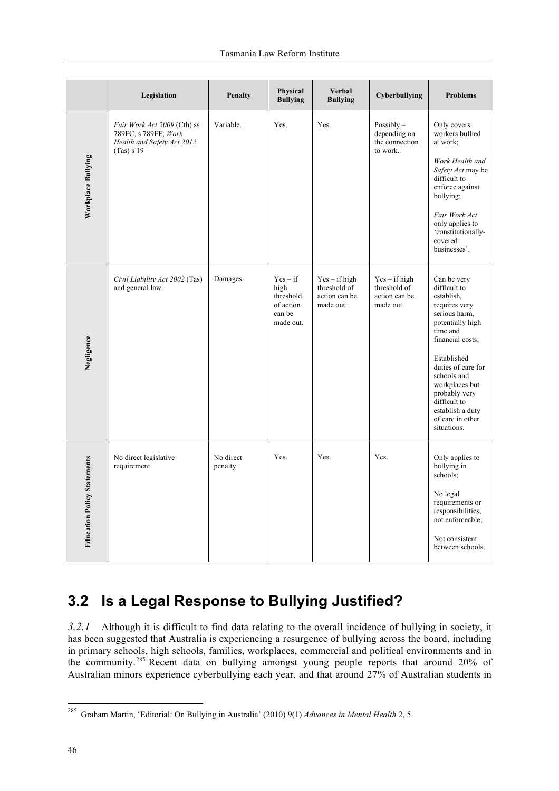|                                    | Legislation                                                                                     | Penalty               | Physical<br><b>Bullying</b>                                         | <b>Verbal</b><br><b>Bullying</b>                              | Cyberbullying                                                 | <b>Problems</b>                                                                                                                                                                                                                                                                               |
|------------------------------------|-------------------------------------------------------------------------------------------------|-----------------------|---------------------------------------------------------------------|---------------------------------------------------------------|---------------------------------------------------------------|-----------------------------------------------------------------------------------------------------------------------------------------------------------------------------------------------------------------------------------------------------------------------------------------------|
| Workplace Bullying                 | Fair Work Act 2009 (Cth) ss<br>789FC, s 789FF; Work<br>Health and Safety Act 2012<br>(Tas) s 19 | Variable.             | Yes.                                                                | Yes.                                                          | Possibly $-$<br>depending on<br>the connection<br>to work.    | Only covers<br>workers bullied<br>at work;<br>Work Health and<br>Safety Act may be<br>difficult to<br>enforce against<br>bullying;<br>Fair Work Act<br>only applies to<br>'constitutionally-<br>covered<br>businesses'.                                                                       |
| Negligence                         | Civil Liability Act 2002 (Tas)<br>and general law.                                              | Damages.              | $Yes - if$<br>high<br>threshold<br>of action<br>can be<br>made out. | $Yes - if high$<br>threshold of<br>action can be<br>made out. | $Yes - if high$<br>threshold of<br>action can be<br>made out. | Can be very<br>difficult to<br>establish,<br>requires very<br>serious harm,<br>potentially high<br>time and<br>financial costs:<br>Established<br>duties of care for<br>schools and<br>workplaces but<br>probably very<br>difficult to<br>establish a duty<br>of care in other<br>situations. |
| <b>Education Policy Statements</b> | No direct legislative<br>requirement.                                                           | No direct<br>penalty. | Yes.                                                                | Yes.                                                          | Yes.                                                          | Only applies to<br>bullying in<br>schools;<br>No legal<br>requirements or<br>responsibilities,<br>not enforceable;<br>Not consistent<br>between schools.                                                                                                                                      |

# **3.2 Is a Legal Response to Bullying Justified?**

*3.2.1* Although it is difficult to find data relating to the overall incidence of bullying in society, it has been suggested that Australia is experiencing a resurgence of bullying across the board, including in primary schools, high schools, families, workplaces, commercial and political environments and in the community.<sup>285</sup> Recent data on bullying amongst young people reports that around 20% of Australian minors experience cyberbullying each year, and that around 27% of Australian students in

 <sup>285</sup> Graham Martin, 'Editorial: On Bullying in Australia' (2010) 9(1) *Advances in Mental Health* 2, 5.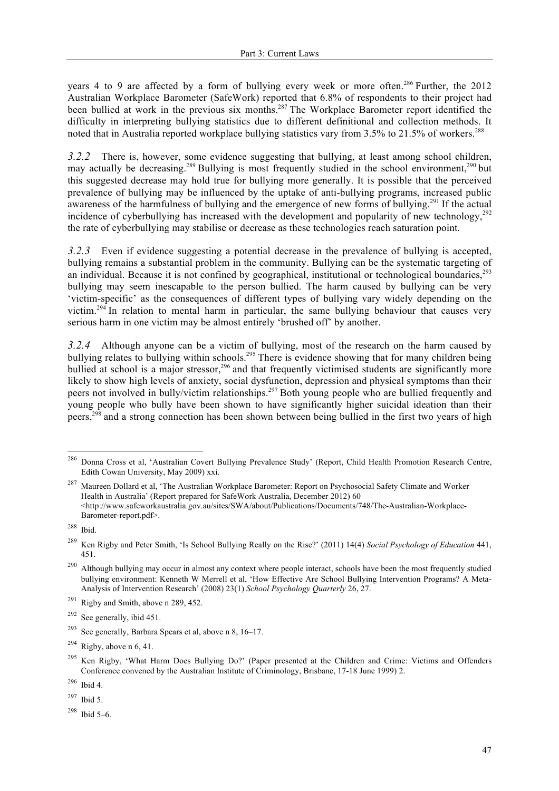years 4 to 9 are affected by a form of bullying every week or more often.<sup>286</sup> Further, the 2012 Australian Workplace Barometer (SafeWork) reported that 6.8% of respondents to their project had been bullied at work in the previous six months.<sup>287</sup> The Workplace Barometer report identified the difficulty in interpreting bullying statistics due to different definitional and collection methods. It noted that in Australia reported workplace bullying statistics vary from 3.5% to 21.5% of workers.<sup>288</sup>

*3.2.2* There is, however, some evidence suggesting that bullying, at least among school children, may actually be decreasing.<sup>289</sup> Bullying is most frequently studied in the school environment,<sup>290</sup> but this suggested decrease may hold true for bullying more generally. It is possible that the perceived prevalence of bullying may be influenced by the uptake of anti-bullying programs, increased public awareness of the harmfulness of bullying and the emergence of new forms of bullying.<sup>291</sup> If the actual incidence of cyberbullying has increased with the development and popularity of new technology, $292$ the rate of cyberbullying may stabilise or decrease as these technologies reach saturation point.

*3.2.3* Even if evidence suggesting a potential decrease in the prevalence of bullying is accepted, bullying remains a substantial problem in the community. Bullying can be the systematic targeting of an individual. Because it is not confined by geographical, institutional or technological boundaries,<sup>293</sup> bullying may seem inescapable to the person bullied. The harm caused by bullying can be very 'victim-specific' as the consequences of different types of bullying vary widely depending on the victim.<sup>294</sup> In relation to mental harm in particular, the same bullying behaviour that causes very serious harm in one victim may be almost entirely 'brushed off' by another.

*3.2.4* Although anyone can be a victim of bullying, most of the research on the harm caused by bullying relates to bullying within schools.<sup>295</sup> There is evidence showing that for many children being bullied at school is a major stressor,<sup>296</sup> and that frequently victimised students are significantly more likely to show high levels of anxiety, social dysfunction, depression and physical symptoms than their peers not involved in bully/victim relationships.<sup>297</sup> Both young people who are bullied frequently and young people who bully have been shown to have significantly higher suicidal ideation than their peers,<sup>298</sup> and a strong connection has been shown between being bullied in the first two years of high

 <sup>286</sup> Donna Cross et al, 'Australian Covert Bullying Prevalence Study' (Report, Child Health Promotion Research Centre, Edith Cowan University, May 2009) xxi.

<sup>&</sup>lt;sup>287</sup> Maureen Dollard et al, 'The Australian Workplace Barometer: Report on Psychosocial Safety Climate and Worker Health in Australia' (Report prepared for SafeWork Australia, December 2012) 60 <http://www.safeworkaustralia.gov.au/sites/SWA/about/Publications/Documents/748/The-Australian-Workplace-Barometer-report.pdf>.

<sup>288</sup> Ibid.

<sup>289</sup> Ken Rigby and Peter Smith, 'Is School Bullying Really on the Rise?' (2011) 14(4) *Social Psychology of Education* 441, 451.

<sup>&</sup>lt;sup>290</sup> Although bullying may occur in almost any context where people interact, schools have been the most frequently studied bullying environment: Kenneth W Merrell et al, 'How Effective Are School Bullying Intervention Programs? A Meta-Analysis of Intervention Research' (2008) 23(1) *School Psychology Quarterly* 26, 27.

<sup>&</sup>lt;sup>291</sup> Rigby and Smith, above n 289, 452.

 $292$  See generally, ibid 451.

<sup>&</sup>lt;sup>293</sup> See generally, Barbara Spears et al, above n 8,  $16-17$ .

 $294$  Rigby, above n 6, 41.

<sup>&</sup>lt;sup>295</sup> Ken Rigby, 'What Harm Does Bullying Do?' (Paper presented at the Children and Crime: Victims and Offenders Conference convened by the Australian Institute of Criminology, Brisbane, 17-18 June 1999) 2.

 $296$  Ibid 4.

<sup>297</sup> Ibid 5.

<sup>298</sup> Ibid 5–6.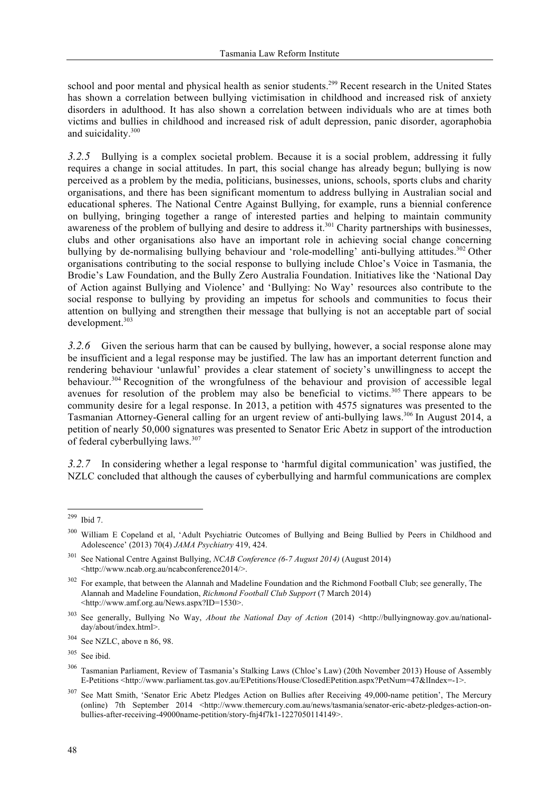school and poor mental and physical health as senior students.<sup>299</sup> Recent research in the United States has shown a correlation between bullying victimisation in childhood and increased risk of anxiety disorders in adulthood. It has also shown a correlation between individuals who are at times both victims and bullies in childhood and increased risk of adult depression, panic disorder, agoraphobia and suicidality.<sup>300</sup>

*3.2.5* Bullying is a complex societal problem. Because it is a social problem, addressing it fully requires a change in social attitudes. In part, this social change has already begun; bullying is now perceived as a problem by the media, politicians, businesses, unions, schools, sports clubs and charity organisations, and there has been significant momentum to address bullying in Australian social and educational spheres. The National Centre Against Bullying, for example, runs a biennial conference on bullying, bringing together a range of interested parties and helping to maintain community awareness of the problem of bullying and desire to address it.<sup>301</sup> Charity partnerships with businesses, clubs and other organisations also have an important role in achieving social change concerning bullying by de-normalising bullying behaviour and 'role-modelling' anti-bullying attitudes.<sup>302</sup> Other organisations contributing to the social response to bullying include Chloe's Voice in Tasmania, the Brodie's Law Foundation, and the Bully Zero Australia Foundation. Initiatives like the 'National Day of Action against Bullying and Violence' and 'Bullying: No Way' resources also contribute to the social response to bullying by providing an impetus for schools and communities to focus their attention on bullying and strengthen their message that bullying is not an acceptable part of social development.<sup>303</sup>

*3.2.6* Given the serious harm that can be caused by bullying, however, a social response alone may be insufficient and a legal response may be justified. The law has an important deterrent function and rendering behaviour 'unlawful' provides a clear statement of society's unwillingness to accept the behaviour.<sup>304</sup> Recognition of the wrongfulness of the behaviour and provision of accessible legal avenues for resolution of the problem may also be beneficial to victims.<sup>305</sup> There appears to be community desire for a legal response. In 2013, a petition with 4575 signatures was presented to the Tasmanian Attorney-General calling for an urgent review of anti-bullying laws.306 In August 2014, a petition of nearly 50,000 signatures was presented to Senator Eric Abetz in support of the introduction of federal cyberbullying laws.<sup>307</sup>

*3.2.7* In considering whether a legal response to 'harmful digital communication' was justified, the NZLC concluded that although the causes of cyberbullying and harmful communications are complex

 $299$  Ibid 7.

<sup>&</sup>lt;sup>300</sup> William E Copeland et al, 'Adult Psychiatric Outcomes of Bullying and Being Bullied by Peers in Childhood and Adolescence' (2013) 70(4) *JAMA Psychiatry* 419, 424.

<sup>301</sup> See National Centre Against Bullying, *NCAB Conference (6-7 August 2014)* (August 2014) <http://www.ncab.org.au/ncabconference2014/>.

 $302$  For example, that between the Alannah and Madeline Foundation and the Richmond Football Club; see generally, The Alannah and Madeline Foundation, *Richmond Football Club Support* (7 March 2014) <http://www.amf.org.au/News.aspx?ID=1530>.

<sup>303</sup> See generally, Bullying No Way, *About the National Day of Action* (2014) <http://bullyingnoway.gov.au/nationalday/about/index.html>.

 $304$  See NZLC, above n 86, 98.

<sup>305</sup> See ibid.

<sup>306</sup> Tasmanian Parliament, Review of Tasmania's Stalking Laws (Chloe's Law) (20th November 2013) House of Assembly E-Petitions <http://www.parliament.tas.gov.au/EPetitions/House/ClosedEPetition.aspx?PetNum=47&lIndex=-1>.

<sup>&</sup>lt;sup>307</sup> See Matt Smith, 'Senator Eric Abetz Pledges Action on Bullies after Receiving 49,000-name petition', The Mercury (online) 7th September 2014 <http://www.themercury.com.au/news/tasmania/senator-eric-abetz-pledges-action-onbullies-after-receiving-49000name-petition/story-fnj4f7k1-1227050114149>.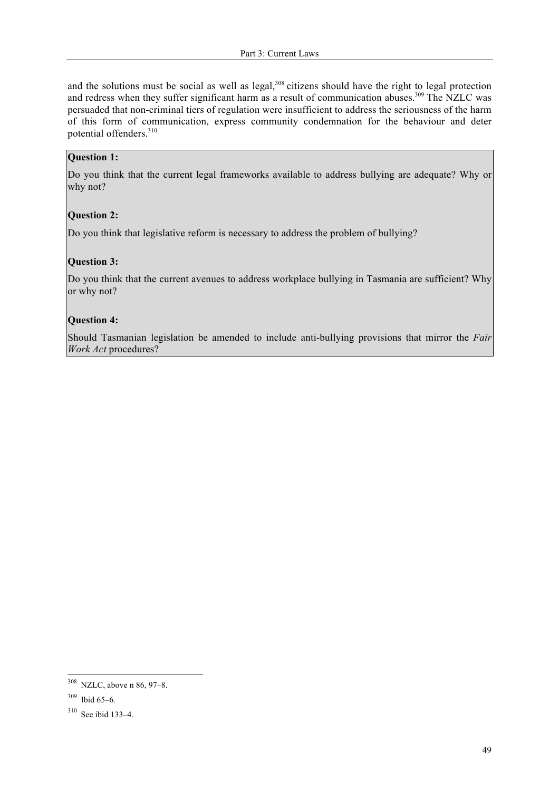and the solutions must be social as well as legal,<sup>308</sup> citizens should have the right to legal protection and redress when they suffer significant harm as a result of communication abuses.<sup>309</sup> The NZLC was persuaded that non-criminal tiers of regulation were insufficient to address the seriousness of the harm of this form of communication, express community condemnation for the behaviour and deter potential offenders.310

# **Question 1:**

Do you think that the current legal frameworks available to address bullying are adequate? Why or why not?

#### **Question 2:**

Do you think that legislative reform is necessary to address the problem of bullying?

## **Question 3:**

Do you think that the current avenues to address workplace bullying in Tasmania are sufficient? Why or why not?

#### **Question 4:**

Should Tasmanian legislation be amended to include anti-bullying provisions that mirror the *Fair Work Act* procedures?

 <sup>308</sup> NZLC, above n 86, 97–8.

<sup>309</sup> Ibid 65–6.

<sup>310</sup> See ibid 133–4.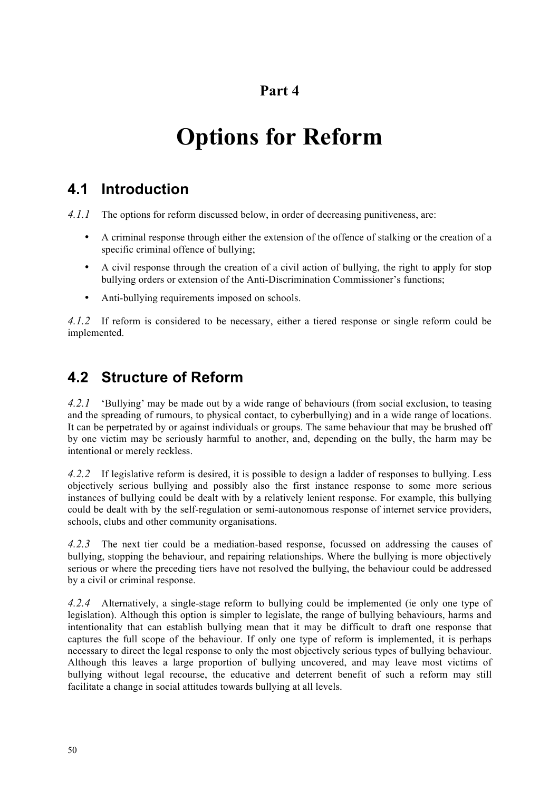# **Part 4**

# **Options for Reform**

# **4.1 Introduction**

*4.1.1* The options for reform discussed below, in order of decreasing punitiveness, are:

- A criminal response through either the extension of the offence of stalking or the creation of a specific criminal offence of bullying;
- A civil response through the creation of a civil action of bullying, the right to apply for stop bullying orders or extension of the Anti-Discrimination Commissioner's functions;
- Anti-bullying requirements imposed on schools.

*4.1.2* If reform is considered to be necessary, either a tiered response or single reform could be implemented.

# **4.2 Structure of Reform**

*4.2.1* 'Bullying' may be made out by a wide range of behaviours (from social exclusion, to teasing and the spreading of rumours, to physical contact, to cyberbullying) and in a wide range of locations. It can be perpetrated by or against individuals or groups. The same behaviour that may be brushed off by one victim may be seriously harmful to another, and, depending on the bully, the harm may be intentional or merely reckless.

*4.2.2* If legislative reform is desired, it is possible to design a ladder of responses to bullying. Less objectively serious bullying and possibly also the first instance response to some more serious instances of bullying could be dealt with by a relatively lenient response. For example, this bullying could be dealt with by the self-regulation or semi-autonomous response of internet service providers, schools, clubs and other community organisations.

*4.2.3* The next tier could be a mediation-based response, focussed on addressing the causes of bullying, stopping the behaviour, and repairing relationships. Where the bullying is more objectively serious or where the preceding tiers have not resolved the bullying, the behaviour could be addressed by a civil or criminal response.

*4.2.4* Alternatively, a single-stage reform to bullying could be implemented (ie only one type of legislation). Although this option is simpler to legislate, the range of bullying behaviours, harms and intentionality that can establish bullying mean that it may be difficult to draft one response that captures the full scope of the behaviour. If only one type of reform is implemented, it is perhaps necessary to direct the legal response to only the most objectively serious types of bullying behaviour. Although this leaves a large proportion of bullying uncovered, and may leave most victims of bullying without legal recourse, the educative and deterrent benefit of such a reform may still facilitate a change in social attitudes towards bullying at all levels.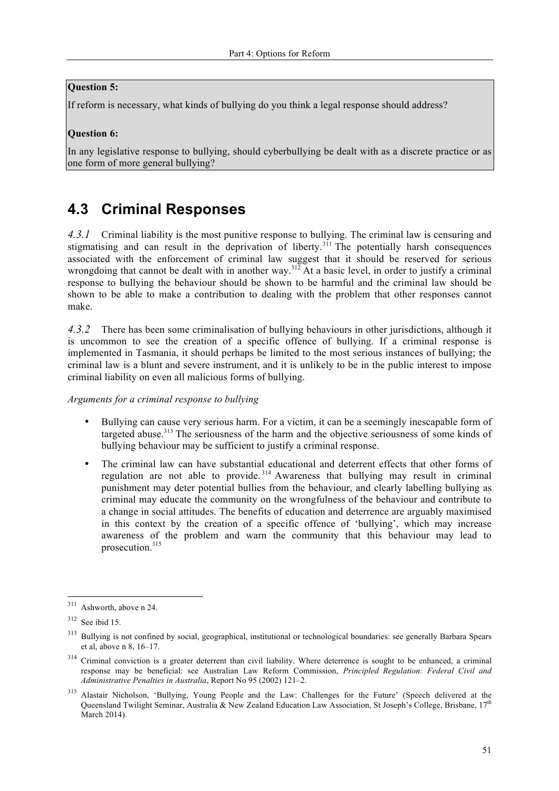#### **Question 5:**

If reform is necessary, what kinds of bullying do you think a legal response should address?

#### **Question 6:**

In any legislative response to bullying, should cyberbullying be dealt with as a discrete practice or as one form of more general bullying?

# **4.3 Criminal Responses**

*4.3.1* Criminal liability is the most punitive response to bullying. The criminal law is censuring and stigmatising and can result in the deprivation of liberty.<sup>311</sup> The potentially harsh consequences associated with the enforcement of criminal law suggest that it should be reserved for serious wrongdoing that cannot be dealt with in another way.<sup>312</sup> At a basic level, in order to justify a criminal response to bullying the behaviour should be shown to be harmful and the criminal law should be shown to be able to make a contribution to dealing with the problem that other responses cannot make.

*4.3.2* There has been some criminalisation of bullying behaviours in other jurisdictions, although it is uncommon to see the creation of a specific offence of bullying. If a criminal response is implemented in Tasmania, it should perhaps be limited to the most serious instances of bullying; the criminal law is a blunt and severe instrument, and it is unlikely to be in the public interest to impose criminal liability on even all malicious forms of bullying.

*Arguments for a criminal response to bullying*

- Bullying can cause very serious harm. For a victim, it can be a seemingly inescapable form of targeted abuse.<sup>313</sup> The seriousness of the harm and the objective seriousness of some kinds of bullying behaviour may be sufficient to justify a criminal response.
- The criminal law can have substantial educational and deterrent effects that other forms of regulation are not able to provide. <sup>314</sup> Awareness that bullying may result in criminal punishment may deter potential bullies from the behaviour, and clearly labelling bullying as criminal may educate the community on the wrongfulness of the behaviour and contribute to a change in social attitudes. The benefits of education and deterrence are arguably maximised in this context by the creation of a specific offence of 'bullying', which may increase awareness of the problem and warn the community that this behaviour may lead to prosecution.<sup>315</sup>

<sup>&</sup>lt;sup>311</sup> Ashworth, above n 24.

 $312$  See ibid 15.

<sup>&</sup>lt;sup>313</sup> Bullying is not confined by social, geographical, institutional or technological boundaries: see generally Barbara Spears et al, above n 8, 16–17.

<sup>&</sup>lt;sup>314</sup> Criminal conviction is a greater deterrent than civil liability. Where deterrence is sought to be enhanced, a criminal response may be beneficial: see Australian Law Reform Commission, *Principled Regulation: Federal Civil and Administrative Penalties in Australia*, Report No 95 (2002) 121–2.

<sup>315</sup> Alastair Nicholson, 'Bullying, Young People and the Law: Challenges for the Future' (Speech delivered at the Queensland Twilight Seminar, Australia & New Zealand Education Law Association, St Joseph's College, Brisbane, 17<sup>th</sup> March 2014).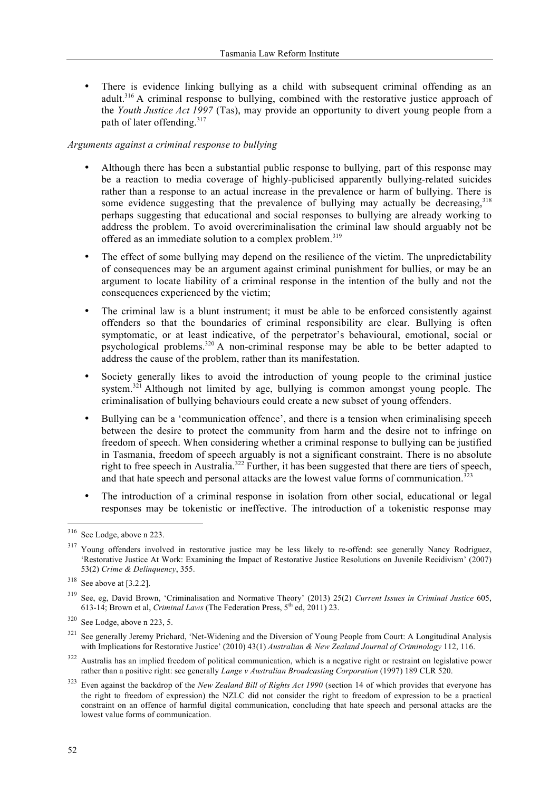There is evidence linking bullying as a child with subsequent criminal offending as an adult.<sup>316</sup> A criminal response to bullying, combined with the restorative justice approach of the *Youth Justice Act 1997* (Tas), may provide an opportunity to divert young people from a path of later offending.<sup>317</sup>

#### *Arguments against a criminal response to bullying*

- Although there has been a substantial public response to bullying, part of this response may be a reaction to media coverage of highly-publicised apparently bullying-related suicides rather than a response to an actual increase in the prevalence or harm of bullying. There is some evidence suggesting that the prevalence of bullying may actually be decreasing.<sup>318</sup> perhaps suggesting that educational and social responses to bullying are already working to address the problem. To avoid overcriminalisation the criminal law should arguably not be offered as an immediate solution to a complex problem.<sup>319</sup>
- The effect of some bullying may depend on the resilience of the victim. The unpredictability of consequences may be an argument against criminal punishment for bullies, or may be an argument to locate liability of a criminal response in the intention of the bully and not the consequences experienced by the victim;
- The criminal law is a blunt instrument; it must be able to be enforced consistently against offenders so that the boundaries of criminal responsibility are clear. Bullying is often symptomatic, or at least indicative, of the perpetrator's behavioural, emotional, social or psychological problems.320 A non-criminal response may be able to be better adapted to address the cause of the problem, rather than its manifestation.
- Society generally likes to avoid the introduction of young people to the criminal justice system.<sup>321</sup> Although not limited by age, bullying is common amongst young people. The criminalisation of bullying behaviours could create a new subset of young offenders.
- Bullying can be a 'communication offence', and there is a tension when criminalising speech between the desire to protect the community from harm and the desire not to infringe on freedom of speech. When considering whether a criminal response to bullying can be justified in Tasmania, freedom of speech arguably is not a significant constraint. There is no absolute right to free speech in Australia.<sup>322</sup> Further, it has been suggested that there are tiers of speech, and that hate speech and personal attacks are the lowest value forms of communication. $323$
- The introduction of a criminal response in isolation from other social, educational or legal responses may be tokenistic or ineffective. The introduction of a tokenistic response may

- <sup>322</sup> Australia has an implied freedom of political communication, which is a negative right or restraint on legislative power rather than a positive right: see generally *Lange v Australian Broadcasting Corporation* (1997) 189 CLR 520.
- <sup>323</sup> Even against the backdrop of the *New Zealand Bill of Rights Act 1990* (section 14 of which provides that everyone has the right to freedom of expression) the NZLC did not consider the right to freedom of expression to be a practical constraint on an offence of harmful digital communication, concluding that hate speech and personal attacks are the lowest value forms of communication.

 <sup>316</sup> See Lodge, above n 223.

<sup>&</sup>lt;sup>317</sup> Young offenders involved in restorative justice may be less likely to re-offend: see generally Nancy Rodriguez, 'Restorative Justice At Work: Examining the Impact of Restorative Justice Resolutions on Juvenile Recidivism' (2007) 53(2) *Crime & Delinquency*, 355.

 $318$  See above at [3.2.2].

<sup>319</sup> See, eg, David Brown, 'Criminalisation and Normative Theory' (2013) 25(2) *Current Issues in Criminal Justice* 605, 613-14; Brown et al, *Criminal Laws* (The Federation Press, 5th ed, 2011) 23.

 $320$  See Lodge, above n 223, 5.

<sup>&</sup>lt;sup>321</sup> See generally Jeremy Prichard, 'Net-Widening and the Diversion of Young People from Court: A Longitudinal Analysis with Implications for Restorative Justice' (2010) 43(1) *Australian & New Zealand Journal of Criminology* 112, 116.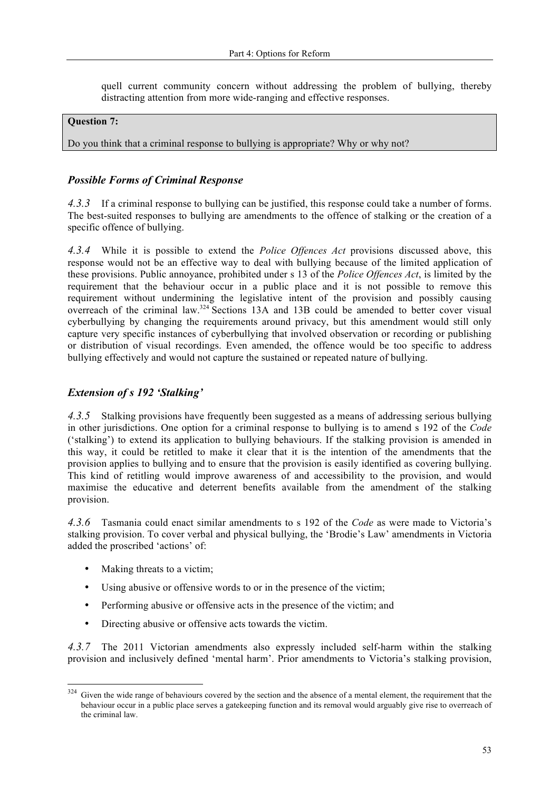quell current community concern without addressing the problem of bullying, thereby distracting attention from more wide-ranging and effective responses.

#### **Question 7:**

Do you think that a criminal response to bullying is appropriate? Why or why not?

# *Possible Forms of Criminal Response*

*4.3.3* If a criminal response to bullying can be justified, this response could take a number of forms. The best-suited responses to bullying are amendments to the offence of stalking or the creation of a specific offence of bullying.

*4.3.4* While it is possible to extend the *Police Offences Act* provisions discussed above, this response would not be an effective way to deal with bullying because of the limited application of these provisions. Public annoyance, prohibited under s 13 of the *Police Offences Act*, is limited by the requirement that the behaviour occur in a public place and it is not possible to remove this requirement without undermining the legislative intent of the provision and possibly causing overreach of the criminal law.324 Sections 13A and 13B could be amended to better cover visual cyberbullying by changing the requirements around privacy, but this amendment would still only capture very specific instances of cyberbullying that involved observation or recording or publishing or distribution of visual recordings. Even amended, the offence would be too specific to address bullying effectively and would not capture the sustained or repeated nature of bullying.

# *Extension of s 192 'Stalking'*

*4.3.5* Stalking provisions have frequently been suggested as a means of addressing serious bullying in other jurisdictions. One option for a criminal response to bullying is to amend s 192 of the *Code* ('stalking') to extend its application to bullying behaviours. If the stalking provision is amended in this way, it could be retitled to make it clear that it is the intention of the amendments that the provision applies to bullying and to ensure that the provision is easily identified as covering bullying. This kind of retitling would improve awareness of and accessibility to the provision, and would maximise the educative and deterrent benefits available from the amendment of the stalking provision.

*4.3.6* Tasmania could enact similar amendments to s 192 of the *Code* as were made to Victoria's stalking provision. To cover verbal and physical bullying, the 'Brodie's Law' amendments in Victoria added the proscribed 'actions' of:

- Making threats to a victim;
- Using abusive or offensive words to or in the presence of the victim;
- Performing abusive or offensive acts in the presence of the victim; and
- Directing abusive or offensive acts towards the victim.

*4.3.7* The 2011 Victorian amendments also expressly included self-harm within the stalking provision and inclusively defined 'mental harm'. Prior amendments to Victoria's stalking provision,

<sup>&</sup>lt;sup>324</sup> Given the wide range of behaviours covered by the section and the absence of a mental element, the requirement that the behaviour occur in a public place serves a gatekeeping function and its removal would arguably give rise to overreach of the criminal law.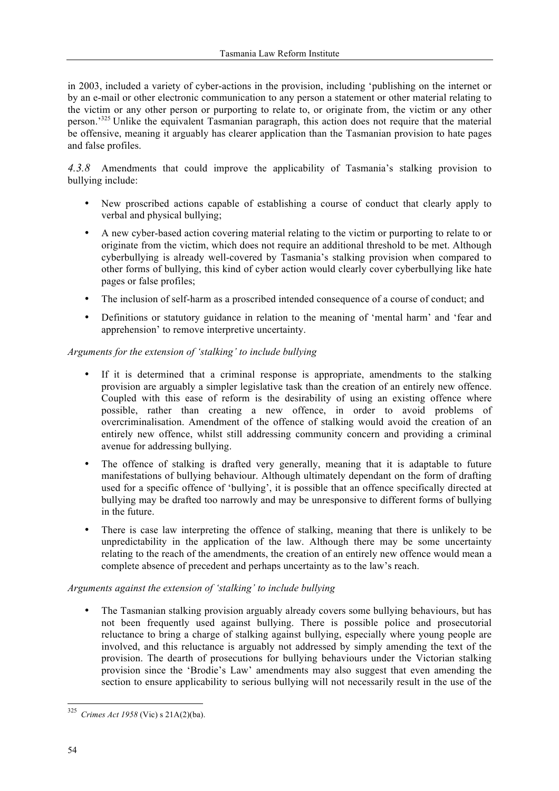in 2003, included a variety of cyber-actions in the provision, including 'publishing on the internet or by an e-mail or other electronic communication to any person a statement or other material relating to the victim or any other person or purporting to relate to, or originate from, the victim or any other person.'<sup>325</sup> Unlike the equivalent Tasmanian paragraph, this action does not require that the material be offensive, meaning it arguably has clearer application than the Tasmanian provision to hate pages and false profiles.

*4.3.8* Amendments that could improve the applicability of Tasmania's stalking provision to bullying include:

- New proscribed actions capable of establishing a course of conduct that clearly apply to verbal and physical bullying;
- A new cyber-based action covering material relating to the victim or purporting to relate to or originate from the victim, which does not require an additional threshold to be met. Although cyberbullying is already well-covered by Tasmania's stalking provision when compared to other forms of bullying, this kind of cyber action would clearly cover cyberbullying like hate pages or false profiles;
- The inclusion of self-harm as a proscribed intended consequence of a course of conduct; and
- Definitions or statutory guidance in relation to the meaning of 'mental harm' and 'fear and apprehension' to remove interpretive uncertainty.

#### *Arguments for the extension of 'stalking' to include bullying*

- If it is determined that a criminal response is appropriate, amendments to the stalking provision are arguably a simpler legislative task than the creation of an entirely new offence. Coupled with this ease of reform is the desirability of using an existing offence where possible, rather than creating a new offence, in order to avoid problems of overcriminalisation. Amendment of the offence of stalking would avoid the creation of an entirely new offence, whilst still addressing community concern and providing a criminal avenue for addressing bullying.
- The offence of stalking is drafted very generally, meaning that it is adaptable to future manifestations of bullying behaviour. Although ultimately dependant on the form of drafting used for a specific offence of 'bullying', it is possible that an offence specifically directed at bullying may be drafted too narrowly and may be unresponsive to different forms of bullying in the future.
- There is case law interpreting the offence of stalking, meaning that there is unlikely to be unpredictability in the application of the law. Although there may be some uncertainty relating to the reach of the amendments, the creation of an entirely new offence would mean a complete absence of precedent and perhaps uncertainty as to the law's reach.

#### *Arguments against the extension of 'stalking' to include bullying*

• The Tasmanian stalking provision arguably already covers some bullying behaviours, but has not been frequently used against bullying. There is possible police and prosecutorial reluctance to bring a charge of stalking against bullying, especially where young people are involved, and this reluctance is arguably not addressed by simply amending the text of the provision. The dearth of prosecutions for bullying behaviours under the Victorian stalking provision since the 'Brodie's Law' amendments may also suggest that even amending the section to ensure applicability to serious bullying will not necessarily result in the use of the

 <sup>325</sup> *Crimes Act 1958* (Vic) s 21A(2)(ba).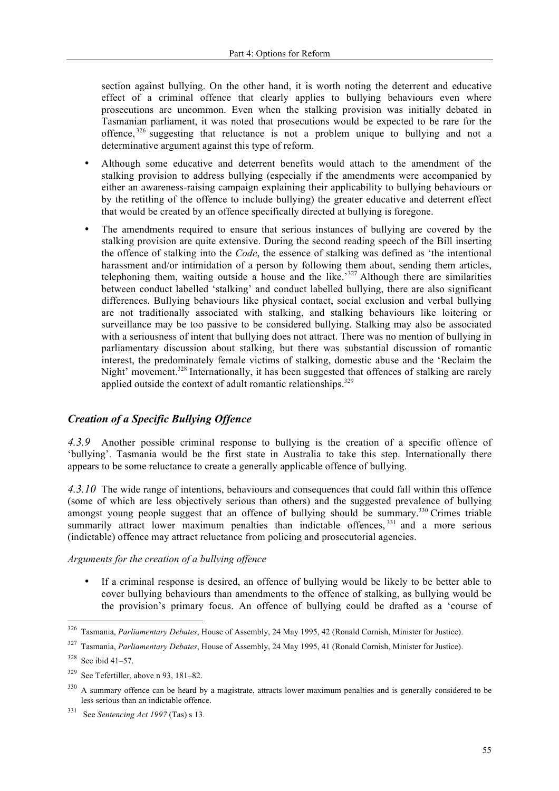section against bullying. On the other hand, it is worth noting the deterrent and educative effect of a criminal offence that clearly applies to bullying behaviours even where prosecutions are uncommon. Even when the stalking provision was initially debated in Tasmanian parliament, it was noted that prosecutions would be expected to be rare for the offence,  $326$  suggesting that reluctance is not a problem unique to bullying and not a determinative argument against this type of reform.

- Although some educative and deterrent benefits would attach to the amendment of the stalking provision to address bullying (especially if the amendments were accompanied by either an awareness-raising campaign explaining their applicability to bullying behaviours or by the retitling of the offence to include bullying) the greater educative and deterrent effect that would be created by an offence specifically directed at bullying is foregone.
- The amendments required to ensure that serious instances of bullying are covered by the stalking provision are quite extensive. During the second reading speech of the Bill inserting the offence of stalking into the *Code*, the essence of stalking was defined as 'the intentional harassment and/or intimidation of a person by following them about, sending them articles, telephoning them, waiting outside a house and the like.<sup>327</sup> Although there are similarities between conduct labelled 'stalking' and conduct labelled bullying, there are also significant differences. Bullying behaviours like physical contact, social exclusion and verbal bullying are not traditionally associated with stalking, and stalking behaviours like loitering or surveillance may be too passive to be considered bullying. Stalking may also be associated with a seriousness of intent that bullying does not attract. There was no mention of bullying in parliamentary discussion about stalking, but there was substantial discussion of romantic interest, the predominately female victims of stalking, domestic abuse and the 'Reclaim the Night' movement.<sup>328</sup> Internationally, it has been suggested that offences of stalking are rarely applied outside the context of adult romantic relationships. $329$

# *Creation of a Specific Bullying Offence*

*4.3.9* Another possible criminal response to bullying is the creation of a specific offence of 'bullying'. Tasmania would be the first state in Australia to take this step. Internationally there appears to be some reluctance to create a generally applicable offence of bullying.

*4.3.10* The wide range of intentions, behaviours and consequences that could fall within this offence (some of which are less objectively serious than others) and the suggested prevalence of bullying amongst young people suggest that an offence of bullying should be summary.<sup>330</sup> Crimes triable summarily attract lower maximum penalties than indictable offences,  $331$  and a more serious (indictable) offence may attract reluctance from policing and prosecutorial agencies.

*Arguments for the creation of a bullying offence* 

If a criminal response is desired, an offence of bullying would be likely to be better able to cover bullying behaviours than amendments to the offence of stalking, as bullying would be the provision's primary focus. An offence of bullying could be drafted as a 'course of

 <sup>326</sup> Tasmania, *Parliamentary Debates*, House of Assembly, 24 May 1995, 42 (Ronald Cornish, Minister for Justice).

<sup>327</sup> Tasmania, *Parliamentary Debates*, House of Assembly, 24 May 1995, 41 (Ronald Cornish, Minister for Justice).

<sup>328</sup> See ibid 41–57.

<sup>329</sup> See Tefertiller, above n 93, 181–82.

<sup>&</sup>lt;sup>330</sup> A summary offence can be heard by a magistrate, attracts lower maximum penalties and is generally considered to be less serious than an indictable offence.

<sup>331</sup> See *Sentencing Act 1997* (Tas) s 13.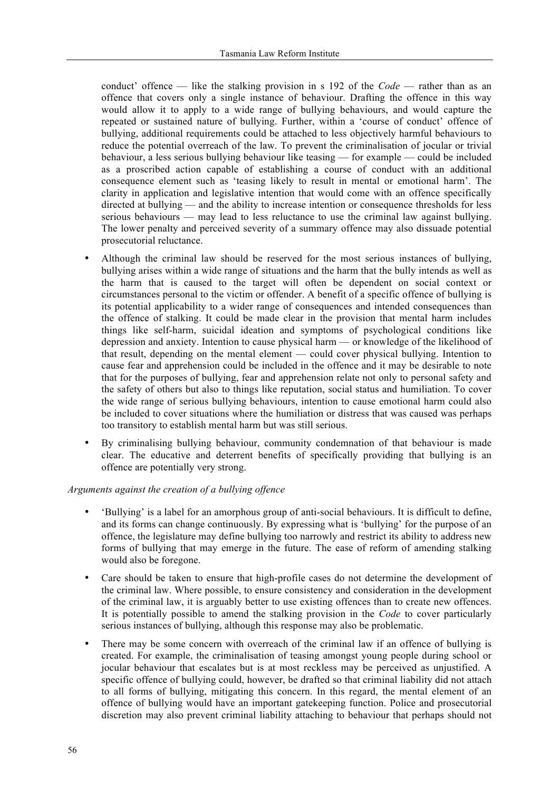conduct' offence — like the stalking provision in s 192 of the *Code* — rather than as an offence that covers only a single instance of behaviour. Drafting the offence in this way would allow it to apply to a wide range of bullying behaviours, and would capture the repeated or sustained nature of bullying. Further, within a 'course of conduct' offence of bullying, additional requirements could be attached to less objectively harmful behaviours to reduce the potential overreach of the law. To prevent the criminalisation of jocular or trivial behaviour, a less serious bullying behaviour like teasing — for example — could be included as a proscribed action capable of establishing a course of conduct with an additional consequence element such as 'teasing likely to result in mental or emotional harm'. The clarity in application and legislative intention that would come with an offence specifically directed at bullying — and the ability to increase intention or consequence thresholds for less serious behaviours — may lead to less reluctance to use the criminal law against bullying. The lower penalty and perceived severity of a summary offence may also dissuade potential prosecutorial reluctance.

- Although the criminal law should be reserved for the most serious instances of bullying, bullying arises within a wide range of situations and the harm that the bully intends as well as the harm that is caused to the target will often be dependent on social context or circumstances personal to the victim or offender. A benefit of a specific offence of bullying is its potential applicability to a wider range of consequences and intended consequences than the offence of stalking. It could be made clear in the provision that mental harm includes things like self-harm, suicidal ideation and symptoms of psychological conditions like depression and anxiety. Intention to cause physical harm — or knowledge of the likelihood of that result, depending on the mental element — could cover physical bullying. Intention to cause fear and apprehension could be included in the offence and it may be desirable to note that for the purposes of bullying, fear and apprehension relate not only to personal safety and the safety of others but also to things like reputation, social status and humiliation. To cover the wide range of serious bullying behaviours, intention to cause emotional harm could also be included to cover situations where the humiliation or distress that was caused was perhaps too transitory to establish mental harm but was still serious.
- By criminalising bullying behaviour, community condemnation of that behaviour is made clear. The educative and deterrent benefits of specifically providing that bullying is an offence are potentially very strong.

#### *Arguments against the creation of a bullying offence*

- 'Bullying' is a label for an amorphous group of anti-social behaviours. It is difficult to define, and its forms can change continuously. By expressing what is 'bullying' for the purpose of an offence, the legislature may define bullying too narrowly and restrict its ability to address new forms of bullying that may emerge in the future. The ease of reform of amending stalking would also be foregone.
- Care should be taken to ensure that high-profile cases do not determine the development of the criminal law. Where possible, to ensure consistency and consideration in the development of the criminal law, it is arguably better to use existing offences than to create new offences. It is potentially possible to amend the stalking provision in the *Code* to cover particularly serious instances of bullying, although this response may also be problematic.
- There may be some concern with overreach of the criminal law if an offence of bullying is created. For example, the criminalisation of teasing amongst young people during school or jocular behaviour that escalates but is at most reckless may be perceived as unjustified. A specific offence of bullying could, however, be drafted so that criminal liability did not attach to all forms of bullying, mitigating this concern. In this regard, the mental element of an offence of bullying would have an important gatekeeping function. Police and prosecutorial discretion may also prevent criminal liability attaching to behaviour that perhaps should not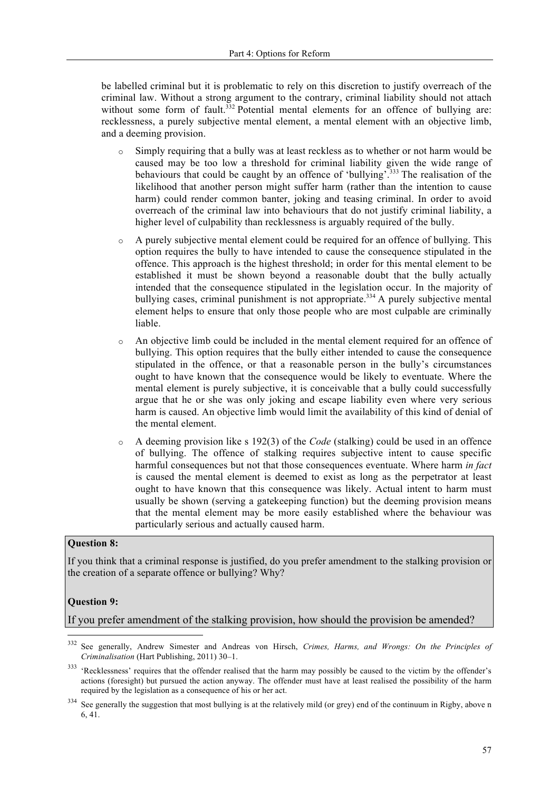be labelled criminal but it is problematic to rely on this discretion to justify overreach of the criminal law. Without a strong argument to the contrary, criminal liability should not attach without some form of fault.<sup>332</sup> Potential mental elements for an offence of bullying are: recklessness, a purely subjective mental element, a mental element with an objective limb, and a deeming provision.

- o Simply requiring that a bully was at least reckless as to whether or not harm would be caused may be too low a threshold for criminal liability given the wide range of behaviours that could be caught by an offence of 'bullying'.<sup>333</sup> The realisation of the likelihood that another person might suffer harm (rather than the intention to cause harm) could render common banter, joking and teasing criminal. In order to avoid overreach of the criminal law into behaviours that do not justify criminal liability, a higher level of culpability than recklessness is arguably required of the bully.
- $\circ$  A purely subjective mental element could be required for an offence of bullying. This option requires the bully to have intended to cause the consequence stipulated in the offence. This approach is the highest threshold; in order for this mental element to be established it must be shown beyond a reasonable doubt that the bully actually intended that the consequence stipulated in the legislation occur. In the majority of bullying cases, criminal punishment is not appropriate.<sup>334</sup> A purely subjective mental element helps to ensure that only those people who are most culpable are criminally liable.
- o An objective limb could be included in the mental element required for an offence of bullying. This option requires that the bully either intended to cause the consequence stipulated in the offence, or that a reasonable person in the bully's circumstances ought to have known that the consequence would be likely to eventuate. Where the mental element is purely subjective, it is conceivable that a bully could successfully argue that he or she was only joking and escape liability even where very serious harm is caused. An objective limb would limit the availability of this kind of denial of the mental element.
- o A deeming provision like s 192(3) of the *Code* (stalking) could be used in an offence of bullying. The offence of stalking requires subjective intent to cause specific harmful consequences but not that those consequences eventuate. Where harm *in fact* is caused the mental element is deemed to exist as long as the perpetrator at least ought to have known that this consequence was likely. Actual intent to harm must usually be shown (serving a gatekeeping function) but the deeming provision means that the mental element may be more easily established where the behaviour was particularly serious and actually caused harm.

#### **Question 8:**

If you think that a criminal response is justified, do you prefer amendment to the stalking provision or the creation of a separate offence or bullying? Why?

## **Question 9:**

If you prefer amendment of the stalking provision, how should the provision be amended?

 <sup>332</sup> See generally, Andrew Simester and Andreas von Hirsch, *Crimes, Harms, and Wrongs: On the Principles of Criminalisation* (Hart Publishing, 2011) 30–1.

<sup>&</sup>lt;sup>333</sup> 'Recklessness' requires that the offender realised that the harm may possibly be caused to the victim by the offender's actions (foresight) but pursued the action anyway. The offender must have at least realised the possibility of the harm required by the legislation as a consequence of his or her act.

<sup>&</sup>lt;sup>334</sup> See generally the suggestion that most bullying is at the relatively mild (or grey) end of the continuum in Rigby, above n 6, 41.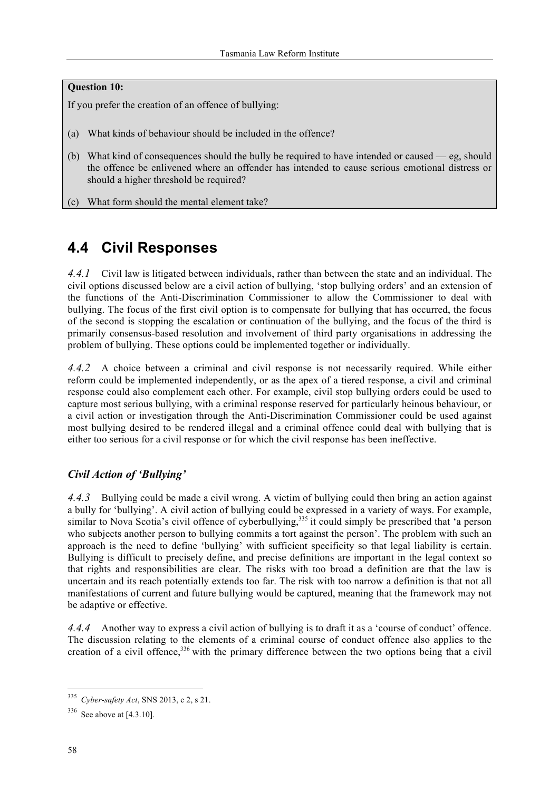## **Question 10:**

If you prefer the creation of an offence of bullying:

- (a) What kinds of behaviour should be included in the offence?
- (b) What kind of consequences should the bully be required to have intended or caused eg, should the offence be enlivened where an offender has intended to cause serious emotional distress or should a higher threshold be required?
- (c) What form should the mental element take?

# **4.4 Civil Responses**

*4.4.1* Civil law is litigated between individuals, rather than between the state and an individual. The civil options discussed below are a civil action of bullying, 'stop bullying orders' and an extension of the functions of the Anti-Discrimination Commissioner to allow the Commissioner to deal with bullying. The focus of the first civil option is to compensate for bullying that has occurred, the focus of the second is stopping the escalation or continuation of the bullying, and the focus of the third is primarily consensus-based resolution and involvement of third party organisations in addressing the problem of bullying. These options could be implemented together or individually.

*4.4.2* A choice between a criminal and civil response is not necessarily required. While either reform could be implemented independently, or as the apex of a tiered response, a civil and criminal response could also complement each other. For example, civil stop bullying orders could be used to capture most serious bullying, with a criminal response reserved for particularly heinous behaviour, or a civil action or investigation through the Anti-Discrimination Commissioner could be used against most bullying desired to be rendered illegal and a criminal offence could deal with bullying that is either too serious for a civil response or for which the civil response has been ineffective.

# *Civil Action of 'Bullying'*

*4.4.3* Bullying could be made a civil wrong. A victim of bullying could then bring an action against a bully for 'bullying'. A civil action of bullying could be expressed in a variety of ways. For example, similar to Nova Scotia's civil offence of cyberbullying,<sup>335</sup> it could simply be prescribed that 'a person who subjects another person to bullying commits a tort against the person'. The problem with such an approach is the need to define 'bullying' with sufficient specificity so that legal liability is certain. Bullying is difficult to precisely define, and precise definitions are important in the legal context so that rights and responsibilities are clear. The risks with too broad a definition are that the law is uncertain and its reach potentially extends too far. The risk with too narrow a definition is that not all manifestations of current and future bullying would be captured, meaning that the framework may not be adaptive or effective.

*4.4.4* Another way to express a civil action of bullying is to draft it as a 'course of conduct' offence. The discussion relating to the elements of a criminal course of conduct offence also applies to the creation of a civil offence,<sup>336</sup> with the primary difference between the two options being that a civil

 <sup>335</sup> *Cyber-safety Act*, SNS 2013, c 2, s 21.

<sup>336</sup> See above at [4.3.10].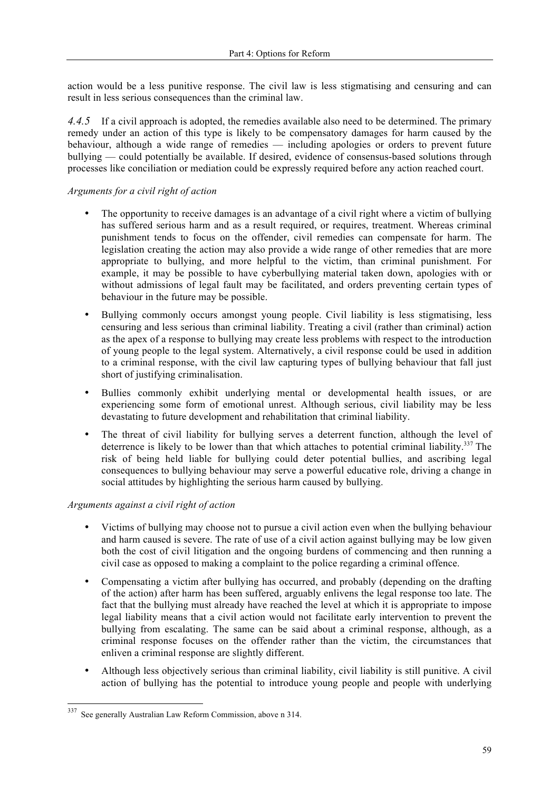action would be a less punitive response. The civil law is less stigmatising and censuring and can result in less serious consequences than the criminal law.

*4.4.5* If a civil approach is adopted, the remedies available also need to be determined. The primary remedy under an action of this type is likely to be compensatory damages for harm caused by the behaviour, although a wide range of remedies — including apologies or orders to prevent future bullying — could potentially be available. If desired, evidence of consensus-based solutions through processes like conciliation or mediation could be expressly required before any action reached court.

# *Arguments for a civil right of action*

- The opportunity to receive damages is an advantage of a civil right where a victim of bullying has suffered serious harm and as a result required, or requires, treatment. Whereas criminal punishment tends to focus on the offender, civil remedies can compensate for harm. The legislation creating the action may also provide a wide range of other remedies that are more appropriate to bullying, and more helpful to the victim, than criminal punishment. For example, it may be possible to have cyberbullying material taken down, apologies with or without admissions of legal fault may be facilitated, and orders preventing certain types of behaviour in the future may be possible.
- Bullying commonly occurs amongst young people. Civil liability is less stigmatising, less censuring and less serious than criminal liability. Treating a civil (rather than criminal) action as the apex of a response to bullying may create less problems with respect to the introduction of young people to the legal system. Alternatively, a civil response could be used in addition to a criminal response, with the civil law capturing types of bullying behaviour that fall just short of justifying criminalisation.
- Bullies commonly exhibit underlying mental or developmental health issues, or are experiencing some form of emotional unrest. Although serious, civil liability may be less devastating to future development and rehabilitation that criminal liability.
- The threat of civil liability for bullying serves a deterrent function, although the level of deterrence is likely to be lower than that which attaches to potential criminal liability.<sup>337</sup> The risk of being held liable for bullying could deter potential bullies, and ascribing legal consequences to bullying behaviour may serve a powerful educative role, driving a change in social attitudes by highlighting the serious harm caused by bullying.

## *Arguments against a civil right of action*

- Victims of bullying may choose not to pursue a civil action even when the bullying behaviour and harm caused is severe. The rate of use of a civil action against bullying may be low given both the cost of civil litigation and the ongoing burdens of commencing and then running a civil case as opposed to making a complaint to the police regarding a criminal offence.
- Compensating a victim after bullying has occurred, and probably (depending on the drafting of the action) after harm has been suffered, arguably enlivens the legal response too late. The fact that the bullying must already have reached the level at which it is appropriate to impose legal liability means that a civil action would not facilitate early intervention to prevent the bullying from escalating. The same can be said about a criminal response, although, as a criminal response focuses on the offender rather than the victim, the circumstances that enliven a criminal response are slightly different.
- Although less objectively serious than criminal liability, civil liability is still punitive. A civil action of bullying has the potential to introduce young people and people with underlying

 <sup>337</sup> See generally Australian Law Reform Commission, above n 314.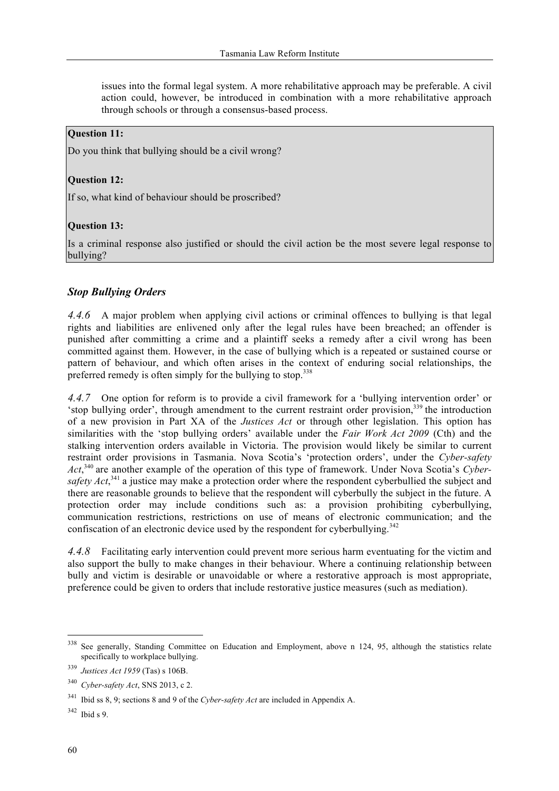issues into the formal legal system. A more rehabilitative approach may be preferable. A civil action could, however, be introduced in combination with a more rehabilitative approach through schools or through a consensus-based process.

# **Question 11:**

Do you think that bullying should be a civil wrong?

## **Question 12:**

If so, what kind of behaviour should be proscribed?

## **Question 13:**

Is a criminal response also justified or should the civil action be the most severe legal response to bullying?

# *Stop Bullying Orders*

*4.4.6* A major problem when applying civil actions or criminal offences to bullying is that legal rights and liabilities are enlivened only after the legal rules have been breached; an offender is punished after committing a crime and a plaintiff seeks a remedy after a civil wrong has been committed against them. However, in the case of bullying which is a repeated or sustained course or pattern of behaviour, and which often arises in the context of enduring social relationships, the preferred remedy is often simply for the bullying to stop. $338$ 

*4.4.7* One option for reform is to provide a civil framework for a 'bullying intervention order' or 'stop bullying order', through amendment to the current restraint order provision,<sup>339</sup> the introduction of a new provision in Part XA of the *Justices Act* or through other legislation. This option has similarities with the 'stop bullying orders' available under the *Fair Work Act 2009* (Cth) and the stalking intervention orders available in Victoria. The provision would likely be similar to current restraint order provisions in Tasmania. Nova Scotia's 'protection orders', under the *Cyber-safety Act*, <sup>340</sup> are another example of the operation of this type of framework. Under Nova Scotia's *Cyber*safety Act,<sup>341</sup> a justice may make a protection order where the respondent cyberbullied the subject and there are reasonable grounds to believe that the respondent will cyberbully the subject in the future. A protection order may include conditions such as: a provision prohibiting cyberbullying, communication restrictions, restrictions on use of means of electronic communication; and the confiscation of an electronic device used by the respondent for cyberbullying.<sup>342</sup>

*4.4.8* Facilitating early intervention could prevent more serious harm eventuating for the victim and also support the bully to make changes in their behaviour. Where a continuing relationship between bully and victim is desirable or unavoidable or where a restorative approach is most appropriate, preference could be given to orders that include restorative justice measures (such as mediation).

See generally, Standing Committee on Education and Employment, above n 124, 95, although the statistics relate specifically to workplace bullying.

<sup>339</sup> *Justices Act 1959* (Tas) s 106B.

<sup>340</sup> *Cyber-safety Act*, SNS 2013, c 2.

<sup>341</sup> Ibid ss 8, 9; sections 8 and 9 of the *Cyber-safety Act* are included in Appendix A.

 $342$  Ibid s 9.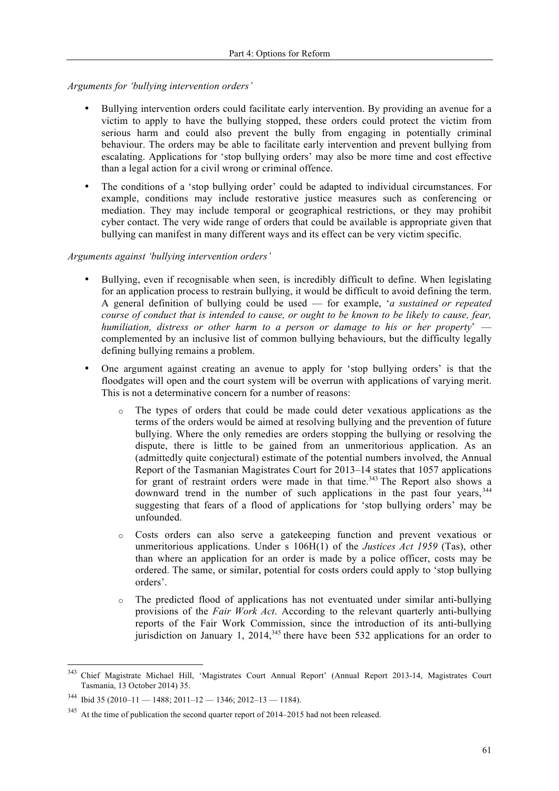#### *Arguments for 'bullying intervention orders'*

- Bullying intervention orders could facilitate early intervention. By providing an avenue for a victim to apply to have the bullying stopped, these orders could protect the victim from serious harm and could also prevent the bully from engaging in potentially criminal behaviour. The orders may be able to facilitate early intervention and prevent bullying from escalating. Applications for 'stop bullying orders' may also be more time and cost effective than a legal action for a civil wrong or criminal offence.
- The conditions of a 'stop bullying order' could be adapted to individual circumstances. For example, conditions may include restorative justice measures such as conferencing or mediation. They may include temporal or geographical restrictions, or they may prohibit cyber contact. The very wide range of orders that could be available is appropriate given that bullying can manifest in many different ways and its effect can be very victim specific.

#### *Arguments against 'bullying intervention orders'*

- Bullying, even if recognisable when seen, is incredibly difficult to define. When legislating for an application process to restrain bullying, it would be difficult to avoid defining the term. A general definition of bullying could be used — for example, '*a sustained or repeated course of conduct that is intended to cause, or ought to be known to be likely to cause, fear, humiliation, distress or other harm to a person or damage to his or her property*' complemented by an inclusive list of common bullying behaviours, but the difficulty legally defining bullying remains a problem.
- One argument against creating an avenue to apply for 'stop bullying orders' is that the floodgates will open and the court system will be overrun with applications of varying merit. This is not a determinative concern for a number of reasons:
	- o The types of orders that could be made could deter vexatious applications as the terms of the orders would be aimed at resolving bullying and the prevention of future bullying. Where the only remedies are orders stopping the bullying or resolving the dispute, there is little to be gained from an unmeritorious application. As an (admittedly quite conjectural) estimate of the potential numbers involved, the Annual Report of the Tasmanian Magistrates Court for 2013–14 states that 1057 applications for grant of restraint orders were made in that time.<sup>343</sup> The Report also shows a downward trend in the number of such applications in the past four years, 344 suggesting that fears of a flood of applications for 'stop bullying orders' may be unfounded.
	- Costs orders can also serve a gate keeping function and prevent vexatious or unmeritorious applications. Under s 106H(1) of the *Justices Act 1959* (Tas), other than where an application for an order is made by a police officer, costs may be ordered. The same, or similar, potential for costs orders could apply to 'stop bullying orders'.
	- o The predicted flood of applications has not eventuated under similar anti-bullying provisions of the *Fair Work Act*. According to the relevant quarterly anti-bullying reports of the Fair Work Commission, since the introduction of its anti-bullying jurisdiction on January 1, 2014,  $345$  there have been 532 applications for an order to

 <sup>343</sup> Chief Magistrate Michael Hill, 'Magistrates Court Annual Report' (Annual Report 2013-14, Magistrates Court Tasmania, 13 October 2014) 35.

 $344$  Ibid 35 (2010–11 — 1488; 2011–12 — 1346; 2012–13 — 1184).

<sup>&</sup>lt;sup>345</sup> At the time of publication the second quarter report of 2014–2015 had not been released.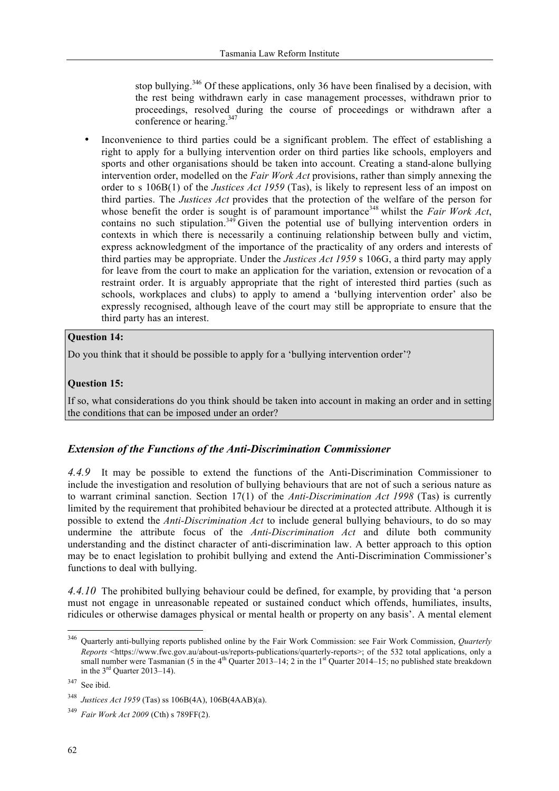stop bullying.<sup>346</sup> Of these applications, only 36 have been finalised by a decision, with the rest being withdrawn early in case management processes, withdrawn prior to proceedings, resolved during the course of proceedings or withdrawn after a conference or hearing.<sup>347</sup>

• Inconvenience to third parties could be a significant problem. The effect of establishing a right to apply for a bullying intervention order on third parties like schools, employers and sports and other organisations should be taken into account. Creating a stand-alone bullying intervention order, modelled on the *Fair Work Act* provisions, rather than simply annexing the order to s 106B(1) of the *Justices Act 1959* (Tas), is likely to represent less of an impost on third parties. The *Justices Act* provides that the protection of the welfare of the person for whose benefit the order is sought is of paramount importance<sup>348</sup> whilst the *Fair Work Act*, contains no such stipulation. $349$  Given the potential use of bullying intervention orders in contexts in which there is necessarily a continuing relationship between bully and victim, express acknowledgment of the importance of the practicality of any orders and interests of third parties may be appropriate. Under the *Justices Act 1959* s 106G, a third party may apply for leave from the court to make an application for the variation, extension or revocation of a restraint order. It is arguably appropriate that the right of interested third parties (such as schools, workplaces and clubs) to apply to amend a 'bullying intervention order' also be expressly recognised, although leave of the court may still be appropriate to ensure that the third party has an interest.

# **Question 14:**

Do you think that it should be possible to apply for a 'bullying intervention order'?

## **Question 15:**

If so, what considerations do you think should be taken into account in making an order and in setting the conditions that can be imposed under an order?

# *Extension of the Functions of the Anti-Discrimination Commissioner*

*4.4.9* It may be possible to extend the functions of the Anti-Discrimination Commissioner to include the investigation and resolution of bullying behaviours that are not of such a serious nature as to warrant criminal sanction. Section 17(1) of the *Anti-Discrimination Act 1998* (Tas) is currently limited by the requirement that prohibited behaviour be directed at a protected attribute. Although it is possible to extend the *Anti-Discrimination Act* to include general bullying behaviours, to do so may undermine the attribute focus of the *Anti-Discrimination Act* and dilute both community understanding and the distinct character of anti-discrimination law. A better approach to this option may be to enact legislation to prohibit bullying and extend the Anti-Discrimination Commissioner's functions to deal with bullying.

*4.4.10* The prohibited bullying behaviour could be defined, for example, by providing that 'a person must not engage in unreasonable repeated or sustained conduct which offends, humiliates, insults, ridicules or otherwise damages physical or mental health or property on any basis'. A mental element

 <sup>346</sup> Quarterly anti-bullying reports published online by the Fair Work Commission: see Fair Work Commission, *Quarterly Reports* <https://www.fwc.gov.au/about-us/reports-publications/quarterly-reports>; of the 532 total applications, only a small number were Tasmanian (5 in the  $4<sup>th</sup>$  Quarter 2013–14; 2 in the 1<sup>st</sup> Quarter 2014–15; no published state breakdown in the  $3<sup>rd</sup>$  Ouarter 2013–14).

<sup>347</sup> See ibid.

<sup>348</sup> *Justices Act 1959* (Tas) ss 106B(4A), 106B(4AAB)(a).

<sup>349</sup> *Fair Work Act 2009* (Cth) s 789FF(2).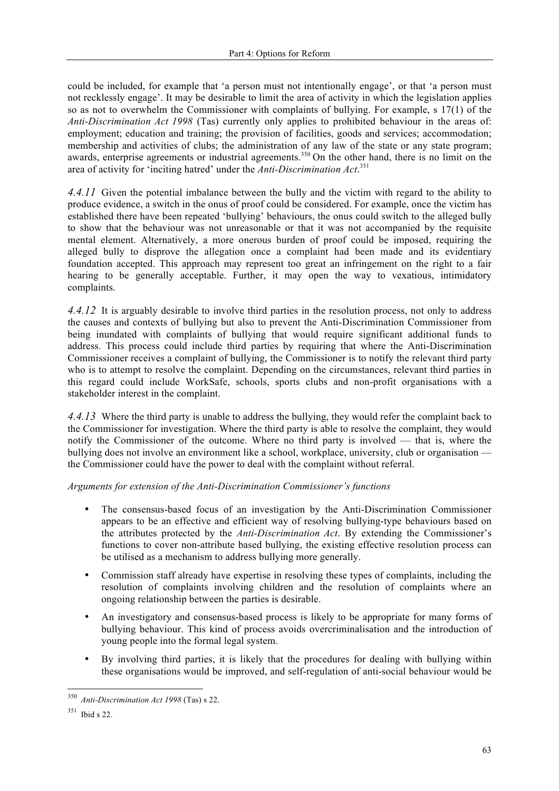could be included, for example that 'a person must not intentionally engage', or that 'a person must not recklessly engage'. It may be desirable to limit the area of activity in which the legislation applies so as not to overwhelm the Commissioner with complaints of bullying. For example, s 17(1) of the *Anti-Discrimination Act 1998* (Tas) currently only applies to prohibited behaviour in the areas of: employment; education and training; the provision of facilities, goods and services; accommodation; membership and activities of clubs; the administration of any law of the state or any state program; awards, enterprise agreements or industrial agreements.<sup>350</sup> On the other hand, there is no limit on the area of activity for 'inciting hatred' under the *Anti-Discrimination Act*. 351

4.4.11 Given the potential imbalance between the bully and the victim with regard to the ability to produce evidence, a switch in the onus of proof could be considered. For example, once the victim has established there have been repeated 'bullying' behaviours, the onus could switch to the alleged bully to show that the behaviour was not unreasonable or that it was not accompanied by the requisite mental element. Alternatively, a more onerous burden of proof could be imposed, requiring the alleged bully to disprove the allegation once a complaint had been made and its evidentiary foundation accepted. This approach may represent too great an infringement on the right to a fair hearing to be generally acceptable. Further, it may open the way to vexatious, intimidatory complaints.

*4.4.12* It is arguably desirable to involve third parties in the resolution process, not only to address the causes and contexts of bullying but also to prevent the Anti-Discrimination Commissioner from being inundated with complaints of bullying that would require significant additional funds to address. This process could include third parties by requiring that where the Anti-Discrimination Commissioner receives a complaint of bullying, the Commissioner is to notify the relevant third party who is to attempt to resolve the complaint. Depending on the circumstances, relevant third parties in this regard could include WorkSafe, schools, sports clubs and non-profit organisations with a stakeholder interest in the complaint.

*4.4.13* Where the third party is unable to address the bullying, they would refer the complaint back to the Commissioner for investigation. Where the third party is able to resolve the complaint, they would notify the Commissioner of the outcome. Where no third party is involved — that is, where the bullying does not involve an environment like a school, workplace, university, club or organisation the Commissioner could have the power to deal with the complaint without referral.

*Arguments for extension of the Anti-Discrimination Commissioner's functions* 

- The consensus-based focus of an investigation by the Anti-Discrimination Commissioner appears to be an effective and efficient way of resolving bullying-type behaviours based on the attributes protected by the *Anti-Discrimination Act*. By extending the Commissioner's functions to cover non-attribute based bullying, the existing effective resolution process can be utilised as a mechanism to address bullying more generally.
- Commission staff already have expertise in resolving these types of complaints, including the resolution of complaints involving children and the resolution of complaints where an ongoing relationship between the parties is desirable.
- An investigatory and consensus-based process is likely to be appropriate for many forms of bullying behaviour. This kind of process avoids overcriminalisation and the introduction of young people into the formal legal system.
- By involving third parties, it is likely that the procedures for dealing with bullying within these organisations would be improved, and self-regulation of anti-social behaviour would be

 <sup>350</sup> *Anti-Discrimination Act 1998* (Tas) s 22.

<sup>351</sup> Ibid s 22.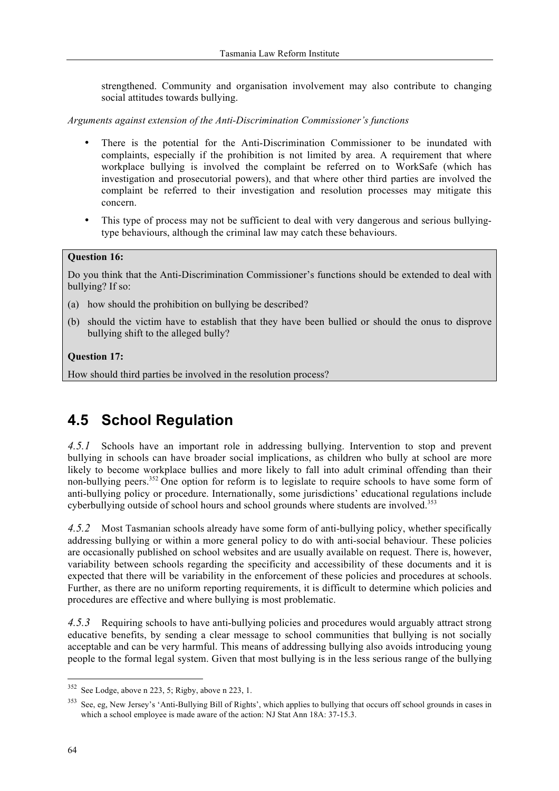strengthened. Community and organisation involvement may also contribute to changing social attitudes towards bullying.

*Arguments against extension of the Anti-Discrimination Commissioner's functions* 

- There is the potential for the Anti-Discrimination Commissioner to be inundated with complaints, especially if the prohibition is not limited by area. A requirement that where workplace bullying is involved the complaint be referred on to WorkSafe (which has investigation and prosecutorial powers), and that where other third parties are involved the complaint be referred to their investigation and resolution processes may mitigate this concern.
- This type of process may not be sufficient to deal with very dangerous and serious bullyingtype behaviours, although the criminal law may catch these behaviours.

# **Question 16:**

Do you think that the Anti-Discrimination Commissioner's functions should be extended to deal with bullying? If so:

- (a) how should the prohibition on bullying be described?
- (b) should the victim have to establish that they have been bullied or should the onus to disprove bullying shift to the alleged bully?

# **Question 17:**

How should third parties be involved in the resolution process?

# **4.5 School Regulation**

*4.5.1* Schools have an important role in addressing bullying. Intervention to stop and prevent bullying in schools can have broader social implications, as children who bully at school are more likely to become workplace bullies and more likely to fall into adult criminal offending than their non-bullying peers.352 One option for reform is to legislate to require schools to have some form of anti-bullying policy or procedure. Internationally, some jurisdictions' educational regulations include cyberbullying outside of school hours and school grounds where students are involved.<sup>353</sup>

*4.5.2* Most Tasmanian schools already have some form of anti-bullying policy, whether specifically addressing bullying or within a more general policy to do with anti-social behaviour. These policies are occasionally published on school websites and are usually available on request. There is, however, variability between schools regarding the specificity and accessibility of these documents and it is expected that there will be variability in the enforcement of these policies and procedures at schools. Further, as there are no uniform reporting requirements, it is difficult to determine which policies and procedures are effective and where bullying is most problematic.

*4.5.3* Requiring schools to have anti-bullying policies and procedures would arguably attract strong educative benefits, by sending a clear message to school communities that bullying is not socially acceptable and can be very harmful. This means of addressing bullying also avoids introducing young people to the formal legal system. Given that most bullying is in the less serious range of the bullying

 <sup>352</sup> See Lodge, above n 223, 5; Rigby, above n 223, 1.

<sup>&</sup>lt;sup>353</sup> See, eg, New Jersey's 'Anti-Bullying Bill of Rights', which applies to bullying that occurs off school grounds in cases in which a school employee is made aware of the action: NJ Stat Ann 18A: 37-15.3.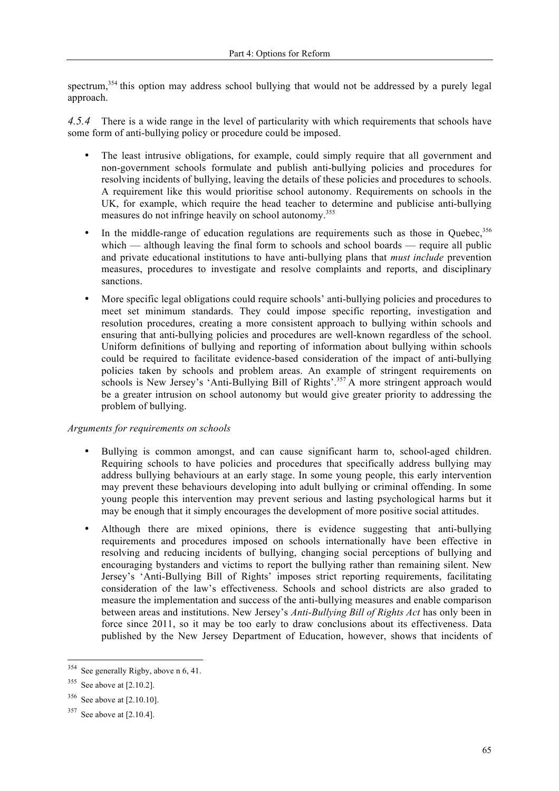spectrum,<sup>354</sup> this option may address school bullying that would not be addressed by a purely legal approach.

*4.5.4* There is a wide range in the level of particularity with which requirements that schools have some form of anti-bullying policy or procedure could be imposed.

- The least intrusive obligations, for example, could simply require that all government and non-government schools formulate and publish anti-bullying policies and procedures for resolving incidents of bullying, leaving the details of these policies and procedures to schools. A requirement like this would prioritise school autonomy. Requirements on schools in the UK, for example, which require the head teacher to determine and publicise anti-bullying measures do not infringe heavily on school autonomy.<sup>355</sup>
- In the middle-range of education regulations are requirements such as those in Quebec,  $356$ which — although leaving the final form to schools and school boards — require all public and private educational institutions to have anti-bullying plans that *must include* prevention measures, procedures to investigate and resolve complaints and reports, and disciplinary sanctions.
- More specific legal obligations could require schools' anti-bullying policies and procedures to meet set minimum standards. They could impose specific reporting, investigation and resolution procedures, creating a more consistent approach to bullying within schools and ensuring that anti-bullying policies and procedures are well-known regardless of the school. Uniform definitions of bullying and reporting of information about bullying within schools could be required to facilitate evidence-based consideration of the impact of anti-bullying policies taken by schools and problem areas. An example of stringent requirements on schools is New Jersey's 'Anti-Bullying Bill of Rights'.<sup>357</sup> A more stringent approach would be a greater intrusion on school autonomy but would give greater priority to addressing the problem of bullying.

# *Arguments for requirements on schools*

- Bullying is common amongst, and can cause significant harm to, school-aged children. Requiring schools to have policies and procedures that specifically address bullying may address bullying behaviours at an early stage. In some young people, this early intervention may prevent these behaviours developing into adult bullying or criminal offending. In some young people this intervention may prevent serious and lasting psychological harms but it may be enough that it simply encourages the development of more positive social attitudes.
- Although there are mixed opinions, there is evidence suggesting that anti-bullying requirements and procedures imposed on schools internationally have been effective in resolving and reducing incidents of bullying, changing social perceptions of bullying and encouraging bystanders and victims to report the bullying rather than remaining silent. New Jersey's 'Anti-Bullying Bill of Rights' imposes strict reporting requirements, facilitating consideration of the law's effectiveness. Schools and school districts are also graded to measure the implementation and success of the anti-bullying measures and enable comparison between areas and institutions. New Jersey's *Anti-Bullying Bill of Rights Act* has only been in force since 2011, so it may be too early to draw conclusions about its effectiveness. Data published by the New Jersey Department of Education, however, shows that incidents of

 <sup>354</sup> See generally Rigby, above n 6, 41.

<sup>355</sup> See above at [2.10.2].

<sup>356</sup> See above at [2.10.10].

 $357$  See above at [2.10.4].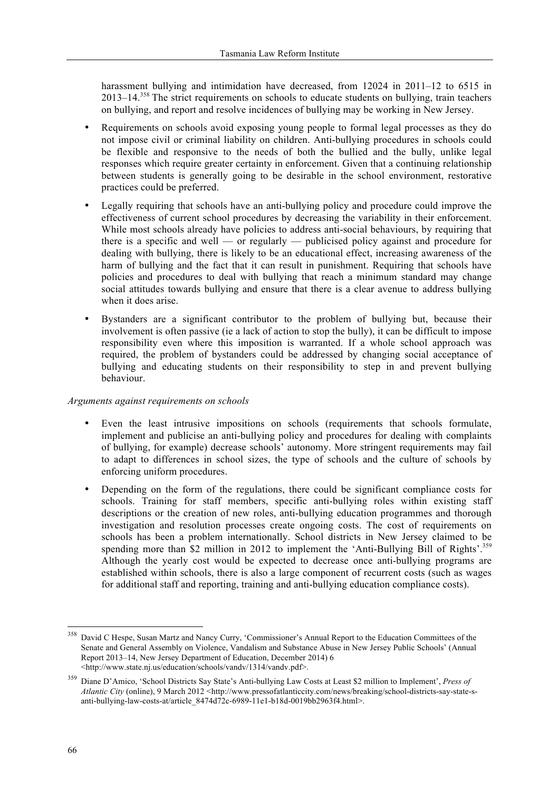harassment bullying and intimidation have decreased, from 12024 in 2011–12 to 6515 in 2013–14.<sup>358</sup> The strict requirements on schools to educate students on bullying, train teachers on bullying, and report and resolve incidences of bullying may be working in New Jersey.

- Requirements on schools avoid exposing young people to formal legal processes as they do not impose civil or criminal liability on children. Anti-bullying procedures in schools could be flexible and responsive to the needs of both the bullied and the bully, unlike legal responses which require greater certainty in enforcement. Given that a continuing relationship between students is generally going to be desirable in the school environment, restorative practices could be preferred.
- Legally requiring that schools have an anti-bullying policy and procedure could improve the effectiveness of current school procedures by decreasing the variability in their enforcement. While most schools already have policies to address anti-social behaviours, by requiring that there is a specific and well — or regularly — publicised policy against and procedure for dealing with bullying, there is likely to be an educational effect, increasing awareness of the harm of bullying and the fact that it can result in punishment. Requiring that schools have policies and procedures to deal with bullying that reach a minimum standard may change social attitudes towards bullying and ensure that there is a clear avenue to address bullying when it does arise.
- Bystanders are a significant contributor to the problem of bullying but, because their involvement is often passive (ie a lack of action to stop the bully), it can be difficult to impose responsibility even where this imposition is warranted. If a whole school approach was required, the problem of bystanders could be addressed by changing social acceptance of bullying and educating students on their responsibility to step in and prevent bullying behaviour.

# *Arguments against requirements on schools*

- Even the least intrusive impositions on schools (requirements that schools formulate, implement and publicise an anti-bullying policy and procedures for dealing with complaints of bullying, for example) decrease schools' autonomy. More stringent requirements may fail to adapt to differences in school sizes, the type of schools and the culture of schools by enforcing uniform procedures.
- Depending on the form of the regulations, there could be significant compliance costs for schools. Training for staff members, specific anti-bullying roles within existing staff descriptions or the creation of new roles, anti-bullying education programmes and thorough investigation and resolution processes create ongoing costs. The cost of requirements on schools has been a problem internationally. School districts in New Jersey claimed to be spending more than \$2 million in 2012 to implement the 'Anti-Bullying Bill of Rights'.<sup>359</sup> Although the yearly cost would be expected to decrease once anti-bullying programs are established within schools, there is also a large component of recurrent costs (such as wages for additional staff and reporting, training and anti-bullying education compliance costs).

<sup>&</sup>lt;sup>358</sup> David C Hespe, Susan Martz and Nancy Curry, 'Commissioner's Annual Report to the Education Committees of the Senate and General Assembly on Violence, Vandalism and Substance Abuse in New Jersey Public Schools' (Annual Report 2013–14, New Jersey Department of Education, December 2014) 6 <http://www.state.nj.us/education/schools/vandv/1314/vandv.pdf>.

<sup>359</sup> Diane D'Amico, 'School Districts Say State's Anti-bullying Law Costs at Least \$2 million to Implement', *Press of Atlantic City* (online), 9 March 2012 <http://www.pressofatlanticcity.com/news/breaking/school-districts-say-state-santi-bullying-law-costs-at/article\_8474d72c-6989-11e1-b18d-0019bb2963f4.html>.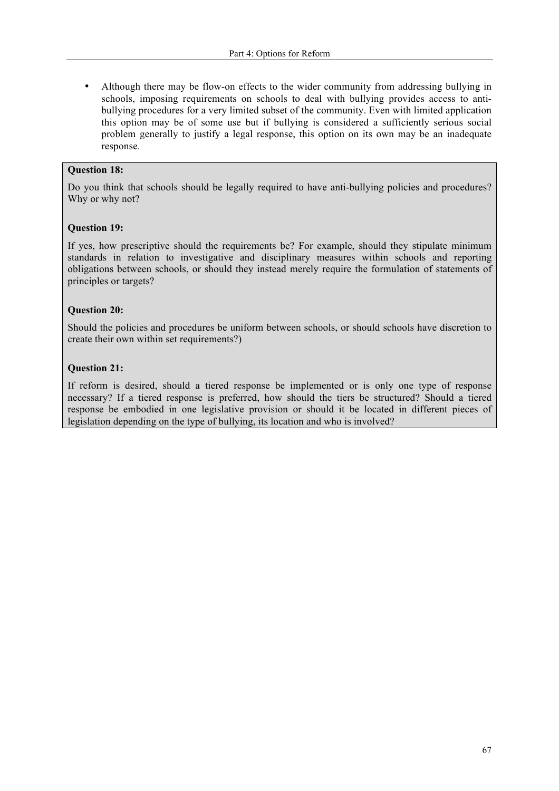• Although there may be flow-on effects to the wider community from addressing bullying in schools, imposing requirements on schools to deal with bullying provides access to antibullying procedures for a very limited subset of the community. Even with limited application this option may be of some use but if bullying is considered a sufficiently serious social problem generally to justify a legal response, this option on its own may be an inadequate response.

# **Question 18:**

Do you think that schools should be legally required to have anti-bullying policies and procedures? Why or why not?

# **Question 19:**

If yes, how prescriptive should the requirements be? For example, should they stipulate minimum standards in relation to investigative and disciplinary measures within schools and reporting obligations between schools, or should they instead merely require the formulation of statements of principles or targets?

# **Question 20:**

Should the policies and procedures be uniform between schools, or should schools have discretion to create their own within set requirements?)

# **Question 21:**

If reform is desired, should a tiered response be implemented or is only one type of response necessary? If a tiered response is preferred, how should the tiers be structured? Should a tiered response be embodied in one legislative provision or should it be located in different pieces of legislation depending on the type of bullying, its location and who is involved?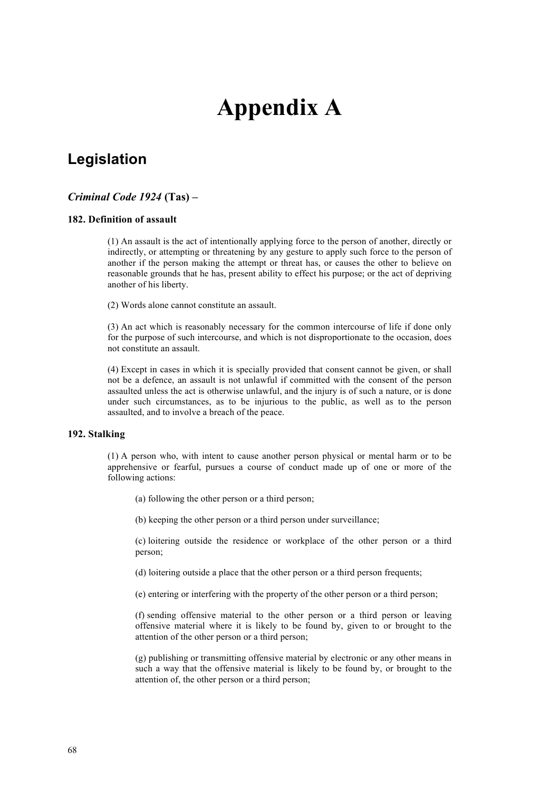# **Appendix A**

# **Legislation**

# *Criminal Code 1924* **(Tas) –**

#### **182. Definition of assault**

(1) An assault is the act of intentionally applying force to the person of another, directly or indirectly, or attempting or threatening by any gesture to apply such force to the person of another if the person making the attempt or threat has, or causes the other to believe on reasonable grounds that he has, present ability to effect his purpose; or the act of depriving another of his liberty.

(2) Words alone cannot constitute an assault.

(3) An act which is reasonably necessary for the common intercourse of life if done only for the purpose of such intercourse, and which is not disproportionate to the occasion, does not constitute an assault.

(4) Except in cases in which it is specially provided that consent cannot be given, or shall not be a defence, an assault is not unlawful if committed with the consent of the person assaulted unless the act is otherwise unlawful, and the injury is of such a nature, or is done under such circumstances, as to be injurious to the public, as well as to the person assaulted, and to involve a breach of the peace.

#### **192. Stalking**

(1) A person who, with intent to cause another person physical or mental harm or to be apprehensive or fearful, pursues a course of conduct made up of one or more of the following actions:

(a) following the other person or a third person;

(b) keeping the other person or a third person under surveillance;

(c) loitering outside the residence or workplace of the other person or a third person;

(d) loitering outside a place that the other person or a third person frequents;

(e) entering or interfering with the property of the other person or a third person;

(f) sending offensive material to the other person or a third person or leaving offensive material where it is likely to be found by, given to or brought to the attention of the other person or a third person;

(g) publishing or transmitting offensive material by electronic or any other means in such a way that the offensive material is likely to be found by, or brought to the attention of, the other person or a third person;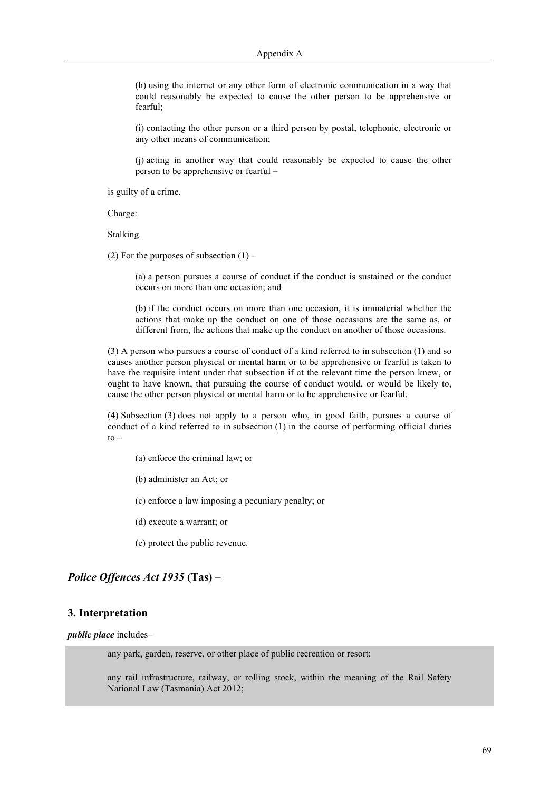(h) using the internet or any other form of electronic communication in a way that could reasonably be expected to cause the other person to be apprehensive or fearful;

(i) contacting the other person or a third person by postal, telephonic, electronic or any other means of communication;

(j) acting in another way that could reasonably be expected to cause the other person to be apprehensive or fearful –

is guilty of a crime.

Charge:

Stalking.

(2) For the purposes of subsection  $(1)$  –

(a) a person pursues a course of conduct if the conduct is sustained or the conduct occurs on more than one occasion; and

(b) if the conduct occurs on more than one occasion, it is immaterial whether the actions that make up the conduct on one of those occasions are the same as, or different from, the actions that make up the conduct on another of those occasions.

(3) A person who pursues a course of conduct of a kind referred to in subsection (1) and so causes another person physical or mental harm or to be apprehensive or fearful is taken to have the requisite intent under that subsection if at the relevant time the person knew, or ought to have known, that pursuing the course of conduct would, or would be likely to, cause the other person physical or mental harm or to be apprehensive or fearful.

(4) Subsection (3) does not apply to a person who, in good faith, pursues a course of conduct of a kind referred to in subsection (1) in the course of performing official duties to –

(a) enforce the criminal law; or

(b) administer an Act; or

(c) enforce a law imposing a pecuniary penalty; or

(d) execute a warrant; or

(e) protect the public revenue.

#### *Police Offences Act 1935* **(Tas) –**

# **3. Interpretation**

*public place* includes–

any park, garden, reserve, or other place of public recreation or resort;

any rail infrastructure, railway, or rolling stock, within the meaning of the Rail Safety National Law (Tasmania) Act 2012;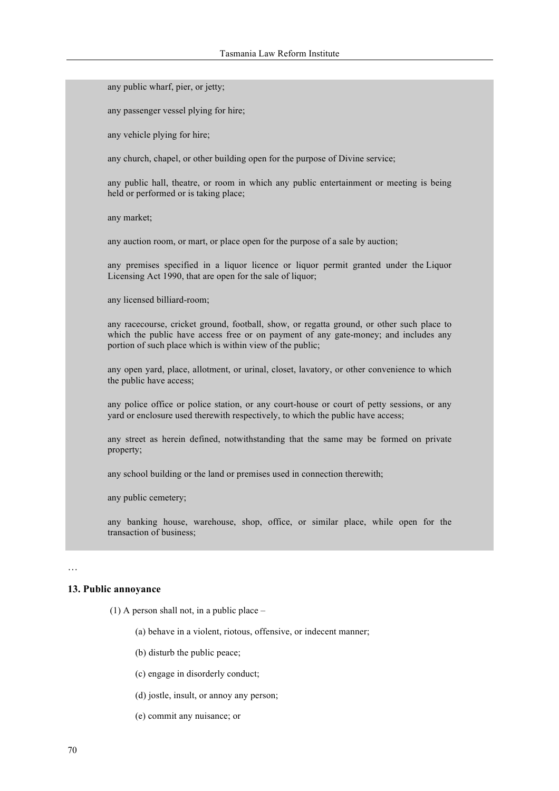any public wharf, pier, or jetty;

any passenger vessel plying for hire;

any vehicle plying for hire;

any church, chapel, or other building open for the purpose of Divine service;

any public hall, theatre, or room in which any public entertainment or meeting is being held or performed or is taking place;

any market;

any auction room, or mart, or place open for the purpose of a sale by auction;

any premises specified in a liquor licence or liquor permit granted under the Liquor Licensing Act 1990, that are open for the sale of liquor;

any licensed billiard-room;

any racecourse, cricket ground, football, show, or regatta ground, or other such place to which the public have access free or on payment of any gate-money; and includes any portion of such place which is within view of the public;

any open yard, place, allotment, or urinal, closet, lavatory, or other convenience to which the public have access;

any police office or police station, or any court-house or court of petty sessions, or any yard or enclosure used therewith respectively, to which the public have access;

any street as herein defined, notwithstanding that the same may be formed on private property;

any school building or the land or premises used in connection therewith;

any public cemetery;

any banking house, warehouse, shop, office, or similar place, while open for the transaction of business;

…

#### **13. Public annoyance**

(1) A person shall not, in a public place –

(a) behave in a violent, riotous, offensive, or indecent manner;

(b) disturb the public peace;

(c) engage in disorderly conduct;

(d) jostle, insult, or annoy any person;

(e) commit any nuisance; or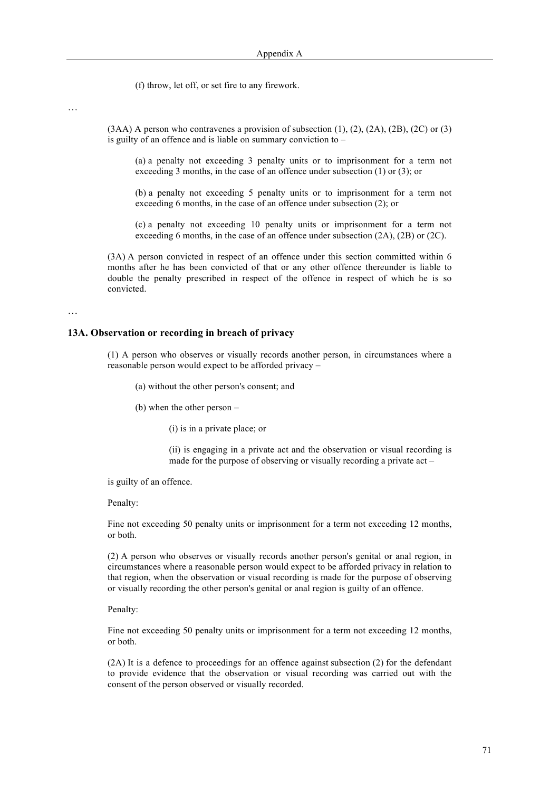(f) throw, let off, or set fire to any firework.

 $(3AA)$  A person who contravenes a provision of subsection  $(1)$ ,  $(2)$ ,  $(2A)$ ,  $(2B)$ ,  $(2C)$  or  $(3)$ is guilty of an offence and is liable on summary conviction to –

(a) a penalty not exceeding 3 penalty units or to imprisonment for a term not exceeding 3 months, in the case of an offence under subsection (1) or (3); or

(b) a penalty not exceeding 5 penalty units or to imprisonment for a term not exceeding 6 months, in the case of an offence under subsection (2); or

(c) a penalty not exceeding 10 penalty units or imprisonment for a term not exceeding 6 months, in the case of an offence under subsection (2A), (2B) or (2C).

(3A) A person convicted in respect of an offence under this section committed within 6 months after he has been convicted of that or any other offence thereunder is liable to double the penalty prescribed in respect of the offence in respect of which he is so convicted.

#### **13A. Observation or recording in breach of privacy**

(1) A person who observes or visually records another person, in circumstances where a reasonable person would expect to be afforded privacy –

(a) without the other person's consent; and

(b) when the other person –

(i) is in a private place; or

(ii) is engaging in a private act and the observation or visual recording is made for the purpose of observing or visually recording a private act –

is guilty of an offence.

#### Penalty:

…

…

Fine not exceeding 50 penalty units or imprisonment for a term not exceeding 12 months, or both.

(2) A person who observes or visually records another person's genital or anal region, in circumstances where a reasonable person would expect to be afforded privacy in relation to that region, when the observation or visual recording is made for the purpose of observing or visually recording the other person's genital or anal region is guilty of an offence.

Penalty:

Fine not exceeding 50 penalty units or imprisonment for a term not exceeding 12 months, or both.

(2A) It is a defence to proceedings for an offence against subsection (2) for the defendant to provide evidence that the observation or visual recording was carried out with the consent of the person observed or visually recorded.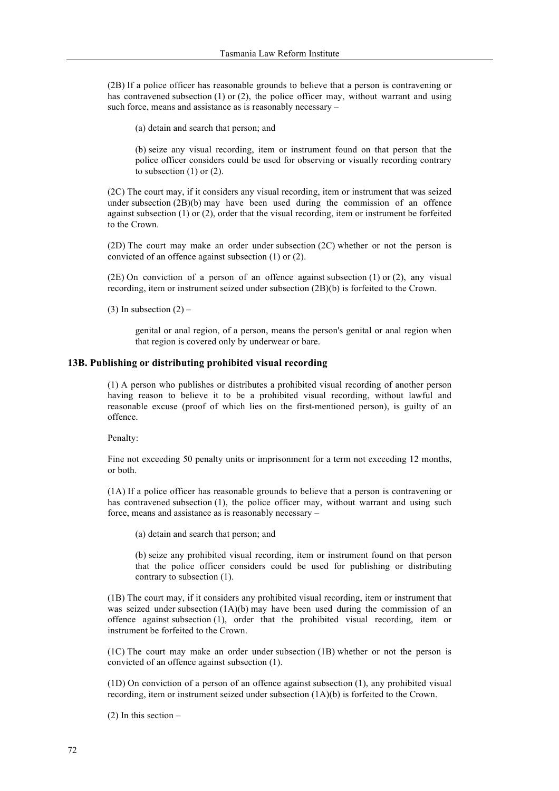(2B) If a police officer has reasonable grounds to believe that a person is contravening or has contravened subsection (1) or (2), the police officer may, without warrant and using such force, means and assistance as is reasonably necessary –

(a) detain and search that person; and

(b) seize any visual recording, item or instrument found on that person that the police officer considers could be used for observing or visually recording contrary to subsection  $(1)$  or  $(2)$ .

(2C) The court may, if it considers any visual recording, item or instrument that was seized under subsection  $(2B)(b)$  may have been used during the commission of an offence against subsection (1) or (2), order that the visual recording, item or instrument be forfeited to the Crown.

(2D) The court may make an order under subsection (2C) whether or not the person is convicted of an offence against subsection (1) or (2).

(2E) On conviction of a person of an offence against subsection  $(1)$  or  $(2)$ , any visual recording, item or instrument seized under subsection (2B)(b) is forfeited to the Crown.

(3) In subsection  $(2)$  –

genital or anal region, of a person, means the person's genital or anal region when that region is covered only by underwear or bare.

#### **13B. Publishing or distributing prohibited visual recording**

(1) A person who publishes or distributes a prohibited visual recording of another person having reason to believe it to be a prohibited visual recording, without lawful and reasonable excuse (proof of which lies on the first-mentioned person), is guilty of an offence.

Penalty:

Fine not exceeding 50 penalty units or imprisonment for a term not exceeding 12 months, or both.

(1A) If a police officer has reasonable grounds to believe that a person is contravening or has contravened subsection (1), the police officer may, without warrant and using such force, means and assistance as is reasonably necessary –

(a) detain and search that person; and

(b) seize any prohibited visual recording, item or instrument found on that person that the police officer considers could be used for publishing or distributing contrary to subsection (1).

(1B) The court may, if it considers any prohibited visual recording, item or instrument that was seized under subsection  $(1A)(b)$  may have been used during the commission of an offence against subsection (1), order that the prohibited visual recording, item or instrument be forfeited to the Crown.

(1C) The court may make an order under subsection (1B) whether or not the person is convicted of an offence against subsection (1).

(1D) On conviction of a person of an offence against subsection (1), any prohibited visual recording, item or instrument seized under subsection (1A)(b) is forfeited to the Crown.

(2) In this section –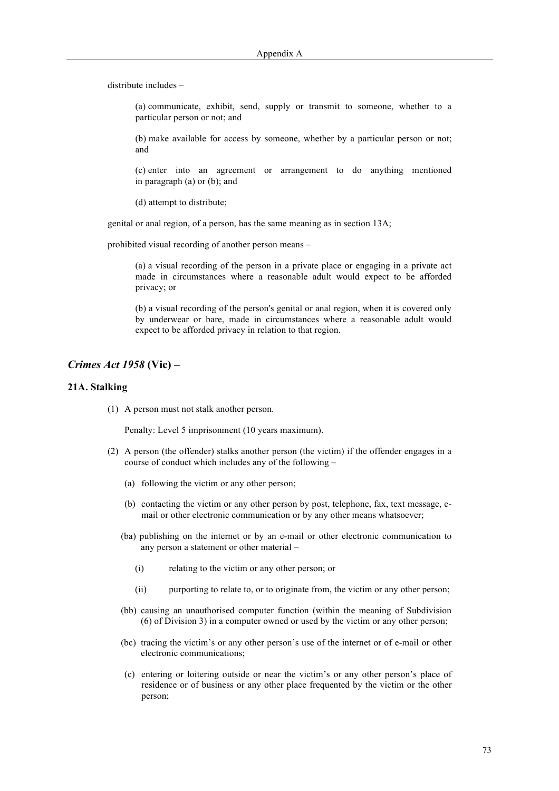distribute includes –

(a) communicate, exhibit, send, supply or transmit to someone, whether to a particular person or not; and

(b) make available for access by someone, whether by a particular person or not; and

(c) enter into an agreement or arrangement to do anything mentioned in paragraph (a) or (b); and

(d) attempt to distribute;

genital or anal region, of a person, has the same meaning as in section 13A;

prohibited visual recording of another person means –

(a) a visual recording of the person in a private place or engaging in a private act made in circumstances where a reasonable adult would expect to be afforded privacy; or

(b) a visual recording of the person's genital or anal region, when it is covered only by underwear or bare, made in circumstances where a reasonable adult would expect to be afforded privacy in relation to that region.

# *Crimes Act 1958* **(Vic) –**

#### **21A. Stalking**

(1) A person must not stalk another person.

Penalty: Level 5 imprisonment (10 years maximum).

- (2) A person (the offender) stalks another person (the victim) if the offender engages in a course of conduct which includes any of the following –
	- (a) following the victim or any other person;
	- (b) contacting the victim or any other person by post, telephone, fax, text message, email or other electronic communication or by any other means whatsoever;
	- (ba) publishing on the internet or by an e-mail or other electronic communication to any person a statement or other material –
		- (i) relating to the victim or any other person; or
		- (ii) purporting to relate to, or to originate from, the victim or any other person;
	- (bb) causing an unauthorised computer function (within the meaning of Subdivision (6) of Division 3) in a computer owned or used by the victim or any other person;
	- (bc) tracing the victim's or any other person's use of the internet or of e-mail or other electronic communications;
	- (c) entering or loitering outside or near the victim's or any other person's place of residence or of business or any other place frequented by the victim or the other person;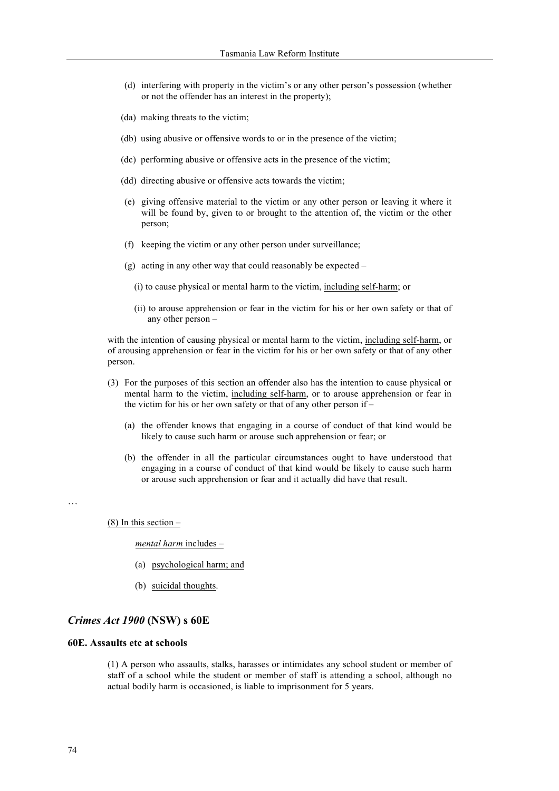- (d) interfering with property in the victim's or any other person's possession (whether or not the offender has an interest in the property);
- (da) making threats to the victim;
- (db) using abusive or offensive words to or in the presence of the victim;
- (dc) performing abusive or offensive acts in the presence of the victim;
- (dd) directing abusive or offensive acts towards the victim;
- (e) giving offensive material to the victim or any other person or leaving it where it will be found by, given to or brought to the attention of, the victim or the other person;
- (f) keeping the victim or any other person under surveillance;
- (g) acting in any other way that could reasonably be expected
	- (i) to cause physical or mental harm to the victim, including self-harm; or
	- (ii) to arouse apprehension or fear in the victim for his or her own safety or that of any other person –

with the intention of causing physical or mental harm to the victim, including self-harm, or of arousing apprehension or fear in the victim for his or her own safety or that of any other person.

- (3) For the purposes of this section an offender also has the intention to cause physical or mental harm to the victim, including self-harm, or to arouse apprehension or fear in the victim for his or her own safety or that of any other person if –
	- (a) the offender knows that engaging in a course of conduct of that kind would be likely to cause such harm or arouse such apprehension or fear; or
	- (b) the offender in all the particular circumstances ought to have understood that engaging in a course of conduct of that kind would be likely to cause such harm or arouse such apprehension or fear and it actually did have that result.

…

(8) In this section –

*mental harm* includes –

- (a) psychological harm; and
- (b) suicidal thoughts.

# *Crimes Act 1900* **(NSW) s 60E**

#### **60E. Assaults etc at schools**

(1) A person who assaults, stalks, harasses or intimidates any school student or member of staff of a school while the student or member of staff is attending a school, although no actual bodily harm is occasioned, is liable to imprisonment for 5 years.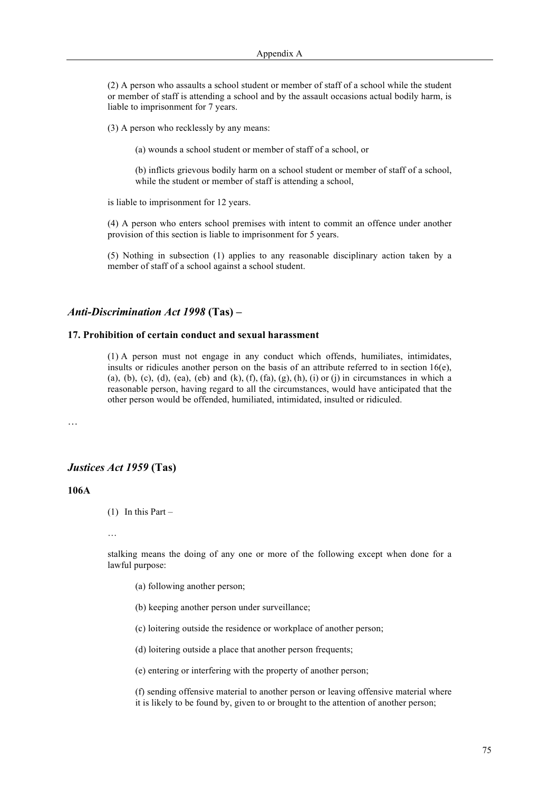(2) A person who assaults a school student or member of staff of a school while the student or member of staff is attending a school and by the assault occasions actual bodily harm, is liable to imprisonment for 7 years.

(3) A person who recklessly by any means:

(a) wounds a school student or member of staff of a school, or

(b) inflicts grievous bodily harm on a school student or member of staff of a school, while the student or member of staff is attending a school,

is liable to imprisonment for 12 years.

(4) A person who enters school premises with intent to commit an offence under another provision of this section is liable to imprisonment for 5 years.

(5) Nothing in subsection (1) applies to any reasonable disciplinary action taken by a member of staff of a school against a school student.

#### *Anti-Discrimination Act 1998* **(Tas) –**

#### **17. Prohibition of certain conduct and sexual harassment**

(1) A person must not engage in any conduct which offends, humiliates, intimidates, insults or ridicules another person on the basis of an attribute referred to in section 16(e), (a), (b), (c), (d), (ea), (eb) and (k), (f), (fa), (g), (h), (i) or (j) in circumstances in which a reasonable person, having regard to all the circumstances, would have anticipated that the other person would be offended, humiliated, intimidated, insulted or ridiculed.

…

#### *Justices Act 1959* **(Tas)**

#### **106A**

(1) In this Part –

…

stalking means the doing of any one or more of the following except when done for a lawful purpose:

- (a) following another person;
- (b) keeping another person under surveillance;
- (c) loitering outside the residence or workplace of another person;

(d) loitering outside a place that another person frequents;

(e) entering or interfering with the property of another person;

(f) sending offensive material to another person or leaving offensive material where it is likely to be found by, given to or brought to the attention of another person;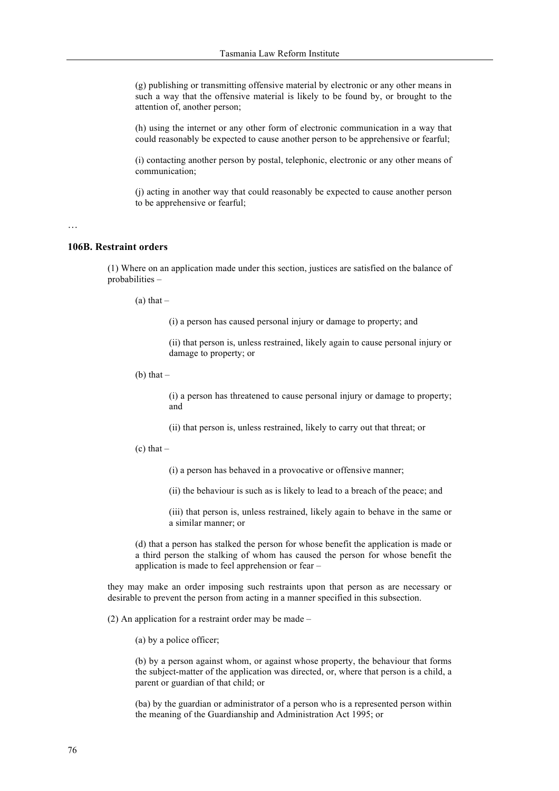(g) publishing or transmitting offensive material by electronic or any other means in such a way that the offensive material is likely to be found by, or brought to the attention of, another person;

(h) using the internet or any other form of electronic communication in a way that could reasonably be expected to cause another person to be apprehensive or fearful;

(i) contacting another person by postal, telephonic, electronic or any other means of communication;

(j) acting in another way that could reasonably be expected to cause another person to be apprehensive or fearful;

…

#### **106B. Restraint orders**

(1) Where on an application made under this section, justices are satisfied on the balance of probabilities –

 $(a)$  that  $-$ 

(i) a person has caused personal injury or damage to property; and

(ii) that person is, unless restrained, likely again to cause personal injury or damage to property; or

(b) that  $-$ 

(i) a person has threatened to cause personal injury or damage to property; and

(ii) that person is, unless restrained, likely to carry out that threat; or

 $(c)$  that  $-$ 

(i) a person has behaved in a provocative or offensive manner;

(ii) the behaviour is such as is likely to lead to a breach of the peace; and

(iii) that person is, unless restrained, likely again to behave in the same or a similar manner; or

(d) that a person has stalked the person for whose benefit the application is made or a third person the stalking of whom has caused the person for whose benefit the application is made to feel apprehension or fear –

they may make an order imposing such restraints upon that person as are necessary or desirable to prevent the person from acting in a manner specified in this subsection.

(2) An application for a restraint order may be made –

(a) by a police officer;

(b) by a person against whom, or against whose property, the behaviour that forms the subject-matter of the application was directed, or, where that person is a child, a parent or guardian of that child; or

(ba) by the guardian or administrator of a person who is a represented person within the meaning of the Guardianship and Administration Act 1995; or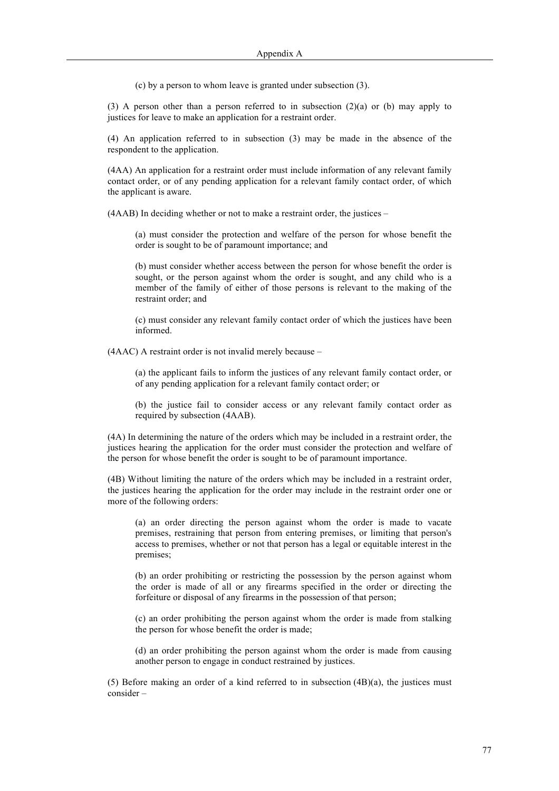(c) by a person to whom leave is granted under subsection (3).

(3) A person other than a person referred to in subsection  $(2)(a)$  or (b) may apply to justices for leave to make an application for a restraint order.

(4) An application referred to in subsection (3) may be made in the absence of the respondent to the application.

(4AA) An application for a restraint order must include information of any relevant family contact order, or of any pending application for a relevant family contact order, of which the applicant is aware.

(4AAB) In deciding whether or not to make a restraint order, the justices –

(a) must consider the protection and welfare of the person for whose benefit the order is sought to be of paramount importance; and

(b) must consider whether access between the person for whose benefit the order is sought, or the person against whom the order is sought, and any child who is a member of the family of either of those persons is relevant to the making of the restraint order; and

(c) must consider any relevant family contact order of which the justices have been informed.

(4AAC) A restraint order is not invalid merely because –

(a) the applicant fails to inform the justices of any relevant family contact order, or of any pending application for a relevant family contact order; or

(b) the justice fail to consider access or any relevant family contact order as required by subsection (4AAB).

(4A) In determining the nature of the orders which may be included in a restraint order, the justices hearing the application for the order must consider the protection and welfare of the person for whose benefit the order is sought to be of paramount importance.

(4B) Without limiting the nature of the orders which may be included in a restraint order, the justices hearing the application for the order may include in the restraint order one or more of the following orders:

(a) an order directing the person against whom the order is made to vacate premises, restraining that person from entering premises, or limiting that person's access to premises, whether or not that person has a legal or equitable interest in the premises;

(b) an order prohibiting or restricting the possession by the person against whom the order is made of all or any firearms specified in the order or directing the forfeiture or disposal of any firearms in the possession of that person;

(c) an order prohibiting the person against whom the order is made from stalking the person for whose benefit the order is made;

(d) an order prohibiting the person against whom the order is made from causing another person to engage in conduct restrained by justices.

(5) Before making an order of a kind referred to in subsection (4B)(a), the justices must consider –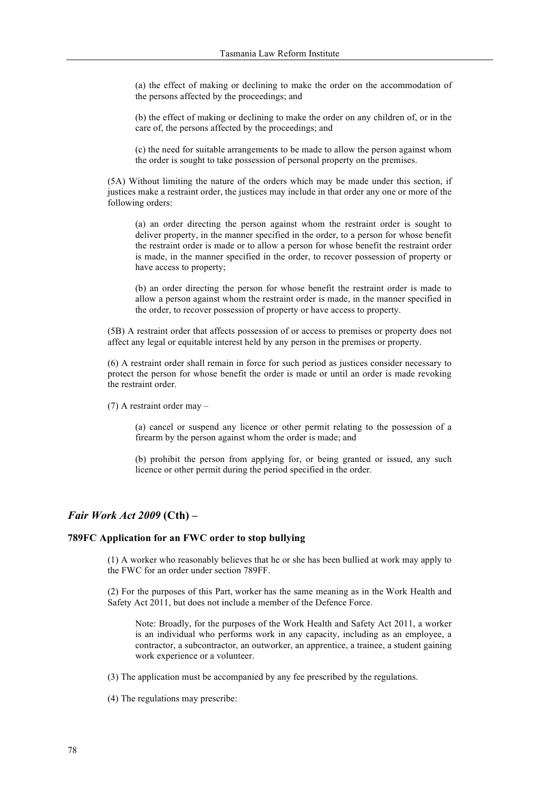(a) the effect of making or declining to make the order on the accommodation of the persons affected by the proceedings; and

(b) the effect of making or declining to make the order on any children of, or in the care of, the persons affected by the proceedings; and

(c) the need for suitable arrangements to be made to allow the person against whom the order is sought to take possession of personal property on the premises.

(5A) Without limiting the nature of the orders which may be made under this section, if justices make a restraint order, the justices may include in that order any one or more of the following orders:

(a) an order directing the person against whom the restraint order is sought to deliver property, in the manner specified in the order, to a person for whose benefit the restraint order is made or to allow a person for whose benefit the restraint order is made, in the manner specified in the order, to recover possession of property or have access to property;

(b) an order directing the person for whose benefit the restraint order is made to allow a person against whom the restraint order is made, in the manner specified in the order, to recover possession of property or have access to property.

(5B) A restraint order that affects possession of or access to premises or property does not affect any legal or equitable interest held by any person in the premises or property.

(6) A restraint order shall remain in force for such period as justices consider necessary to protect the person for whose benefit the order is made or until an order is made revoking the restraint order.

(7) A restraint order may –

(a) cancel or suspend any licence or other permit relating to the possession of a firearm by the person against whom the order is made; and

(b) prohibit the person from applying for, or being granted or issued, any such licence or other permit during the period specified in the order.

#### *Fair Work Act 2009* **(Cth) –**

#### **789FC Application for an FWC order to stop bullying**

(1) A worker who reasonably believes that he or she has been bullied at work may apply to the FWC for an order under section 789FF.

(2) For the purposes of this Part, worker has the same meaning as in the Work Health and Safety Act 2011, but does not include a member of the Defence Force.

Note: Broadly, for the purposes of the Work Health and Safety Act 2011, a worker is an individual who performs work in any capacity, including as an employee, a contractor, a subcontractor, an outworker, an apprentice, a trainee, a student gaining work experience or a volunteer.

- (3) The application must be accompanied by any fee prescribed by the regulations.
- (4) The regulations may prescribe: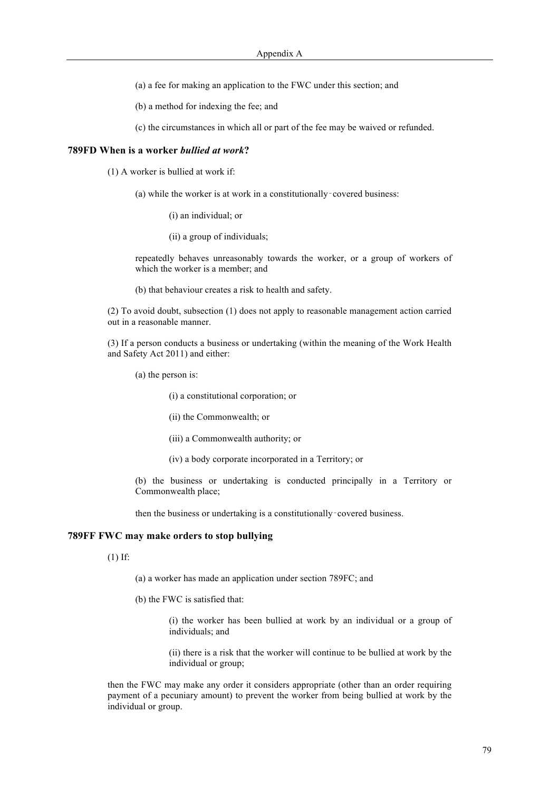(a) a fee for making an application to the FWC under this section; and

(b) a method for indexing the fee; and

(c) the circumstances in which all or part of the fee may be waived or refunded.

#### **789FD When is a worker** *bullied at work***?**

(1) A worker is bullied at work if:

(a) while the worker is at work in a constitutionally‑covered business:

(i) an individual; or

(ii) a group of individuals;

repeatedly behaves unreasonably towards the worker, or a group of workers of which the worker is a member; and

(b) that behaviour creates a risk to health and safety.

(2) To avoid doubt, subsection (1) does not apply to reasonable management action carried out in a reasonable manner.

(3) If a person conducts a business or undertaking (within the meaning of the Work Health and Safety Act 2011) and either:

(a) the person is:

(i) a constitutional corporation; or

(ii) the Commonwealth; or

(iii) a Commonwealth authority; or

(iv) a body corporate incorporated in a Territory; or

(b) the business or undertaking is conducted principally in a Territory or Commonwealth place;

then the business or undertaking is a constitutionally‑covered business.

#### **789FF FWC may make orders to stop bullying**

(1) If:

(a) a worker has made an application under section 789FC; and

(b) the FWC is satisfied that:

(i) the worker has been bullied at work by an individual or a group of individuals; and

(ii) there is a risk that the worker will continue to be bullied at work by the individual or group;

then the FWC may make any order it considers appropriate (other than an order requiring payment of a pecuniary amount) to prevent the worker from being bullied at work by the individual or group.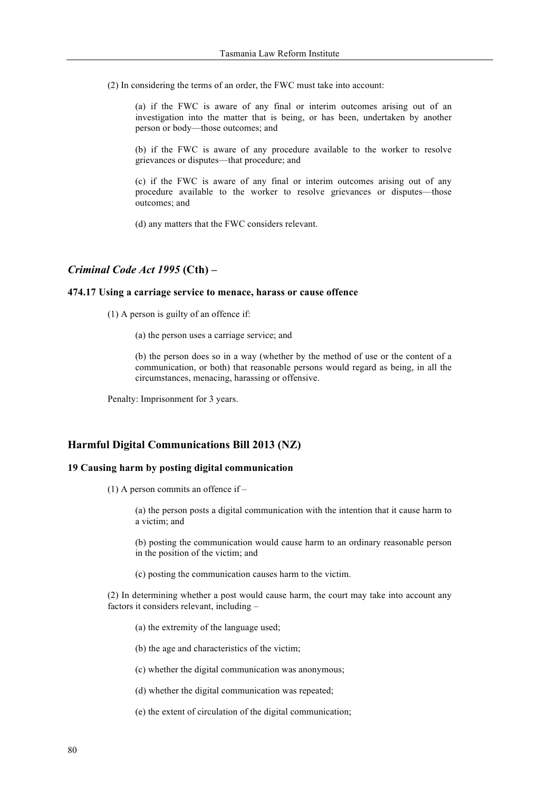(2) In considering the terms of an order, the FWC must take into account:

(a) if the FWC is aware of any final or interim outcomes arising out of an investigation into the matter that is being, or has been, undertaken by another person or body—those outcomes; and

(b) if the FWC is aware of any procedure available to the worker to resolve grievances or disputes—that procedure; and

(c) if the FWC is aware of any final or interim outcomes arising out of any procedure available to the worker to resolve grievances or disputes—those outcomes; and

(d) any matters that the FWC considers relevant.

# *Criminal Code Act 1995* **(Cth) –**

#### **474.17 Using a carriage service to menace, harass or cause offence**

(1) A person is guilty of an offence if:

(a) the person uses a carriage service; and

(b) the person does so in a way (whether by the method of use or the content of a communication, or both) that reasonable persons would regard as being, in all the circumstances, menacing, harassing or offensive.

Penalty: Imprisonment for 3 years.

#### **Harmful Digital Communications Bill 2013 (NZ)**

#### **19 Causing harm by posting digital communication**

(1) A person commits an offence if –

(a) the person posts a digital communication with the intention that it cause harm to a victim; and

(b) posting the communication would cause harm to an ordinary reasonable person in the position of the victim; and

(c) posting the communication causes harm to the victim.

(2) In determining whether a post would cause harm, the court may take into account any factors it considers relevant, including –

(a) the extremity of the language used;

(b) the age and characteristics of the victim;

(c) whether the digital communication was anonymous;

(d) whether the digital communication was repeated;

(e) the extent of circulation of the digital communication;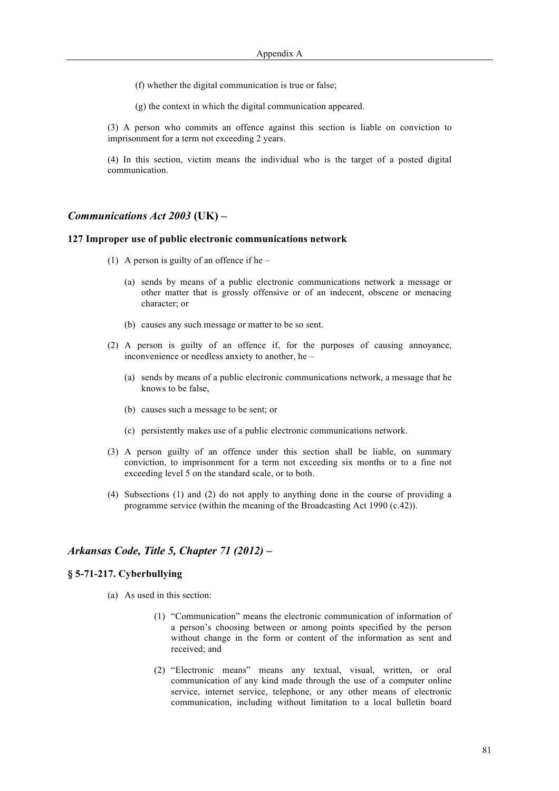- (f) whether the digital communication is true or false;
- (g) the context in which the digital communication appeared.

(3) A person who commits an offence against this section is liable on conviction to imprisonment for a term not exceeding 2 years.

(4) In this section, victim means the individual who is the target of a posted digital communication.

#### *Communications Act 2003* **(UK) –**

#### **127 Improper use of public electronic communications network**

- (1) A person is guilty of an offence if he
	- (a) sends by means of a public electronic communications network a message or other matter that is grossly offensive or of an indecent, obscene or menacing character; or
	- (b) causes any such message or matter to be so sent.
- (2) A person is guilty of an offence if, for the purposes of causing annoyance, inconvenience or needless anxiety to another, he –
	- (a) sends by means of a public electronic communications network, a message that he knows to be false,
	- (b) causes such a message to be sent; or
	- (c) persistently makes use of a public electronic communications network.
- (3) A person guilty of an offence under this section shall be liable, on summary conviction, to imprisonment for a term not exceeding six months or to a fine not exceeding level 5 on the standard scale, or to both.
- (4) Subsections (1) and (2) do not apply to anything done in the course of providing a programme service (within the meaning of the Broadcasting Act 1990 (c.42)).

# *Arkansas Code, Title 5, Chapter 71 (2012) –*

#### **§ 5-71-217. Cyberbullying**

- (a) As used in this section:
	- (1) "Communication" means the electronic communication of information of a person's choosing between or among points specified by the person without change in the form or content of the information as sent and received; and
	- (2) "Electronic means" means any textual, visual, written, or oral communication of any kind made through the use of a computer online service, internet service, telephone, or any other means of electronic communication, including without limitation to a local bulletin board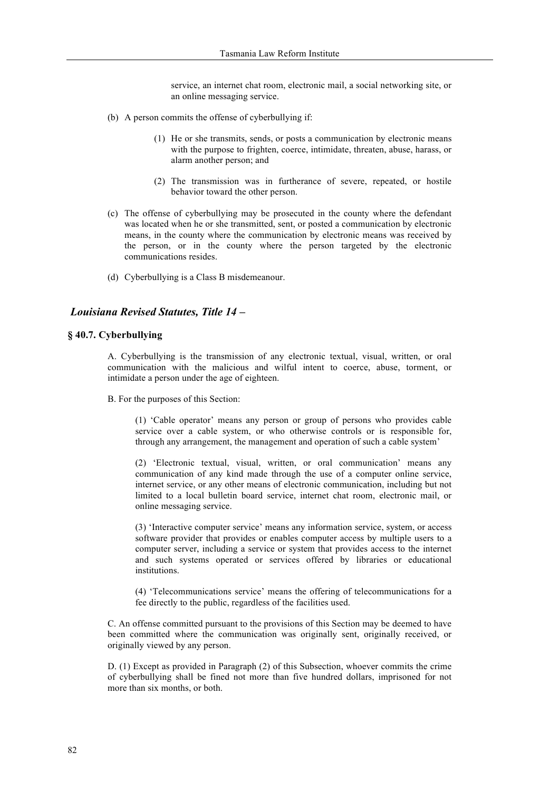service, an internet chat room, electronic mail, a social networking site, or an online messaging service.

- (b) A person commits the offense of cyberbullying if:
	- (1) He or she transmits, sends, or posts a communication by electronic means with the purpose to frighten, coerce, intimidate, threaten, abuse, harass, or alarm another person; and
	- (2) The transmission was in furtherance of severe, repeated, or hostile behavior toward the other person.
- (c) The offense of cyberbullying may be prosecuted in the county where the defendant was located when he or she transmitted, sent, or posted a communication by electronic means, in the county where the communication by electronic means was received by the person, or in the county where the person targeted by the electronic communications resides.
- (d) Cyberbullying is a Class B misdemeanour.

# *Louisiana Revised Statutes, Title 14 –*

#### **§ 40.7. Cyberbullying**

A. Cyberbullying is the transmission of any electronic textual, visual, written, or oral communication with the malicious and wilful intent to coerce, abuse, torment, or intimidate a person under the age of eighteen.

B. For the purposes of this Section:

(1) 'Cable operator' means any person or group of persons who provides cable service over a cable system, or who otherwise controls or is responsible for, through any arrangement, the management and operation of such a cable system'

(2) 'Electronic textual, visual, written, or oral communication' means any communication of any kind made through the use of a computer online service, internet service, or any other means of electronic communication, including but not limited to a local bulletin board service, internet chat room, electronic mail, or online messaging service.

(3) 'Interactive computer service' means any information service, system, or access software provider that provides or enables computer access by multiple users to a computer server, including a service or system that provides access to the internet and such systems operated or services offered by libraries or educational institutions.

(4) 'Telecommunications service' means the offering of telecommunications for a fee directly to the public, regardless of the facilities used.

C. An offense committed pursuant to the provisions of this Section may be deemed to have been committed where the communication was originally sent, originally received, or originally viewed by any person.

D. (1) Except as provided in Paragraph (2) of this Subsection, whoever commits the crime of cyberbullying shall be fined not more than five hundred dollars, imprisoned for not more than six months, or both.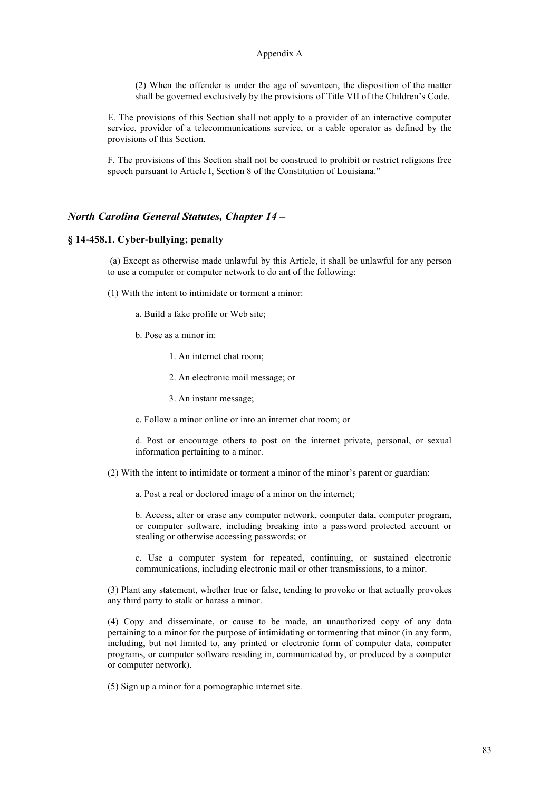(2) When the offender is under the age of seventeen, the disposition of the matter shall be governed exclusively by the provisions of Title VII of the Children's Code.

E. The provisions of this Section shall not apply to a provider of an interactive computer service, provider of a telecommunications service, or a cable operator as defined by the provisions of this Section.

F. The provisions of this Section shall not be construed to prohibit or restrict religions free speech pursuant to Article I, Section 8 of the Constitution of Louisiana."

## *North Carolina General Statutes, Chapter 14 –*

#### **§ 14-458.1. Cyber-bullying; penalty**

(a) Except as otherwise made unlawful by this Article, it shall be unlawful for any person to use a computer or computer network to do ant of the following:

- (1) With the intent to intimidate or torment a minor:
	- a. Build a fake profile or Web site;
	- b. Pose as a minor in:
		- 1. An internet chat room;
		- 2. An electronic mail message; or
		- 3. An instant message;
	- c. Follow a minor online or into an internet chat room; or

d. Post or encourage others to post on the internet private, personal, or sexual information pertaining to a minor.

(2) With the intent to intimidate or torment a minor of the minor's parent or guardian:

a. Post a real or doctored image of a minor on the internet;

b. Access, alter or erase any computer network, computer data, computer program, or computer software, including breaking into a password protected account or stealing or otherwise accessing passwords; or

c. Use a computer system for repeated, continuing, or sustained electronic communications, including electronic mail or other transmissions, to a minor.

(3) Plant any statement, whether true or false, tending to provoke or that actually provokes any third party to stalk or harass a minor.

(4) Copy and disseminate, or cause to be made, an unauthorized copy of any data pertaining to a minor for the purpose of intimidating or tormenting that minor (in any form, including, but not limited to, any printed or electronic form of computer data, computer programs, or computer software residing in, communicated by, or produced by a computer or computer network).

(5) Sign up a minor for a pornographic internet site.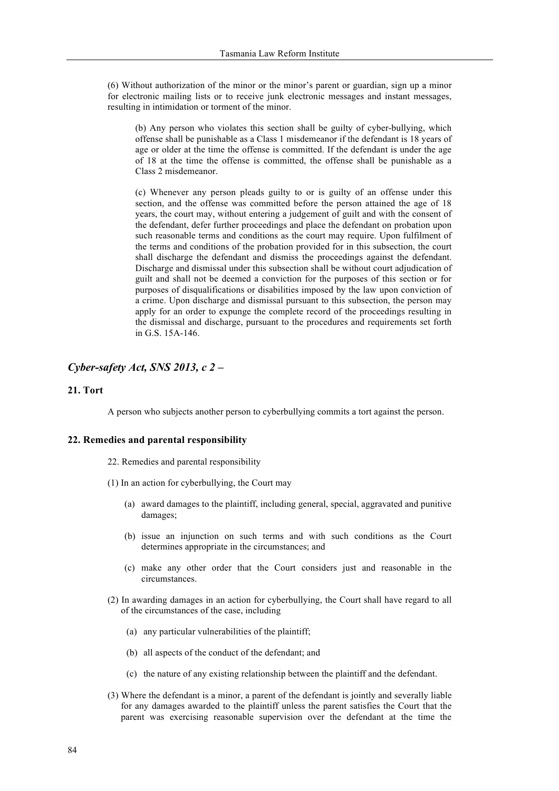(6) Without authorization of the minor or the minor's parent or guardian, sign up a minor for electronic mailing lists or to receive junk electronic messages and instant messages, resulting in intimidation or torment of the minor.

(b) Any person who violates this section shall be guilty of cyber-bullying, which offense shall be punishable as a Class 1 misdemeanor if the defendant is 18 years of age or older at the time the offense is committed. If the defendant is under the age of 18 at the time the offense is committed, the offense shall be punishable as a Class 2 misdemeanor.

(c) Whenever any person pleads guilty to or is guilty of an offense under this section, and the offense was committed before the person attained the age of 18 years, the court may, without entering a judgement of guilt and with the consent of the defendant, defer further proceedings and place the defendant on probation upon such reasonable terms and conditions as the court may require. Upon fulfilment of the terms and conditions of the probation provided for in this subsection, the court shall discharge the defendant and dismiss the proceedings against the defendant. Discharge and dismissal under this subsection shall be without court adjudication of guilt and shall not be deemed a conviction for the purposes of this section or for purposes of disqualifications or disabilities imposed by the law upon conviction of a crime. Upon discharge and dismissal pursuant to this subsection, the person may apply for an order to expunge the complete record of the proceedings resulting in the dismissal and discharge, pursuant to the procedures and requirements set forth in G.S. 15A-146.

# *Cyber-safety Act, SNS 2013, c 2 –*

## **21. Tort**

A person who subjects another person to cyberbullying commits a tort against the person.

#### **22. Remedies and parental responsibility**

22. Remedies and parental responsibility

- (1) In an action for cyberbullying, the Court may
	- (a) award damages to the plaintiff, including general, special, aggravated and punitive damages;
	- (b) issue an injunction on such terms and with such conditions as the Court determines appropriate in the circumstances; and
	- (c) make any other order that the Court considers just and reasonable in the circumstances.
- (2) In awarding damages in an action for cyberbullying, the Court shall have regard to all of the circumstances of the case, including
	- (a) any particular vulnerabilities of the plaintiff;
	- (b) all aspects of the conduct of the defendant; and
	- (c) the nature of any existing relationship between the plaintiff and the defendant.
- (3) Where the defendant is a minor, a parent of the defendant is jointly and severally liable for any damages awarded to the plaintiff unless the parent satisfies the Court that the parent was exercising reasonable supervision over the defendant at the time the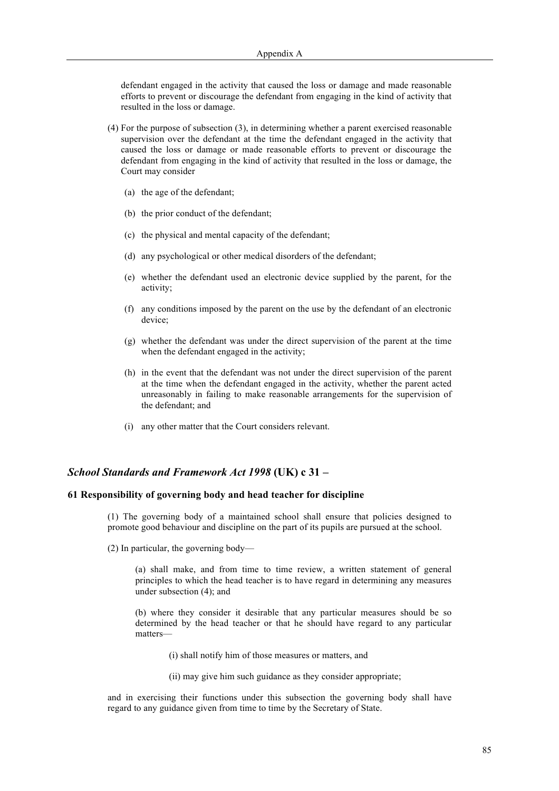defendant engaged in the activity that caused the loss or damage and made reasonable efforts to prevent or discourage the defendant from engaging in the kind of activity that resulted in the loss or damage.

- (4) For the purpose of subsection (3), in determining whether a parent exercised reasonable supervision over the defendant at the time the defendant engaged in the activity that caused the loss or damage or made reasonable efforts to prevent or discourage the defendant from engaging in the kind of activity that resulted in the loss or damage, the Court may consider
	- (a) the age of the defendant;
	- (b) the prior conduct of the defendant;
	- (c) the physical and mental capacity of the defendant;
	- (d) any psychological or other medical disorders of the defendant;
	- (e) whether the defendant used an electronic device supplied by the parent, for the activity;
	- (f) any conditions imposed by the parent on the use by the defendant of an electronic device;
	- (g) whether the defendant was under the direct supervision of the parent at the time when the defendant engaged in the activity;
	- (h) in the event that the defendant was not under the direct supervision of the parent at the time when the defendant engaged in the activity, whether the parent acted unreasonably in failing to make reasonable arrangements for the supervision of the defendant; and
	- (i) any other matter that the Court considers relevant.

#### *School Standards and Framework Act 1998* **(UK) c 31 –**

#### **61 Responsibility of governing body and head teacher for discipline**

(1) The governing body of a maintained school shall ensure that policies designed to promote good behaviour and discipline on the part of its pupils are pursued at the school.

(2) In particular, the governing body—

(a) shall make, and from time to time review, a written statement of general principles to which the head teacher is to have regard in determining any measures under subsection (4); and

(b) where they consider it desirable that any particular measures should be so determined by the head teacher or that he should have regard to any particular matters—

- (i) shall notify him of those measures or matters, and
- (ii) may give him such guidance as they consider appropriate;

and in exercising their functions under this subsection the governing body shall have regard to any guidance given from time to time by the Secretary of State.